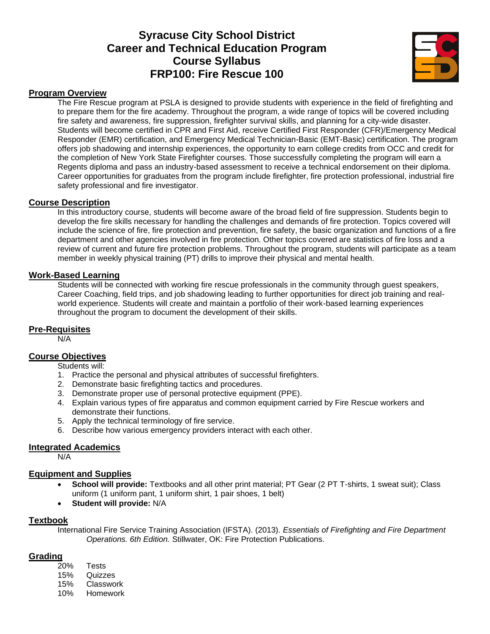# **Syracuse City School District Career and Technical Education Program Course Syllabus FRP100: Fire Rescue 100**



#### **Program Overview**

The Fire Rescue program at PSLA is designed to provide students with experience in the field of firefighting and to prepare them for the fire academy. Throughout the program, a wide range of topics will be covered including fire safety and awareness, fire suppression, firefighter survival skills, and planning for a city-wide disaster. Students will become certified in CPR and First Aid, receive Certified First Responder (CFR)/Emergency Medical Responder (EMR) certification, and Emergency Medical Technician-Basic (EMT-Basic) certification. The program offers job shadowing and internship experiences, the opportunity to earn college credits from OCC and credit for the completion of New York State Firefighter courses. Those successfully completing the program will earn a Regents diploma and pass an industry-based assessment to receive a technical endorsement on their diploma. Career opportunities for graduates from the program include firefighter, fire protection professional, industrial fire safety professional and fire investigator.

#### **Course Description**

In this introductory course, students will become aware of the broad field of fire suppression. Students begin to develop the fire skills necessary for handling the challenges and demands of fire protection. Topics covered will include the science of fire, fire protection and prevention, fire safety, the basic organization and functions of a fire department and other agencies involved in fire protection. Other topics covered are statistics of fire loss and a review of current and future fire protection problems. Throughout the program, students will participate as a team member in weekly physical training (PT) drills to improve their physical and mental health.

#### **Work-Based Learning**

Students will be connected with working fire rescue professionals in the community through guest speakers, Career Coaching, field trips, and job shadowing leading to further opportunities for direct job training and realworld experience. Students will create and maintain a portfolio of their work-based learning experiences throughout the program to document the development of their skills.

#### **Pre-Requisites**

N/A

# **Course Objectives**

Students will:

- 1. Practice the personal and physical attributes of successful firefighters.
- 2. Demonstrate basic firefighting tactics and procedures.
- 3. Demonstrate proper use of personal protective equipment (PPE).
- 4. Explain various types of fire apparatus and common equipment carried by Fire Rescue workers and demonstrate their functions.
- 5. Apply the technical terminology of fire service.
- 6. Describe how various emergency providers interact with each other.

#### **Integrated Academics**

N/A

#### **Equipment and Supplies**

- **School will provide:** Textbooks and all other print material; PT Gear (2 PT T-shirts, 1 sweat suit); Class uniform (1 uniform pant, 1 uniform shirt, 1 pair shoes, 1 belt)
- **Student will provide:** N/A

#### **Textbook**

International Fire Service Training Association (IFSTA). (2013). *Essentials of Firefighting and Fire Department Operations. 6th Edition.* Stillwater, OK: Fire Protection Publications.

#### **Grading**

- 20% Tests 15% Quizzes
- 15% Classwork
- 10% Homework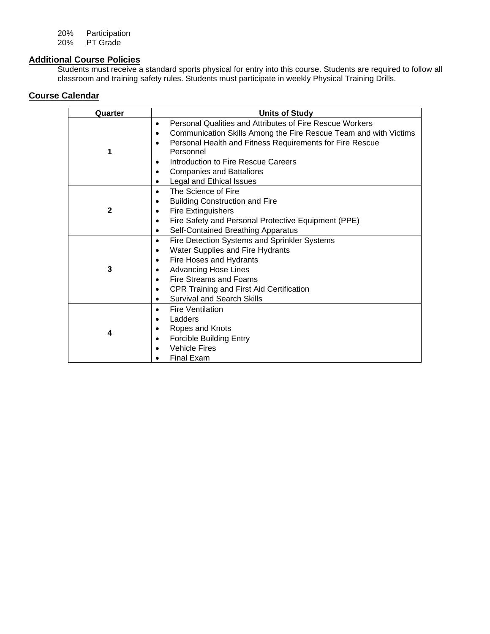20% Participation

20% PT Grade

# **Additional Course Policies**

Students must receive a standard sports physical for entry into this course. Students are required to follow all classroom and training safety rules. Students must participate in weekly Physical Training Drills.

| Quarter      | <b>Units of Study</b>                                                                                                                                                                                                                                                                                                                                           |
|--------------|-----------------------------------------------------------------------------------------------------------------------------------------------------------------------------------------------------------------------------------------------------------------------------------------------------------------------------------------------------------------|
| 1            | Personal Qualities and Attributes of Fire Rescue Workers<br>$\bullet$<br>Communication Skills Among the Fire Rescue Team and with Victims<br>$\bullet$<br>Personal Health and Fitness Requirements for Fire Rescue<br>$\bullet$<br>Personnel<br>Introduction to Fire Rescue Careers<br><b>Companies and Battalions</b><br>$\bullet$<br>Legal and Ethical Issues |
| $\mathbf{2}$ | The Science of Fire<br>$\bullet$<br><b>Building Construction and Fire</b><br>$\bullet$<br><b>Fire Extinguishers</b><br>٠<br>Fire Safety and Personal Protective Equipment (PPE)<br>Self-Contained Breathing Apparatus                                                                                                                                           |
| 3            | Fire Detection Systems and Sprinkler Systems<br>$\bullet$<br>Water Supplies and Fire Hydrants<br>$\bullet$<br>Fire Hoses and Hydrants<br>٠<br><b>Advancing Hose Lines</b><br>Fire Streams and Foams<br>$\bullet$<br><b>CPR Training and First Aid Certification</b><br>$\bullet$<br><b>Survival and Search Skills</b><br>$\bullet$                              |
| 4            | <b>Fire Ventilation</b><br>$\bullet$<br>Ladders<br>Ropes and Knots<br><b>Forcible Building Entry</b><br>$\bullet$<br><b>Vehicle Fires</b><br><b>Final Exam</b>                                                                                                                                                                                                  |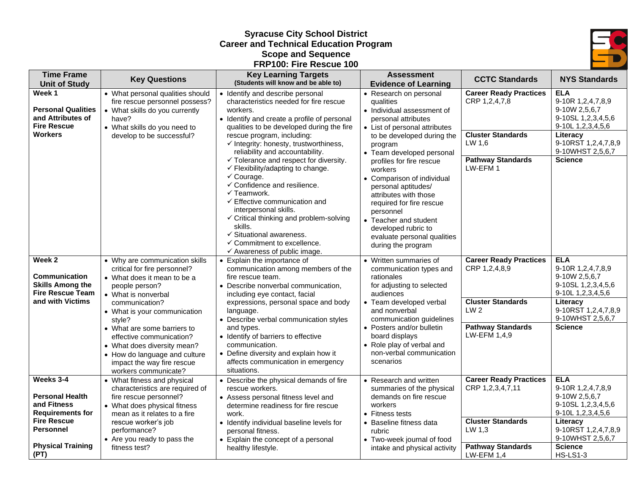# **Syracuse City School District Career and Technical Education Program Scope and Sequence FRP100: Fire Rescue 100**



| <b>Time Frame</b><br><b>Unit of Study</b>                                                                               | <b>Key Questions</b>                                                                                                                                                                                                                                                                                                                                                                | <b>Key Learning Targets</b><br>(Students will know and be able to)                                                                                                                                                                                                                                                                                                                                                                 | <b>Assessment</b><br><b>Evidence of Learning</b>                                                                                                                                                                                                                                                       | <b>CCTC Standards</b>                                                                                                                     | <b>NYS Standards</b>                                                                                                                                                 |
|-------------------------------------------------------------------------------------------------------------------------|-------------------------------------------------------------------------------------------------------------------------------------------------------------------------------------------------------------------------------------------------------------------------------------------------------------------------------------------------------------------------------------|------------------------------------------------------------------------------------------------------------------------------------------------------------------------------------------------------------------------------------------------------------------------------------------------------------------------------------------------------------------------------------------------------------------------------------|--------------------------------------------------------------------------------------------------------------------------------------------------------------------------------------------------------------------------------------------------------------------------------------------------------|-------------------------------------------------------------------------------------------------------------------------------------------|----------------------------------------------------------------------------------------------------------------------------------------------------------------------|
| Week 1<br><b>Personal Qualities</b><br>and Attributes of<br><b>Fire Rescue</b>                                          | • What personal qualities should<br>fire rescue personnel possess?<br>• What skills do you currently<br>have?<br>• What skills do you need to                                                                                                                                                                                                                                       | • Identify and describe personal<br>characteristics needed for fire rescue<br>workers.<br>• Identify and create a profile of personal<br>qualities to be developed during the fire                                                                                                                                                                                                                                                 | • Research on personal<br>qualities<br>• Individual assessment of<br>personal attributes<br>• List of personal attributes                                                                                                                                                                              | <b>Career Ready Practices</b><br>CRP 1,2,4,7,8                                                                                            | <b>ELA</b><br>9-10R 1,2,4,7,8,9<br>9-10W 2,5,6,7<br>9-10SL 1,2,3,4,5,6<br>9-10L 1,2,3,4,5,6                                                                          |
| <b>Workers</b>                                                                                                          | develop to be successful?                                                                                                                                                                                                                                                                                                                                                           | rescue program, including:<br>$\checkmark$ Integrity: honesty, trustworthiness,<br>program<br>reliability and accountability.<br>• Team developed personal<br>$\checkmark$ Tolerance and respect for diversity.<br>profiles for fire rescue<br>✓ Flexibility/adapting to change.<br>workers<br>$\checkmark$ Courage.                                                                                                               | to be developed during the<br>LW 1,6<br><b>Pathway Standards</b><br>LW-EFM 1<br>• Comparison of individual                                                                                                                                                                                             | <b>Cluster Standards</b>                                                                                                                  | Literacy<br>9-10RST 1,2,4,7,8,9<br>9-10WHST 2,5,6,7<br><b>Science</b>                                                                                                |
|                                                                                                                         |                                                                                                                                                                                                                                                                                                                                                                                     | ✓ Confidence and resilience.<br>$\checkmark$ Teamwork.<br>$\checkmark$ Effective communication and<br>interpersonal skills.<br>$\checkmark$ Critical thinking and problem-solving<br>skills.<br>$\checkmark$ Situational awareness.<br>$\checkmark$ Commitment to excellence.<br>$\checkmark$ Awareness of public image.                                                                                                           | personal aptitudes/<br>attributes with those<br>required for fire rescue<br>personnel<br>• Teacher and student<br>developed rubric to<br>evaluate personal qualities<br>during the program                                                                                                             |                                                                                                                                           |                                                                                                                                                                      |
| Week 2<br>Communication<br><b>Skills Among the</b><br><b>Fire Rescue Team</b><br>and with Victims                       | • Why are communication skills<br>critical for fire personnel?<br>• What does it mean to be a<br>people person?<br>• What is nonverbal<br>communication?<br>• What is your communication<br>style?<br>• What are some barriers to<br>effective communication?<br>• What does diversity mean?<br>• How do language and culture<br>impact the way fire rescue<br>workers communicate? | • Explain the importance of<br>communication among members of the<br>fire rescue team.<br>• Describe nonverbal communication,<br>including eye contact, facial<br>expressions, personal space and body<br>language.<br>• Describe verbal communication styles<br>and types.<br>• Identify of barriers to effective<br>communication.<br>• Define diversity and explain how it<br>affects communication in emergency<br>situations. | • Written summaries of<br>communication types and<br>rationales<br>for adjusting to selected<br>audiences<br>• Team developed verbal<br>and nonverbal<br>communication guidelines<br>• Posters and/or bulletin<br>board displays<br>• Role play of verbal and<br>non-verbal communication<br>scenarios | <b>Career Ready Practices</b><br>CRP 1,2,4,8,9<br><b>Cluster Standards</b><br>LW <sub>2</sub><br><b>Pathway Standards</b><br>LW-EFM 1,4,9 | <b>ELA</b><br>9-10R 1,2,4,7,8,9<br>9-10W 2,5,6,7<br>9-10SL 1,2,3,4,5,6<br>9-10L 1,2,3,4,5,6<br>Literacy<br>9-10RST 1,2,4,7,8,9<br>9-10WHST 2,5,6,7<br><b>Science</b> |
| Weeks 3-4<br><b>Personal Health</b><br>and Fitness<br><b>Requirements for</b><br><b>Fire Rescue</b><br><b>Personnel</b> | • What fitness and physical<br>characteristics are required of<br>fire rescue personnel?<br>• What does physical fitness<br>mean as it relates to a fire<br>rescue worker's job<br>performance?<br>• Are you ready to pass the                                                                                                                                                      | • Describe the physical demands of fire<br>rescue workers.<br>• Assess personal fitness level and<br>determine readiness for fire rescue<br>work.<br>• Identify individual baseline levels for<br>personal fitness.<br>• Explain the concept of a personal                                                                                                                                                                         | • Research and written<br>summaries of the physical<br>demands on fire rescue<br>workers<br>$\bullet\,$ Fitness tests<br>Baseline fitness data<br>rubric<br>• Two-week journal of food                                                                                                                 | <b>Career Ready Practices</b><br>CRP 1,2,3,4,7,11<br><b>Cluster Standards</b><br>LW 1,3                                                   | <b>ELA</b><br>9-10R 1,2,4,7,8,9<br>9-10W 2,5,6,7<br>9-10SL 1,2,3,4,5,6<br>9-10L 1,2,3,4,5,6<br>Literacy<br>9-10RST 1,2,4,7,8,9<br>9-10WHST 2,5,6,7                   |
| <b>Physical Training</b><br>(PT)                                                                                        | fitness test?                                                                                                                                                                                                                                                                                                                                                                       | healthy lifestyle.                                                                                                                                                                                                                                                                                                                                                                                                                 | intake and physical activity                                                                                                                                                                                                                                                                           | <b>Pathway Standards</b><br><b>LW-EFM 1,4</b>                                                                                             | <b>Science</b><br><b>HS-LS1-3</b>                                                                                                                                    |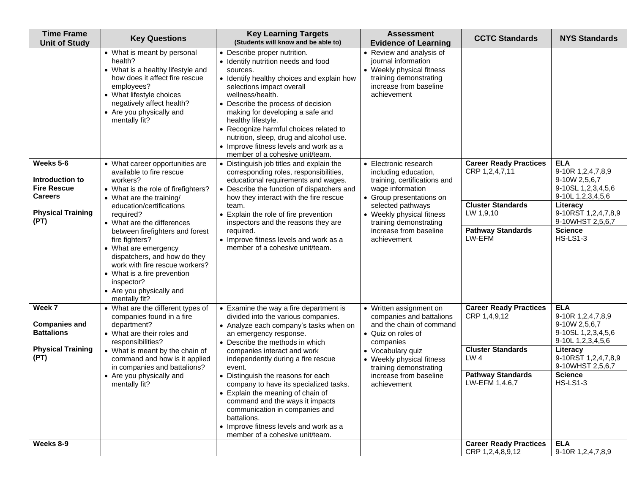| <b>Time Frame</b><br><b>Unit of Study</b>                                                                | <b>Key Questions</b>                                                                                                                                                                                                                                                                                                                                                                                                                                       | <b>Key Learning Targets</b><br>(Students will know and be able to)                                                                                                                                                                                                                                                                                                                                                                                                                                                                                        | <b>Assessment</b><br><b>Evidence of Learning</b>                                                                                                                                                                                                   | <b>CCTC Standards</b>                                                                                                                                                       | <b>NYS Standards</b>                                                                                                                                                                                       |
|----------------------------------------------------------------------------------------------------------|------------------------------------------------------------------------------------------------------------------------------------------------------------------------------------------------------------------------------------------------------------------------------------------------------------------------------------------------------------------------------------------------------------------------------------------------------------|-----------------------------------------------------------------------------------------------------------------------------------------------------------------------------------------------------------------------------------------------------------------------------------------------------------------------------------------------------------------------------------------------------------------------------------------------------------------------------------------------------------------------------------------------------------|----------------------------------------------------------------------------------------------------------------------------------------------------------------------------------------------------------------------------------------------------|-----------------------------------------------------------------------------------------------------------------------------------------------------------------------------|------------------------------------------------------------------------------------------------------------------------------------------------------------------------------------------------------------|
|                                                                                                          | • What is meant by personal<br>health?<br>• What is a healthy lifestyle and<br>how does it affect fire rescue<br>employees?<br>• What lifestyle choices<br>negatively affect health?<br>• Are you physically and<br>mentally fit?                                                                                                                                                                                                                          | • Describe proper nutrition.<br>• Identify nutrition needs and food<br>sources.<br>• Identify healthy choices and explain how<br>selections impact overall<br>wellness/health.<br>• Describe the process of decision<br>making for developing a safe and<br>healthy lifestyle.<br>• Recognize harmful choices related to<br>nutrition, sleep, drug and alcohol use.<br>• Improve fitness levels and work as a<br>member of a cohesive unit/team.                                                                                                          | • Review and analysis of<br>journal information<br>• Weekly physical fitness<br>training demonstrating<br>increase from baseline<br>achievement                                                                                                    |                                                                                                                                                                             |                                                                                                                                                                                                            |
| Weeks 5-6<br>Introduction to<br><b>Fire Rescue</b><br><b>Careers</b><br><b>Physical Training</b><br>(PT) | • What career opportunities are<br>available to fire rescue<br>workers?<br>• What is the role of firefighters?<br>• What are the training/<br>education/certifications<br>required?<br>• What are the differences<br>between firefighters and forest<br>fire fighters?<br>• What are emergency<br>dispatchers, and how do they<br>work with fire rescue workers?<br>• What is a fire prevention<br>inspector?<br>• Are you physically and<br>mentally fit? | • Distinguish job titles and explain the<br>corresponding roles, responsibilities,<br>educational requirements and wages.<br>• Describe the function of dispatchers and<br>how they interact with the fire rescue<br>team.<br>Explain the role of fire prevention<br>inspectors and the reasons they are<br>required.<br>• Improve fitness levels and work as a<br>member of a cohesive unit/team.                                                                                                                                                        | • Electronic research<br>including education,<br>training, certifications and<br>wage information<br>• Group presentations on<br>selected pathways<br>• Weekly physical fitness<br>training demonstrating<br>increase from baseline<br>achievement | <b>Career Ready Practices</b><br>CRP 1,2,4,7,11<br><b>Cluster Standards</b><br>LW 1,9,10<br><b>Pathway Standards</b><br>LW-EFM                                              | <b>ELA</b><br>9-10R 1,2,4,7,8,9<br>9-10W 2,5,6,7<br>9-10SL 1, 2, 3, 4, 5, 6<br>9-10L 1, 2, 3, 4, 5, 6<br>Literacy<br>9-10RST 1,2,4,7,8,9<br>9-10WHST 2,5,6,7<br><b>Science</b><br><b>HS-LS1-3</b>          |
| Week 7<br><b>Companies and</b><br><b>Battalions</b><br><b>Physical Training</b><br>(PT)<br>Weeks 8-9     | • What are the different types of<br>companies found in a fire<br>department?<br>• What are their roles and<br>responsibilities?<br>• What is meant by the chain of<br>command and how is it applied<br>in companies and battalions?<br>• Are you physically and<br>mentally fit?                                                                                                                                                                          | • Examine the way a fire department is<br>divided into the various companies.<br>• Analyze each company's tasks when on<br>an emergency response.<br>• Describe the methods in which<br>companies interact and work<br>independently during a fire rescue<br>event.<br>• Distinguish the reasons for each<br>company to have its specialized tasks.<br>• Explain the meaning of chain of<br>command and the ways it impacts<br>communication in companies and<br>battalions.<br>• Improve fitness levels and work as a<br>member of a cohesive unit/team. | • Written assignment on<br>companies and battalions<br>and the chain of command<br>• Quiz on roles of<br>companies<br>• Vocabulary quiz<br>• Weekly physical fitness<br>training demonstrating<br>increase from baseline<br>achievement            | <b>Career Ready Practices</b><br>CRP 1,4,9,12<br><b>Cluster Standards</b><br>LW <sub>4</sub><br><b>Pathway Standards</b><br>LW-EFM 1,4.6,7<br><b>Career Ready Practices</b> | <b>ELA</b><br>9-10R 1,2,4,7,8,9<br>9-10W 2,5,6,7<br>9-10SL 1, 2, 3, 4, 5, 6<br>9-10L 1,2,3,4,5,6<br>Literacy<br>9-10RST 1,2,4,7,8,9<br>9-10WHST 2,5,6,7<br><b>Science</b><br><b>HS-LS1-3</b><br><b>ELA</b> |
|                                                                                                          |                                                                                                                                                                                                                                                                                                                                                                                                                                                            |                                                                                                                                                                                                                                                                                                                                                                                                                                                                                                                                                           |                                                                                                                                                                                                                                                    | CRP 1,2,4,8,9,12                                                                                                                                                            | 9-10R 1,2,4,7,8,9                                                                                                                                                                                          |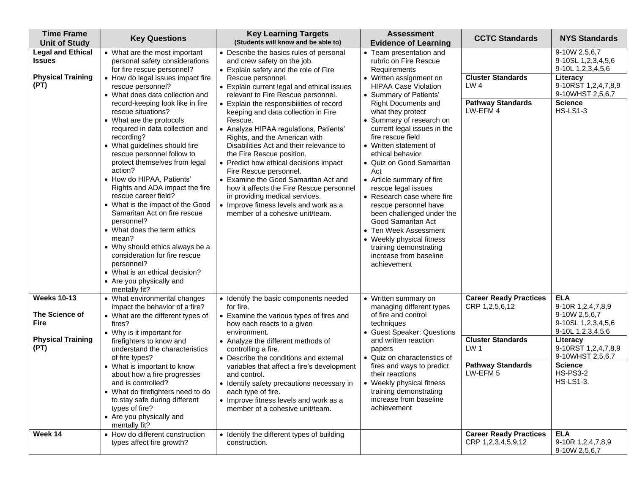| <b>Time Frame</b><br><b>Unit of Study</b>                                               | <b>Key Questions</b>                                                                                                                                                                                                                                                                                                                                                                                                                                                                                                                                                                                                                                                                                                                                                                                          | <b>Key Learning Targets</b><br>(Students will know and be able to)                                                                                                                                                                                                                                                                                                                                                                                                                                                                                                                                                                                                                                                                               | <b>Assessment</b><br><b>Evidence of Learning</b>                                                                                                                                                                                                                                                                                                                                                                                                                                                                                                                                                                                                                | <b>CCTC Standards</b>                                                                                                                             | <b>NYS Standards</b>                                                                                                                                                                                 |
|-----------------------------------------------------------------------------------------|---------------------------------------------------------------------------------------------------------------------------------------------------------------------------------------------------------------------------------------------------------------------------------------------------------------------------------------------------------------------------------------------------------------------------------------------------------------------------------------------------------------------------------------------------------------------------------------------------------------------------------------------------------------------------------------------------------------------------------------------------------------------------------------------------------------|--------------------------------------------------------------------------------------------------------------------------------------------------------------------------------------------------------------------------------------------------------------------------------------------------------------------------------------------------------------------------------------------------------------------------------------------------------------------------------------------------------------------------------------------------------------------------------------------------------------------------------------------------------------------------------------------------------------------------------------------------|-----------------------------------------------------------------------------------------------------------------------------------------------------------------------------------------------------------------------------------------------------------------------------------------------------------------------------------------------------------------------------------------------------------------------------------------------------------------------------------------------------------------------------------------------------------------------------------------------------------------------------------------------------------------|---------------------------------------------------------------------------------------------------------------------------------------------------|------------------------------------------------------------------------------------------------------------------------------------------------------------------------------------------------------|
| <b>Legal and Ethical</b><br>Issues<br><b>Physical Training</b><br>(PT)                  | • What are the most important<br>personal safety considerations<br>for fire rescue personnel?<br>• How do legal issues impact fire<br>rescue personnel?<br>• What does data collection and<br>record-keeping look like in fire<br>rescue situations?<br>• What are the protocols<br>required in data collection and<br>recording?<br>• What guidelines should fire<br>rescue personnel follow to<br>protect themselves from legal<br>action?<br>• How do HIPAA, Patients'<br>Rights and ADA impact the fire<br>rescue career field?<br>• What is the impact of the Good<br>Samaritan Act on fire rescue<br>personnel?<br>• What does the term ethics<br>mean?<br>• Why should ethics always be a<br>consideration for fire rescue<br>personnel?<br>• What is an ethical decision?<br>• Are you physically and | • Describe the basics rules of personal<br>and crew safety on the job.<br>• Explain safety and the role of Fire<br>Rescue personnel.<br>• Explain current legal and ethical issues<br>relevant to Fire Rescue personnel.<br>• Explain the responsibilities of record<br>keeping and data collection in Fire<br>Rescue.<br>• Analyze HIPAA regulations, Patients'<br>Rights, and the American with<br>Disabilities Act and their relevance to<br>the Fire Rescue position.<br>• Predict how ethical decisions impact<br>Fire Rescue personnel.<br>• Examine the Good Samaritan Act and<br>how it affects the Fire Rescue personnel<br>in providing medical services.<br>• Improve fitness levels and work as a<br>member of a cohesive unit/team. | • Team presentation and<br>rubric on Fire Rescue<br>Requirements<br>• Written assignment on<br><b>HIPAA Case Violation</b><br>• Summary of Patients'<br><b>Right Documents and</b><br>what they protect<br>• Summary of research on<br>current legal issues in the<br>fire rescue field<br>• Written statement of<br>ethical behavior<br>• Quiz on Good Samaritan<br>Act<br>• Article summary of fire<br>rescue legal issues<br>• Research case where fire<br>rescue personnel have<br>been challenged under the<br>Good Samaritan Act<br>• Ten Week Assessment<br>• Weekly physical fitness<br>training demonstrating<br>increase from baseline<br>achievement | <b>Cluster Standards</b><br>LW4<br><b>Pathway Standards</b><br>LW-EFM 4                                                                           | 9-10W 2,5,6,7<br>9-10SL 1, 2, 3, 4, 5, 6<br>9-10L 1,2,3,4,5,6<br>Literacy<br>9-10RST 1,2,4,7,8,9<br>9-10WHST 2,5,6,7<br><b>Science</b><br><b>HS-LS1-3</b>                                            |
| <b>Weeks 10-13</b><br>The Science of<br><b>Fire</b><br><b>Physical Training</b><br>(PT) | mentally fit?<br>• What environmental changes<br>impact the behavior of a fire?<br>• What are the different types of<br>fires?<br>• Why is it important for<br>firefighters to know and<br>understand the characteristics<br>of fire types?<br>• What is important to know<br>about how a fire progresses<br>and is controlled?<br>• What do firefighters need to do<br>to stay safe during different<br>types of fire?<br>• Are you physically and<br>mentally fit?                                                                                                                                                                                                                                                                                                                                          | • Identify the basic components needed<br>for fire.<br>• Examine the various types of fires and<br>how each reacts to a given<br>environment.<br>• Analyze the different methods of<br>controlling a fire.<br>• Describe the conditions and external<br>variables that affect a fire's development<br>and control.<br>• Identify safety precautions necessary in<br>each type of fire.<br>• Improve fitness levels and work as a<br>member of a cohesive unit/team.                                                                                                                                                                                                                                                                              | • Written summary on<br>managing different types<br>of fire and control<br>techniques<br>• Guest Speaker: Questions<br>and written reaction<br>papers<br>• Quiz on characteristics of<br>fires and ways to predict<br>their reactions<br>• Weekly physical fitness<br>training demonstrating<br>increase from baseline<br>achievement                                                                                                                                                                                                                                                                                                                           | <b>Career Ready Practices</b><br>CRP 1,2,5,6,12<br><b>Cluster Standards</b><br>LW <sub>1</sub><br><b>Pathway Standards</b><br>LW-EFM <sub>5</sub> | <b>ELA</b><br>9-10R 1,2,4,7,8,9<br>9-10W 2,5,6,7<br>9-10SL 1,2,3,4,5,6<br>9-10L 1,2,3,4,5,6<br>Literacy<br>9-10RST 1,2,4,7,8,9<br>9-10WHST 2,5,6,7<br><b>Science</b><br><b>HS-PS3-2</b><br>HS-LS1-3. |
| Week 14                                                                                 | • How do different construction<br>types affect fire growth?                                                                                                                                                                                                                                                                                                                                                                                                                                                                                                                                                                                                                                                                                                                                                  | • Identify the different types of building<br>construction.                                                                                                                                                                                                                                                                                                                                                                                                                                                                                                                                                                                                                                                                                      |                                                                                                                                                                                                                                                                                                                                                                                                                                                                                                                                                                                                                                                                 | <b>Career Ready Practices</b><br>CRP 1,2,3,4,5,9,12                                                                                               | <b>ELA</b><br>9-10R 1,2,4,7,8,9<br>9-10W 2,5,6,7                                                                                                                                                     |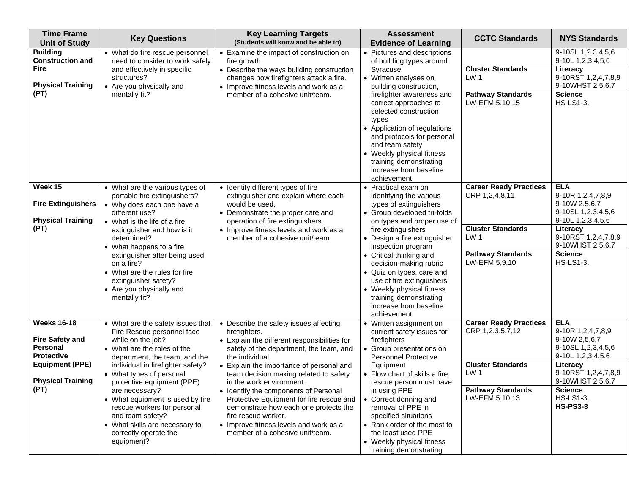| <b>Time Frame</b><br><b>Unit of Study</b>                                                                                                   | <b>Key Questions</b>                                                                                                                                                                                                                                                                                                                                                                                                                  | <b>Key Learning Targets</b><br>(Students will know and be able to)                                                                                                                                                                                                                                                                                                                                                                                                                                                        | <b>Assessment</b><br><b>Evidence of Learning</b>                                                                                                                                                                                                                                                                                                                                                                                 | <b>CCTC Standards</b>                                                                                                                          | <b>NYS Standards</b>                                                                                                                                                                                        |
|---------------------------------------------------------------------------------------------------------------------------------------------|---------------------------------------------------------------------------------------------------------------------------------------------------------------------------------------------------------------------------------------------------------------------------------------------------------------------------------------------------------------------------------------------------------------------------------------|---------------------------------------------------------------------------------------------------------------------------------------------------------------------------------------------------------------------------------------------------------------------------------------------------------------------------------------------------------------------------------------------------------------------------------------------------------------------------------------------------------------------------|----------------------------------------------------------------------------------------------------------------------------------------------------------------------------------------------------------------------------------------------------------------------------------------------------------------------------------------------------------------------------------------------------------------------------------|------------------------------------------------------------------------------------------------------------------------------------------------|-------------------------------------------------------------------------------------------------------------------------------------------------------------------------------------------------------------|
| <b>Building</b><br><b>Construction and</b><br>Fire<br><b>Physical Training</b><br>(PT)                                                      | • What do fire rescue personnel<br>need to consider to work safely<br>and effectively in specific<br>structures?<br>• Are you physically and<br>mentally fit?                                                                                                                                                                                                                                                                         | • Examine the impact of construction on<br>fire growth.<br>• Describe the ways building construction<br>changes how firefighters attack a fire.<br>• Improve fitness levels and work as a<br>member of a cohesive unit/team.                                                                                                                                                                                                                                                                                              | • Pictures and descriptions<br>of building types around<br>Syracuse<br>• Written analyses on<br>building construction,<br>firefighter awareness and<br>correct approaches to<br>selected construction<br>types<br>• Application of regulations<br>and protocols for personal<br>and team safety<br>• Weekly physical fitness<br>training demonstrating<br>increase from baseline<br>achievement                                  | <b>Cluster Standards</b><br>LW <sub>1</sub><br><b>Pathway Standards</b><br>LW-EFM 5,10,15                                                      | 9-10SL 1, 2, 3, 4, 5, 6<br>9-10L 1, 2, 3, 4, 5, 6<br>Literacy<br>9-10RST 1,2,4,7,8,9<br>9-10WHST 2,5,6,7<br><b>Science</b><br><b>HS-LS1-3.</b>                                                              |
| Week 15<br><b>Fire Extinguishers</b><br><b>Physical Training</b><br>(PT)                                                                    | • What are the various types of<br>portable fire extinguishers?<br>• Why does each one have a<br>different use?<br>• What is the life of a fire<br>extinguisher and how is it<br>determined?<br>• What happens to a fire<br>extinguisher after being used<br>on a fire?<br>• What are the rules for fire<br>extinguisher safety?<br>• Are you physically and<br>mentally fit?                                                         | • Identify different types of fire<br>extinguisher and explain where each<br>would be used.<br>• Demonstrate the proper care and<br>operation of fire extinguishers.<br>• Improve fitness levels and work as a<br>member of a cohesive unit/team.                                                                                                                                                                                                                                                                         | • Practical exam on<br>identifying the various<br>types of extinguishers<br>• Group developed tri-folds<br>on types and proper use of<br>fire extinguishers<br>• Design a fire extinguisher<br>inspection program<br>• Critical thinking and<br>decision-making rubric<br>• Quiz on types, care and<br>use of fire extinguishers<br>• Weekly physical fitness<br>training demonstrating<br>increase from baseline<br>achievement | <b>Career Ready Practices</b><br>CRP 1,2,4,8,11<br><b>Cluster Standards</b><br>LW <sub>1</sub><br><b>Pathway Standards</b><br>LW-EFM 5,9,10    | <b>ELA</b><br>9-10R 1,2,4,7,8,9<br>9-10W 2,5,6,7<br>9-10SL 1,2,3,4,5,6<br>9-10L 1, 2, 3, 4, 5, 6<br>Literacy<br>9-10RST 1,2,4,7,8,9<br>9-10WHST 2,5,6,7<br><b>Science</b><br><b>HS-LS1-3.</b>               |
| <b>Weeks 16-18</b><br><b>Fire Safety and</b><br>Personal<br><b>Protective</b><br><b>Equipment (PPE)</b><br><b>Physical Training</b><br>(PT) | • What are the safety issues that<br>Fire Rescue personnel face<br>while on the job?<br>• What are the roles of the<br>department, the team, and the<br>individual in firefighter safety?<br>• What types of personal<br>protective equipment (PPE)<br>are necessary?<br>• What equipment is used by fire<br>rescue workers for personal<br>and team safety?<br>• What skills are necessary to<br>correctly operate the<br>equipment? | • Describe the safety issues affecting<br>firefighters.<br>• Explain the different responsibilities for<br>safety of the department, the team, and<br>the individual.<br>• Explain the importance of personal and<br>team decision making related to safety<br>in the work environment.<br>• Identify the components of Personal<br>Protective Equipment for fire rescue and<br>demonstrate how each one protects the<br>fire rescue worker.<br>• Improve fitness levels and work as a<br>member of a cohesive unit/team. | • Written assignment on<br>current safety issues for<br>firefighters<br>• Group presentations on<br>Personnel Protective<br>Equipment<br>• Flow chart of skills a fire<br>rescue person must have<br>in using PPE<br>• Correct donning and<br>removal of PPE in<br>specified situations<br>• Rank order of the most to<br>the least used PPE<br>• Weekly physical fitness<br>training demonstrating                              | <b>Career Ready Practices</b><br>CRP 1,2,3,5,7,12<br><b>Cluster Standards</b><br>LW <sub>1</sub><br><b>Pathway Standards</b><br>LW-EFM 5,10,13 | <b>ELA</b><br>9-10R 1,2,4,7,8,9<br>9-10W 2,5,6,7<br>9-10SL 1,2,3,4,5,6<br>9-10L 1,2,3,4,5,6<br>Literacy<br>9-10RST 1,2,4,7,8,9<br>9-10WHST 2,5,6,7<br><b>Science</b><br><b>HS-LS1-3.</b><br><b>HS-PS3-3</b> |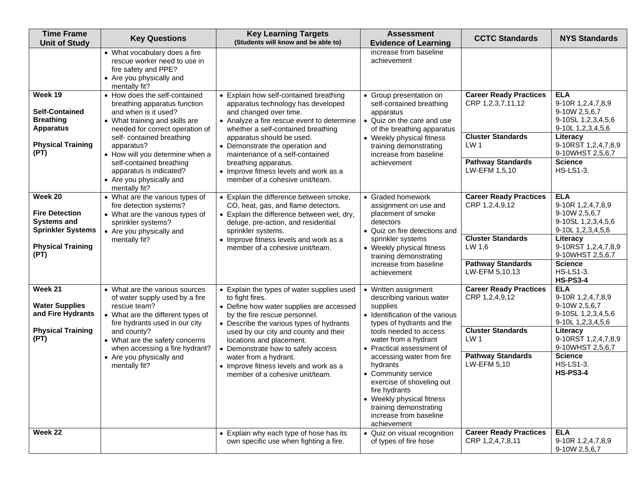| <b>Time Frame</b><br><b>Unit of Study</b>                                                                              | <b>Key Questions</b>                                                                                                                                                                                                                                                                                                        | <b>Key Learning Targets</b><br>(Students will know and be able to)                                                                                                                                                                                                                                                                                                                                      | <b>Assessment</b><br><b>Evidence of Learning</b>                                                                                                                                                                                                                                                                                                                                                                          | <b>CCTC Standards</b>                                                                                                                          | <b>NYS Standards</b>                                                                                                                                                                                             |
|------------------------------------------------------------------------------------------------------------------------|-----------------------------------------------------------------------------------------------------------------------------------------------------------------------------------------------------------------------------------------------------------------------------------------------------------------------------|---------------------------------------------------------------------------------------------------------------------------------------------------------------------------------------------------------------------------------------------------------------------------------------------------------------------------------------------------------------------------------------------------------|---------------------------------------------------------------------------------------------------------------------------------------------------------------------------------------------------------------------------------------------------------------------------------------------------------------------------------------------------------------------------------------------------------------------------|------------------------------------------------------------------------------------------------------------------------------------------------|------------------------------------------------------------------------------------------------------------------------------------------------------------------------------------------------------------------|
|                                                                                                                        | • What vocabulary does a fire<br>rescue worker need to use in<br>fire safety and PPE?<br>• Are you physically and<br>mentally fit?                                                                                                                                                                                          |                                                                                                                                                                                                                                                                                                                                                                                                         | increase from baseline<br>achievement                                                                                                                                                                                                                                                                                                                                                                                     |                                                                                                                                                |                                                                                                                                                                                                                  |
| Week 19<br><b>Self-Contained</b><br><b>Breathing</b><br><b>Apparatus</b><br><b>Physical Training</b><br>(PT)           | • How does the self-contained<br>breathing apparatus function<br>and when is it used?<br>• What training and skills are<br>needed for correct operation of<br>self- contained breathing<br>apparatus?<br>• How will you determine when a<br>self-contained breathing<br>apparatus is indicated?<br>• Are you physically and | • Explain how self-contained breathing<br>apparatus technology has developed<br>and changed over time.<br>• Analyze a fire rescue event to determine<br>whether a self-contained breathing<br>apparatus should be used.<br>• Demonstrate the operation and<br>maintenance of a self-contained<br>breathing apparatus.<br>• Improve fitness levels and work as a<br>member of a cohesive unit/team.      | • Group presentation on<br>self-contained breathing<br>apparatus<br>• Quiz on the care and use<br>of the breathing apparatus<br>• Weekly physical fitness<br>training demonstrating<br>increase from baseline<br>achievement                                                                                                                                                                                              | <b>Career Ready Practices</b><br>CRP 1,2,3,7,11,12<br><b>Cluster Standards</b><br>LW <sub>1</sub><br><b>Pathway Standards</b><br>LW-EFM 1,5,10 | <b>ELA</b><br>9-10R 1,2,4,7,8,9<br>9-10W 2,5,6,7<br>9-10SL 1, 2, 3, 4, 5, 6<br>9-10L 1,2,3,4,5,6<br>Literacy<br>9-10RST 1,2,4,7,8,9<br>9-10WHST 2,5,6,7<br><b>Science</b><br><b>HS-LS1-3.</b>                    |
| Week 20<br><b>Fire Detection</b><br><b>Systems and</b><br><b>Sprinkler Systems</b><br><b>Physical Training</b><br>(PT) | mentally fit?<br>• What are the various types of<br>fire detection systems?<br>• What are the various types of<br>sprinkler systems?<br>• Are you physically and<br>mentally fit?                                                                                                                                           | • Explain the difference between smoke,<br>CO, heat, gas, and flame detectors.<br>• Explain the difference between wet, dry,<br>deluge, pre-action, and residential<br>sprinkler systems.<br>• Improve fitness levels and work as a<br>member of a cohesive unit/team.                                                                                                                                  | • Graded homework<br>assignment on use and<br>placement of smoke<br>detectors<br>• Quiz on fire detections and<br>sprinkler systems<br>• Weekly physical fitness<br>training demonstrating<br>increase from baseline<br>achievement                                                                                                                                                                                       | <b>Career Ready Practices</b><br>CRP 1,2,4,9,12<br><b>Cluster Standards</b><br>LW 1,6<br><b>Pathway Standards</b><br>LW-EFM 5,10,13            | <b>ELA</b><br>9-10R 1,2,4,7,8,9<br>9-10W 2,5,6,7<br>9-10SL 1,2,3,4,5,6<br>9-10L 1,2,3,4,5,6<br>Literacy<br>9-10RST 1,2,4,7,8,9<br>9-10WHST 2,5,6,7<br><b>Science</b><br><b>HS-LS1-3.</b><br><b>HS-PS3-4</b>      |
| Week 21<br><b>Water Supplies</b><br>and Fire Hydrants<br><b>Physical Training</b><br>(PT)                              | • What are the various sources<br>of water supply used by a fire<br>rescue team?<br>• What are the different types of<br>fire hydrants used in our city<br>and county?<br>• What are the safety concerns<br>when accessing a fire hydrant?<br>• Are you physically and<br>mentally fit?                                     | • Explain the types of water supplies used<br>to fight fires.<br>• Define how water supplies are accessed<br>by the fire rescue personnel.<br>• Describe the various types of hydrants<br>used by our city and county and their<br>locations and placement.<br>• Demonstrate how to safely access<br>water from a hydrant.<br>• Improve fitness levels and work as a<br>member of a cohesive unit/team. | • Written assignment<br>describing various water<br>supplies<br>• Identification of the various<br>types of hydrants and the<br>tools needed to access<br>water from a hydrant<br>• Practical assessment of<br>accessing water from fire<br>hydrants<br>• Community service<br>exercise of shoveling out<br>fire hydrants<br>• Weekly physical fitness<br>training demonstrating<br>increase from baseline<br>achievement | <b>Career Ready Practices</b><br>CRP 1,2,4,9,12<br><b>Cluster Standards</b><br>LW <sub>1</sub><br><b>Pathway Standards</b><br>LW-EFM 5,10      | <b>ELA</b><br>9-10R 1,2,4,7,8,9<br>9-10W 2,5,6,7<br>9-10SL 1, 2, 3, 4, 5, 6<br>9-10L 1,2,3,4,5,6<br>Literacy<br>9-10RST 1,2,4,7,8,9<br>9-10WHST 2,5,6,7<br><b>Science</b><br><b>HS-LS1-3.</b><br><b>HS-PS3-4</b> |
| Week 22                                                                                                                |                                                                                                                                                                                                                                                                                                                             | • Explain why each type of hose has its<br>own specific use when fighting a fire.                                                                                                                                                                                                                                                                                                                       | • Quiz on visual recognition<br>of types of fire hose                                                                                                                                                                                                                                                                                                                                                                     | <b>Career Ready Practices</b><br>CRP 1,2,4,7,8,11                                                                                              | <b>ELA</b><br>9-10R 1,2,4,7,8,9<br>9-10W 2,5,6,7                                                                                                                                                                 |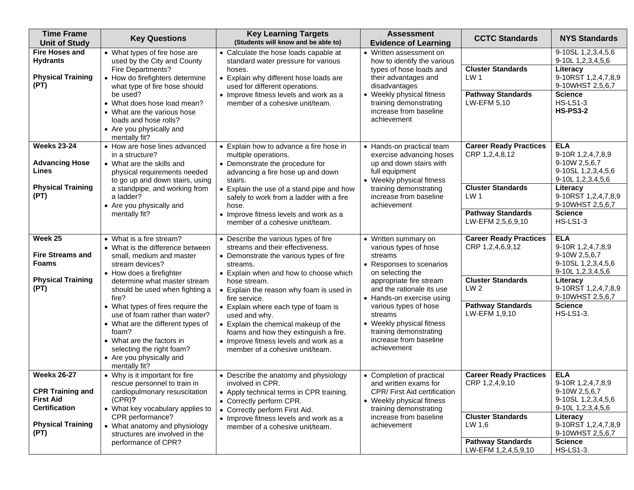| <b>Time Frame</b><br><b>Unit of Study</b>                                                                                     | <b>Key Questions</b>                                                                                                                                                                                                                                                                                                                                                                                                                           | <b>Key Learning Targets</b><br>(Students will know and be able to)                                                                                                                                                                                                                                                                                                                                                                                                            | <b>Assessment</b><br><b>Evidence of Learning</b>                                                                                                                                                                                                                                                                                  | <b>CCTC Standards</b>                                                                                                                         | <b>NYS Standards</b>                                                                                                                                                                          |
|-------------------------------------------------------------------------------------------------------------------------------|------------------------------------------------------------------------------------------------------------------------------------------------------------------------------------------------------------------------------------------------------------------------------------------------------------------------------------------------------------------------------------------------------------------------------------------------|-------------------------------------------------------------------------------------------------------------------------------------------------------------------------------------------------------------------------------------------------------------------------------------------------------------------------------------------------------------------------------------------------------------------------------------------------------------------------------|-----------------------------------------------------------------------------------------------------------------------------------------------------------------------------------------------------------------------------------------------------------------------------------------------------------------------------------|-----------------------------------------------------------------------------------------------------------------------------------------------|-----------------------------------------------------------------------------------------------------------------------------------------------------------------------------------------------|
| <b>Fire Hoses and</b><br><b>Hydrants</b><br><b>Physical Training</b><br>(PT)                                                  | • What types of fire hose are<br>used by the City and County<br>Fire Departments?<br>• How do firefighters determine<br>what type of fire hose should<br>be used?<br>• What does hose load mean?<br>• What are the various hose<br>loads and hose rolls?<br>• Are you physically and<br>mentally fit?                                                                                                                                          | • Calculate the hose loads capable at<br>standard water pressure for various<br>hoses.<br>• Explain why different hose loads are<br>used for different operations.<br>• Improve fitness levels and work as a<br>member of a cohesive unit/team.                                                                                                                                                                                                                               | • Written assessment on<br>how to identify the various<br>types of hose loads and<br>their advantages and<br>disadvantages<br>• Weekly physical fitness<br>training demonstrating<br>increase from baseline<br>achievement                                                                                                        | <b>Cluster Standards</b><br>LW <sub>1</sub><br><b>Pathway Standards</b><br>LW-EFM 5,10                                                        | 9-10SL 1,2,3,4,5,6<br>9-10L 1,2,3,4,5,6<br>Literacy<br>9-10RST 1,2,4,7,8,9<br>9-10WHST 2,5,6,7<br><b>Science</b><br><b>HS-LS1-3</b><br><b>HS-PS3-2</b>                                        |
| <b>Weeks 23-24</b><br><b>Advancing Hose</b><br>Lines<br><b>Physical Training</b><br>(PT)                                      | • How are hose lines advanced<br>in a structure?<br>• What are the skills and<br>physical requirements needed<br>to go up and down stairs, using<br>a standpipe, and working from<br>a ladder?<br>• Are you physically and<br>mentally fit?                                                                                                                                                                                                    | • Explain how to advance a fire hose in<br>multiple operations.<br>• Demonstrate the procedure for<br>advancing a fire hose up and down<br>stairs.<br>• Explain the use of a stand pipe and how<br>safely to work from a ladder with a fire<br>hose.<br>Improve fitness levels and work as a<br>member of a cohesive unit/team.                                                                                                                                               | • Hands-on practical team<br>exercise advancing hoses<br>up and down stairs with<br>full equipment<br>• Weekly physical fitness<br>training demonstrating<br>increase from baseline<br>achievement                                                                                                                                | <b>Career Ready Practices</b><br>CRP 1,2,4,8,12<br><b>Cluster Standards</b><br>LW 1<br><b>Pathway Standards</b><br>LW-EFM 2,5,6,9,10          | <b>ELA</b><br>9-10R 1,2,4,7,8,9<br>9-10W 2,5,6,7<br>9-10SL 1,2,3,4,5,6<br>9-10L 1,2,3,4,5,6<br>Literacy<br>9-10RST 1,2,4,7,8,9<br>9-10WHST 2,5,6,7<br><b>Science</b><br><b>HS-LS1-3</b>       |
| Week 25<br><b>Fire Streams and</b><br>Foams<br><b>Physical Training</b><br>(PT)                                               | • What is a fire stream?<br>• What is the difference between<br>small, medium and master<br>stream devices?<br>• How does a firefighter<br>determine what master stream<br>should be used when fighting a<br>fire?<br>• What types of fires require the<br>use of foam rather than water?<br>• What are the different types of<br>foam?<br>• What are the factors in<br>selecting the right foam?<br>• Are you physically and<br>mentally fit? | • Describe the various types of fire<br>streams and their effectiveness.<br>• Demonstrate the various types of fire<br>streams.<br>• Explain when and how to choose which<br>hose stream.<br>• Explain the reason why foam is used in<br>fire service.<br>• Explain where each type of foam is<br>used and why.<br>• Explain the chemical makeup of the<br>foams and how they extinguish a fire.<br>• Improve fitness levels and work as a<br>member of a cohesive unit/team. | • Written summary on<br>various types of hose<br>streams<br>• Responses to scenarios<br>on selecting the<br>appropriate fire stream<br>and the rationale its use<br>• Hands-on exercise using<br>various types of hose<br>streams<br>• Weekly physical fitness<br>training demonstrating<br>increase from baseline<br>achievement | <b>Career Ready Practices</b><br>CRP 1,2,4,6,9,12<br><b>Cluster Standards</b><br>LW <sub>2</sub><br><b>Pathway Standards</b><br>LW-EFM 1,9,10 | <b>ELA</b><br>9-10R 1,2,4,7,8,9<br>9-10W 2,5,6,7<br>9-10SL 1,2,3,4,5,6<br>9-10L 1,2,3,4,5,6<br>Literacy<br>9-10RST 1,2,4,7,8,9<br>9-10WHST 2,5,6,7<br><b>Science</b><br><b>HS-LS1-3.</b>      |
| <b>Weeks 26-27</b><br><b>CPR Training and</b><br><b>First Aid</b><br><b>Certification</b><br><b>Physical Training</b><br>(PT) | • Why is it important for fire<br>rescue personnel to train in<br>cardiopulmonary resuscitation<br>$(CPR)$ ?<br>• What key vocabulary applies to<br>CPR performance?<br>• What anatomy and physiology<br>structures are involved in the<br>performance of CPR?                                                                                                                                                                                 | • Describe the anatomy and physiology<br>involved in CPR.<br>• Apply technical terms in CPR training.<br>• Correctly perform CPR.<br>• Correctly perform First Aid.<br>• Improve fitness levels and work as a<br>member of a cohesive unit/team.                                                                                                                                                                                                                              | • Completion of practical<br>and written exams for<br>CPR/ First Aid certification<br>• Weekly physical fitness<br>training demonstrating<br>increase from baseline<br>achievement                                                                                                                                                | <b>Career Ready Practices</b><br>CRP 1,2,4,9,10<br><b>Cluster Standards</b><br>LW 1,6<br><b>Pathway Standards</b><br>LW-EFM 1,2,4,5,9,10      | <b>ELA</b><br>9-10R 1,2,4,7,8,9<br>9-10W 2,5,6,7<br>9-10SL 1, 2, 3, 4, 5, 6<br>9-10L 1,2,3,4,5,6<br>Literacy<br>9-10RST 1,2,4,7,8,9<br>9-10WHST 2,5,6,7<br><b>Science</b><br><b>HS-LS1-3.</b> |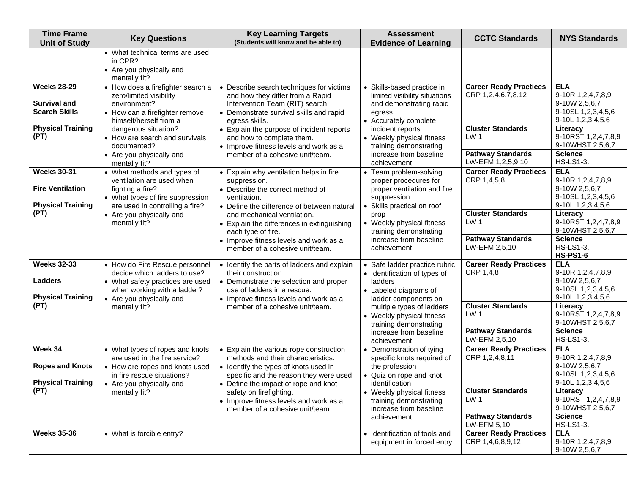| <b>Time Frame</b><br><b>Unit of Study</b>                                                     | <b>Key Questions</b>                                                                                                                                                            | <b>Key Learning Targets</b><br>(Students will know and be able to)                                                                                                                                                        | <b>Assessment</b><br><b>Evidence of Learning</b>                                                                                              | <b>CCTC Standards</b>                                                                         | <b>NYS Standards</b>                                                                                              |
|-----------------------------------------------------------------------------------------------|---------------------------------------------------------------------------------------------------------------------------------------------------------------------------------|---------------------------------------------------------------------------------------------------------------------------------------------------------------------------------------------------------------------------|-----------------------------------------------------------------------------------------------------------------------------------------------|-----------------------------------------------------------------------------------------------|-------------------------------------------------------------------------------------------------------------------|
|                                                                                               | • What technical terms are used<br>in CPR?<br>• Are you physically and<br>mentally fit?                                                                                         |                                                                                                                                                                                                                           |                                                                                                                                               |                                                                                               |                                                                                                                   |
| <b>Weeks 28-29</b><br><b>Survival and</b><br><b>Search Skills</b><br><b>Physical Training</b> | • How does a firefighter search a<br>zero/limited visibility<br>environment?<br>• How can a firefighter remove<br>himself/herself from a<br>dangerous situation?                | • Describe search techniques for victims<br>and how they differ from a Rapid<br>Intervention Team (RIT) search.<br>• Demonstrate survival skills and rapid<br>egress skills.<br>• Explain the purpose of incident reports | • Skills-based practice in<br>limited visibility situations<br>and demonstrating rapid<br>egress<br>• Accurately complete<br>incident reports | <b>Career Ready Practices</b><br>CRP 1,2,4,6,7,8,12<br><b>Cluster Standards</b>               | <b>ELA</b><br>9-10R 1,2,4,7,8,9<br>9-10W 2,5,6,7<br>9-10SL 1, 2, 3, 4, 5, 6<br>9-10L 1, 2, 3, 4, 5, 6<br>Literacy |
| (PT)                                                                                          | • How are search and survivals<br>documented?<br>• Are you physically and<br>mentally fit?                                                                                      | and how to complete them.<br>• Improve fitness levels and work as a<br>member of a cohesive unit/team.                                                                                                                    | • Weekly physical fitness<br>training demonstrating<br>increase from baseline<br>achievement                                                  | LW <sub>1</sub><br><b>Pathway Standards</b><br>LW-EFM 1,2,5,9,10                              | 9-10RST 1,2,4,7,8,9<br>9-10WHST 2,5,6,7<br><b>Science</b><br><b>HS-LS1-3.</b>                                     |
| <b>Weeks 30-31</b><br><b>Fire Ventilation</b><br><b>Physical Training</b><br>(PT)             | • What methods and types of<br>ventilation are used when<br>fighting a fire?<br>• What types of fire suppression<br>are used in controlling a fire?<br>• Are you physically and | • Explain why ventilation helps in fire<br>suppression.<br>• Describe the correct method of<br>ventilation.<br>• Define the difference of between natural                                                                 | • Team problem-solving<br>proper procedures for<br>proper ventilation and fire<br>suppression<br>Skills practical on roof<br>prop             | <b>Career Ready Practices</b><br>CRP 1,4,5,8<br><b>Cluster Standards</b>                      | <b>ELA</b><br>9-10R 1,2,4,7,8,9<br>9-10W 2,5,6,7<br>9-10SL 1, 2, 3, 4, 5, 6<br>9-10L 1, 2, 3, 4, 5, 6<br>Literacy |
|                                                                                               | mentally fit?                                                                                                                                                                   | and mechanical ventilation.<br>• Explain the differences in extinguishing<br>each type of fire.<br>• Improve fitness levels and work as a<br>member of a cohesive unit/team.                                              | • Weekly physical fitness<br>training demonstrating<br>increase from baseline<br>achievement                                                  | LW <sub>1</sub><br><b>Pathway Standards</b><br>LW-EFM 2,5,10                                  | 9-10RST 1,2,4,7,8,9<br>9-10WHST 2,5,6,7<br><b>Science</b><br><b>HS-LS1-3.</b><br><b>HS-PS1-6</b>                  |
| <b>Weeks 32-33</b><br><b>Ladders</b><br><b>Physical Training</b>                              | • How do Fire Rescue personnel<br>decide which ladders to use?<br>• What safety practices are used<br>when working with a ladder?<br>• Are you physically and                   | • Identify the parts of ladders and explain<br>their construction.<br>• Demonstrate the selection and proper<br>use of ladders in a rescue.<br>• Improve fitness levels and work as a                                     | • Safe ladder practice rubric<br>• Identification of types of<br>ladders<br>• Labeled diagrams of<br>ladder components on                     | <b>Career Ready Practices</b><br>CRP 1,4,8                                                    | <b>ELA</b><br>9-10R 1,2,4,7,8,9<br>9-10W 2,5,6,7<br>9-10SL 1, 2, 3, 4, 5, 6<br>9-10L 1, 2, 3, 4, 5, 6             |
| (PT)                                                                                          | mentally fit?                                                                                                                                                                   | member of a cohesive unit/team.                                                                                                                                                                                           | multiple types of ladders<br>• Weekly physical fitness<br>training demonstrating<br>increase from baseline                                    | <b>Cluster Standards</b><br>LW <sub>1</sub><br><b>Pathway Standards</b><br>LW-EFM 2,5,10      | Literacy<br>9-10RST 1,2,4,7,8,9<br>9-10WHST 2,5,6,7<br><b>Science</b><br><b>HS-LS1-3.</b>                         |
| Week 34<br><b>Ropes and Knots</b><br><b>Physical Training</b>                                 | • What types of ropes and knots<br>are used in the fire service?<br>• How are ropes and knots used<br>in fire rescue situations?<br>• Are you physically and                    | • Explain the various rope construction<br>methods and their characteristics.<br>• Identify the types of knots used in<br>specific and the reason they were used.<br>• Define the impact of rope and knot                 | achievement<br>• Demonstration of tying<br>specific knots required of<br>the profession<br>• Quiz on rope and knot<br>identification          | <b>Career Ready Practices</b><br>CRP 1,2,4,8,11                                               | <b>ELA</b><br>9-10R 1,2,4,7,8,9<br>9-10W 2,5,6,7<br>9-10SL 1,2,3,4,5,6<br>9-10L 1, 2, 3, 4, 5, 6                  |
| (PT)                                                                                          | mentally fit?                                                                                                                                                                   | safety on firefighting.<br>• Improve fitness levels and work as a<br>member of a cohesive unit/team.                                                                                                                      | • Weekly physical fitness<br>training demonstrating<br>increase from baseline<br>achievement                                                  | <b>Cluster Standards</b><br>LW <sub>1</sub><br><b>Pathway Standards</b><br><b>LW-EFM 5,10</b> | Literacy<br>9-10RST 1,2,4,7,8,9<br>9-10WHST 2,5,6,7<br><b>Science</b><br><b>HS-LS1-3.</b>                         |
| <b>Weeks 35-36</b>                                                                            | • What is forcible entry?                                                                                                                                                       |                                                                                                                                                                                                                           | • Identification of tools and<br>equipment in forced entry                                                                                    | <b>Career Ready Practices</b><br>CRP 1,4,6,8,9,12                                             | <b>ELA</b><br>9-10R 1,2,4,7,8,9<br>9-10W 2,5,6,7                                                                  |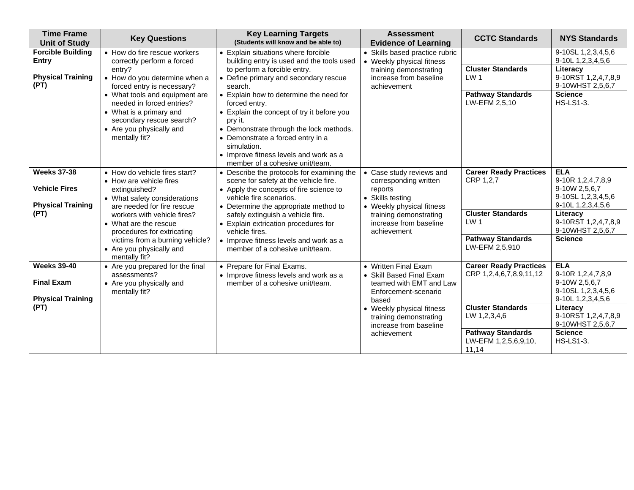| <b>Time Frame</b><br><b>Unit of Study</b>                              | <b>Key Questions</b>                                                                                                                                            | <b>Key Learning Targets</b><br>(Students will know and be able to)                                                                                                                                                                                                                            | <b>Assessment</b><br><b>Evidence of Learning</b>                                                              | <b>CCTC Standards</b>                                     | <b>NYS Standards</b>                                                                             |
|------------------------------------------------------------------------|-----------------------------------------------------------------------------------------------------------------------------------------------------------------|-----------------------------------------------------------------------------------------------------------------------------------------------------------------------------------------------------------------------------------------------------------------------------------------------|---------------------------------------------------------------------------------------------------------------|-----------------------------------------------------------|--------------------------------------------------------------------------------------------------|
| <b>Forcible Building</b><br><b>Entry</b>                               | • How do fire rescue workers<br>correctly perform a forced                                                                                                      | • Explain situations where forcible<br>building entry is used and the tools used                                                                                                                                                                                                              | • Skills based practice rubric<br>• Weekly physical fitness                                                   |                                                           | 9-10SL 1, 2, 3, 4, 5, 6<br>9-10L 1, 2, 3, 4, 5, 6                                                |
| <b>Physical Training</b><br>(PT)                                       | entry?<br>• How do you determine when a<br>forced entry is necessary?                                                                                           | to perform a forcible entry.<br>• Define primary and secondary rescue<br>search.                                                                                                                                                                                                              | training demonstrating<br>increase from baseline<br>achievement                                               | <b>Cluster Standards</b><br>LW <sub>1</sub>               | Literacy<br>9-10RST 1,2,4,7,8,9<br>9-10WHST 2,5,6,7                                              |
|                                                                        | • What tools and equipment are<br>needed in forced entries?<br>• What is a primary and<br>secondary rescue search?<br>• Are you physically and<br>mentally fit? | • Explain how to determine the need for<br>forced entry.<br>• Explain the concept of try it before you<br>pry it.<br>• Demonstrate through the lock methods.<br>• Demonstrate a forced entry in a<br>simulation.<br>• Improve fitness levels and work as a<br>member of a cohesive unit/team. |                                                                                                               | <b>Pathway Standards</b><br>LW-EFM 2,5,10                 | <b>Science</b><br><b>HS-LS1-3.</b>                                                               |
| <b>Weeks 37-38</b><br><b>Vehicle Fires</b><br><b>Physical Training</b> | • How do vehicle fires start?<br>• How are vehicle fires<br>extinguished?<br>• What safety considerations<br>are needed for fire rescue                         | • Describe the protocols for examining the<br>scene for safety at the vehicle fire.<br>• Apply the concepts of fire science to<br>vehicle fire scenarios.<br>• Determine the appropriate method to                                                                                            | • Case study reviews and<br>corresponding written<br>reports<br>• Skills testing<br>• Weekly physical fitness | <b>Career Ready Practices</b><br>CRP 1,2,7                | <b>ELA</b><br>9-10R 1,2,4,7,8,9<br>9-10W 2,5,6,7<br>9-10SL 1, 2, 3, 4, 5, 6<br>9-10L 1,2,3,4,5,6 |
| (PT)                                                                   | workers with vehicle fires?<br>• What are the rescue<br>procedures for extricating                                                                              | safely extinguish a vehicle fire.<br>• Explain extrication procedures for<br>vehicle fires.                                                                                                                                                                                                   | training demonstrating<br>increase from baseline<br>achievement                                               | <b>Cluster Standards</b><br>LW <sub>1</sub>               | Literacy<br>9-10RST 1,2,4,7,8,9<br>9-10WHST 2,5,6,7                                              |
|                                                                        | victims from a burning vehicle?<br>• Are you physically and<br>mentally fit?                                                                                    | • Improve fitness levels and work as a<br>member of a cohesive unit/team.                                                                                                                                                                                                                     |                                                                                                               | <b>Pathway Standards</b><br>LW-EFM 2,5,910                | <b>Science</b>                                                                                   |
| <b>Weeks 39-40</b><br><b>Final Exam</b><br><b>Physical Training</b>    | • Are you prepared for the final<br>assessments?<br>• Are you physically and<br>mentally fit?                                                                   | • Prepare for Final Exams.<br>• Improve fitness levels and work as a<br>member of a cohesive unit/team.                                                                                                                                                                                       | • Written Final Exam<br>• Skill Based Final Exam<br>teamed with EMT and Law<br>Enforcement-scenario<br>based  | <b>Career Ready Practices</b><br>CRP 1,2,4,6,7,8,9,11,12  | <b>ELA</b><br>9-10R 1,2,4,7,8,9<br>9-10W 2,5,6,7<br>9-10SL 1, 2, 3, 4, 5, 6<br>9-10L 1,2,3,4,5,6 |
| (PT)                                                                   |                                                                                                                                                                 |                                                                                                                                                                                                                                                                                               | • Weekly physical fitness<br>training demonstrating<br>increase from baseline                                 | <b>Cluster Standards</b><br>LW 1,2,3,4,6                  | Literacy<br>9-10RST 1,2,4,7,8,9<br>9-10WHST 2,5,6,7                                              |
|                                                                        |                                                                                                                                                                 |                                                                                                                                                                                                                                                                                               | achievement                                                                                                   | <b>Pathway Standards</b><br>LW-EFM 1,2,5,6,9,10,<br>11,14 | <b>Science</b><br><b>HS-LS1-3.</b>                                                               |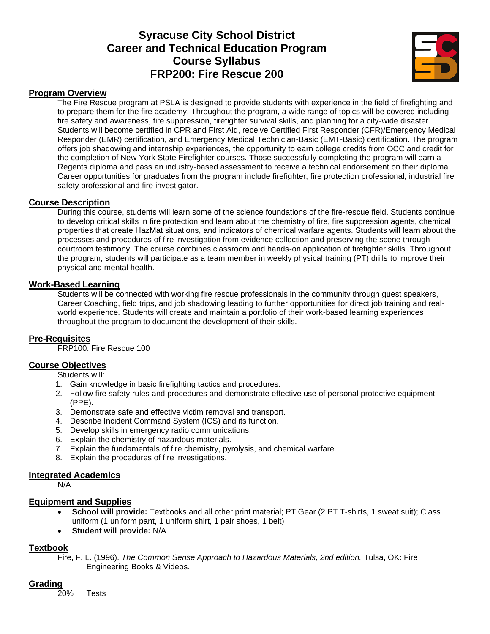# **Syracuse City School District Career and Technical Education Program Course Syllabus FRP200: Fire Rescue 200**



#### **Program Overview**

The Fire Rescue program at PSLA is designed to provide students with experience in the field of firefighting and to prepare them for the fire academy. Throughout the program, a wide range of topics will be covered including fire safety and awareness, fire suppression, firefighter survival skills, and planning for a city-wide disaster. Students will become certified in CPR and First Aid, receive Certified First Responder (CFR)/Emergency Medical Responder (EMR) certification, and Emergency Medical Technician-Basic (EMT-Basic) certification. The program offers job shadowing and internship experiences, the opportunity to earn college credits from OCC and credit for the completion of New York State Firefighter courses. Those successfully completing the program will earn a Regents diploma and pass an industry-based assessment to receive a technical endorsement on their diploma. Career opportunities for graduates from the program include firefighter, fire protection professional, industrial fire safety professional and fire investigator.

#### **Course Description**

During this course, students will learn some of the science foundations of the fire-rescue field. Students continue to develop critical skills in fire protection and learn about the chemistry of fire, fire suppression agents, chemical properties that create HazMat situations, and indicators of chemical warfare agents. Students will learn about the processes and procedures of fire investigation from evidence collection and preserving the scene through courtroom testimony. The course combines classroom and hands-on application of firefighter skills. Throughout the program, students will participate as a team member in weekly physical training (PT) drills to improve their physical and mental health.

#### **Work-Based Learning**

Students will be connected with working fire rescue professionals in the community through guest speakers, Career Coaching, field trips, and job shadowing leading to further opportunities for direct job training and realworld experience. Students will create and maintain a portfolio of their work-based learning experiences throughout the program to document the development of their skills.

## **Pre-Requisites**

FRP100: Fire Rescue 100

## **Course Objectives**

Students will:

- 1. Gain knowledge in basic firefighting tactics and procedures.
- 2. Follow fire safety rules and procedures and demonstrate effective use of personal protective equipment (PPE).
- 3. Demonstrate safe and effective victim removal and transport.
- 4. Describe Incident Command System (ICS) and its function.
- 5. Develop skills in emergency radio communications.
- 6. Explain the chemistry of hazardous materials.
- 7. Explain the fundamentals of fire chemistry, pyrolysis, and chemical warfare.
- 8. Explain the procedures of fire investigations.

## **Integrated Academics**

N/A

#### **Equipment and Supplies**

- **School will provide:** Textbooks and all other print material; PT Gear (2 PT T-shirts, 1 sweat suit); Class uniform (1 uniform pant, 1 uniform shirt, 1 pair shoes, 1 belt)
- **Student will provide:** N/A

## **Textbook**

Fire, F. L. (1996). *The Common Sense Approach to Hazardous Materials, 2nd edition.* Tulsa, OK: Fire Engineering Books & Videos.

## **Grading**

20% Tests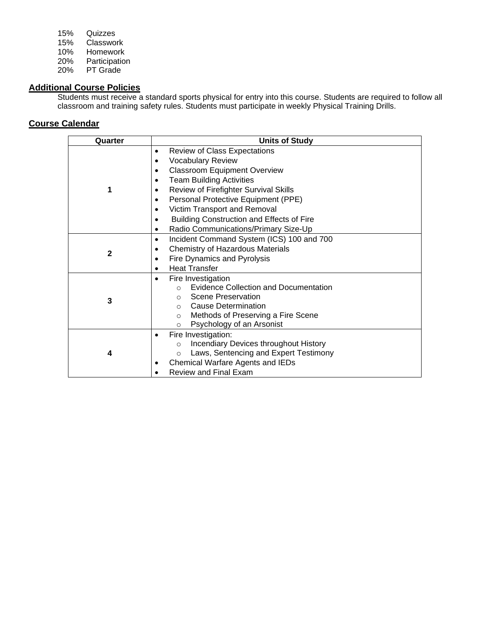| 15% | Quizzes       |
|-----|---------------|
| 15% | Classwork     |
| 10% | Homework      |
| 20% | Participation |
| 20% | PT Grade      |

#### **Additional Course Policies**

Students must receive a standard sports physical for entry into this course. Students are required to follow all classroom and training safety rules. Students must participate in weekly Physical Training Drills.

| Quarter      | <b>Units of Study</b>                                                                                                                                                                                                                                                                                                                                                |
|--------------|----------------------------------------------------------------------------------------------------------------------------------------------------------------------------------------------------------------------------------------------------------------------------------------------------------------------------------------------------------------------|
|              | <b>Review of Class Expectations</b><br>٠<br><b>Vocabulary Review</b><br><b>Classroom Equipment Overview</b><br>٠<br><b>Team Building Activities</b><br><b>Review of Firefighter Survival Skills</b><br>Personal Protective Equipment (PPE)<br>Victim Transport and Removal<br>Building Construction and Effects of Fire<br>Radio Communications/Primary Size-Up<br>٠ |
| $\mathbf{2}$ | Incident Command System (ICS) 100 and 700<br>٠<br>Chemistry of Hazardous Materials<br>Fire Dynamics and Pyrolysis<br>$\bullet$<br><b>Heat Transfer</b>                                                                                                                                                                                                               |
| 3            | Fire Investigation<br><b>Evidence Collection and Documentation</b><br>$\Omega$<br>Scene Preservation<br>$\cap$<br>Cause Determination<br>$\cap$<br>Methods of Preserving a Fire Scene<br>$\circ$<br>Psychology of an Arsonist<br>$\circ$                                                                                                                             |
| 4            | Fire Investigation:<br>$\bullet$<br>Incendiary Devices throughout History<br>$\circ$<br>Laws, Sentencing and Expert Testimony<br>$\circ$<br>Chemical Warfare Agents and IEDs<br><b>Review and Final Exam</b>                                                                                                                                                         |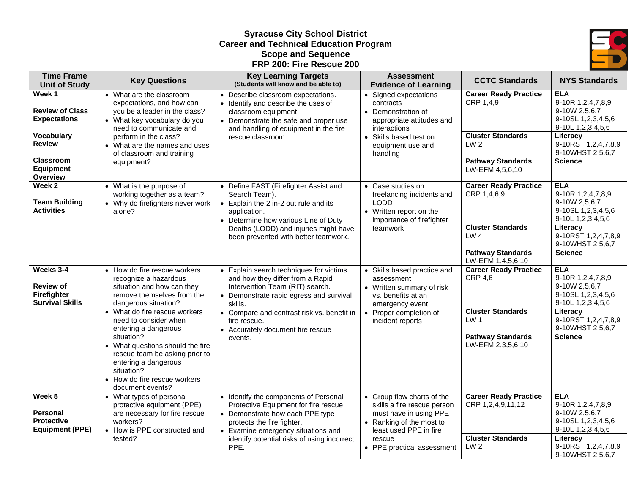## **Syracuse City School District Career and Technical Education Program Scope and Sequence FRP 200: Fire Rescue 200**



| <b>Time Frame</b><br><b>Unit of Study</b>                                                                                                         | <b>Key Questions</b>                                                                                                                                                                                                                                                                                                                                                                                      | <b>Key Learning Targets</b><br>(Students will know and be able to)                                                                                                                                                                                                                 | <b>Assessment</b><br><b>Evidence of Learning</b>                                                                                                                                  | <b>CCTC Standards</b>                                                                                                                          | <b>NYS Standards</b>                                                                                                                                                 |
|---------------------------------------------------------------------------------------------------------------------------------------------------|-----------------------------------------------------------------------------------------------------------------------------------------------------------------------------------------------------------------------------------------------------------------------------------------------------------------------------------------------------------------------------------------------------------|------------------------------------------------------------------------------------------------------------------------------------------------------------------------------------------------------------------------------------------------------------------------------------|-----------------------------------------------------------------------------------------------------------------------------------------------------------------------------------|------------------------------------------------------------------------------------------------------------------------------------------------|----------------------------------------------------------------------------------------------------------------------------------------------------------------------|
| Week 1<br><b>Review of Class</b><br><b>Expectations</b><br><b>Vocabulary</b><br><b>Review</b><br><b>Classroom</b><br><b>Equipment</b><br>Overview | • What are the classroom<br>expectations, and how can<br>you be a leader in the class?<br>• What key vocabulary do you<br>need to communicate and<br>perform in the class?<br>• What are the names and uses<br>of classroom and training<br>equipment?                                                                                                                                                    | • Describe classroom expectations.<br>• Identify and describe the uses of<br>classroom equipment.<br>• Demonstrate the safe and proper use<br>and handling of equipment in the fire<br>rescue classroom.                                                                           | • Signed expectations<br>contracts<br>• Demonstration of<br>appropriate attitudes and<br>interactions<br>• Skills based test on<br>equipment use and<br>handling                  | <b>Career Ready Practice</b><br>CRP 1,4,9<br><b>Cluster Standards</b><br>LW <sub>2</sub><br><b>Pathway Standards</b><br>LW-EFM 4,5,6,10        | <b>ELA</b><br>9-10R 1,2,4,7,8,9<br>9-10W 2,5,6,7<br>9-10SL 1,2,3,4,5,6<br>9-10L 1,2,3,4,5,6<br>Literacy<br>9-10RST 1,2,4,7,8,9<br>9-10WHST 2,5,6,7<br><b>Science</b> |
| Week 2<br><b>Team Building</b><br><b>Activities</b>                                                                                               | • What is the purpose of<br>working together as a team?<br>• Why do firefighters never work<br>alone?                                                                                                                                                                                                                                                                                                     | • Define FAST (Firefighter Assist and<br>Search Team).<br>• Explain the 2 in-2 out rule and its<br>application.<br>• Determine how various Line of Duty<br>Deaths (LODD) and injuries might have<br>been prevented with better teamwork.                                           | • Case studies on<br>freelancing incidents and<br><b>LODD</b><br>• Written report on the<br>importance of firefighter<br>teamwork                                                 | <b>Career Ready Practice</b><br>CRP 1,4,6,9<br><b>Cluster Standards</b><br>LW 4<br><b>Pathway Standards</b><br>LW-EFM 1,4,5,6,10               | <b>ELA</b><br>9-10R 1,2,4,7,8,9<br>9-10W 2,5,6,7<br>9-10SL 1,2,3,4,5,6<br>9-10L 1,2,3,4,5,6<br>Literacy<br>9-10RST 1,2,4,7,8,9<br>9-10WHST 2,5,6,7<br><b>Science</b> |
| Weeks 3-4<br><b>Review of</b><br><b>Firefighter</b><br><b>Survival Skills</b>                                                                     | • How do fire rescue workers<br>recognize a hazardous<br>situation and how can they<br>remove themselves from the<br>dangerous situation?<br>• What do fire rescue workers<br>need to consider when<br>entering a dangerous<br>situation?<br>• What questions should the fire<br>rescue team be asking prior to<br>entering a dangerous<br>situation?<br>• How do fire rescue workers<br>document events? | • Explain search techniques for victims<br>and how they differ from a Rapid<br>Intervention Team (RIT) search.<br>• Demonstrate rapid egress and survival<br>skills.<br>• Compare and contrast risk vs. benefit in<br>fire rescue.<br>• Accurately document fire rescue<br>events. | • Skills based practice and<br>assessment<br>• Written summary of risk<br>vs. benefits at an<br>emergency event<br>• Proper completion of<br>incident reports                     | <b>Career Ready Practice</b><br><b>CRP 4,6</b><br><b>Cluster Standards</b><br>LW <sub>1</sub><br><b>Pathway Standards</b><br>LW-EFM 2,3,5,6,10 | <b>ELA</b><br>9-10R 1,2,4,7,8,9<br>9-10W 2,5,6,7<br>9-10SL 1,2,3,4,5,6<br>9-10L 1,2,3,4,5,6<br>Literacy<br>9-10RST 1,2,4,7,8,9<br>9-10WHST 2,5,6,7<br><b>Science</b> |
| Week <sub>5</sub><br><b>Personal</b><br><b>Protective</b><br><b>Equipment (PPE)</b>                                                               | • What types of personal<br>protective equipment (PPE)<br>are necessary for fire rescue<br>workers?<br>• How is PPE constructed and<br>tested?                                                                                                                                                                                                                                                            | • Identify the components of Personal<br>Protective Equipment for fire rescue.<br>• Demonstrate how each PPE type<br>protects the fire fighter.<br>• Examine emergency situations and<br>identify potential risks of using incorrect<br>PPE.                                       | • Group flow charts of the<br>skills a fire rescue person<br>must have in using PPE<br>• Ranking of the most to<br>least used PPE in fire<br>rescue<br>• PPE practical assessment | <b>Career Ready Practice</b><br>CRP 1,2,4,9,11,12<br><b>Cluster Standards</b><br>LW <sub>2</sub>                                               | <b>ELA</b><br>9-10R 1,2,4,7,8,9<br>9-10W 2,5,6,7<br>9-10SL 1,2,3,4,5,6<br>9-10L 1,2,3,4,5,6<br>Literacy<br>9-10RST 1,2,4,7,8,9<br>9-10WHST 2,5,6,7                   |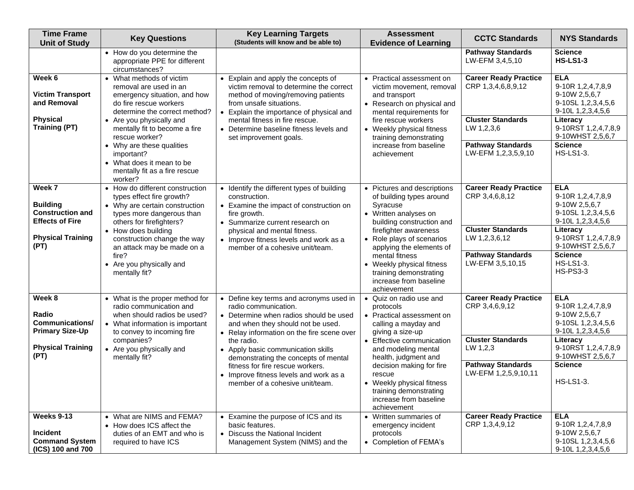| <b>Time Frame</b><br><b>Unit of Study</b>                                      | <b>Key Questions</b>                                                                                                                                       | <b>Key Learning Targets</b><br>(Students will know and be able to)                                                                                                                           | <b>Assessment</b><br><b>Evidence of Learning</b>                                                                                   | <b>CCTC Standards</b>                              | <b>NYS Standards</b>                                                                             |
|--------------------------------------------------------------------------------|------------------------------------------------------------------------------------------------------------------------------------------------------------|----------------------------------------------------------------------------------------------------------------------------------------------------------------------------------------------|------------------------------------------------------------------------------------------------------------------------------------|----------------------------------------------------|--------------------------------------------------------------------------------------------------|
|                                                                                | • How do you determine the<br>appropriate PPE for different<br>circumstances?                                                                              |                                                                                                                                                                                              |                                                                                                                                    | <b>Pathway Standards</b><br>LW-EFM 3,4,5,10        | <b>Science</b><br><b>HS-LS1-3</b>                                                                |
| Week 6<br><b>Victim Transport</b><br>and Removal                               | • What methods of victim<br>removal are used in an<br>emergency situation, and how<br>do fire rescue workers<br>determine the correct method?              | • Explain and apply the concepts of<br>victim removal to determine the correct<br>method of moving/removing patients<br>from unsafe situations.<br>• Explain the importance of physical and  | • Practical assessment on<br>victim movement, removal<br>and transport<br>• Research on physical and<br>mental requirements for    | <b>Career Ready Practice</b><br>CRP 1,3,4,6,8,9,12 | <b>ELA</b><br>9-10R 1,2,4,7,8,9<br>9-10W 2,5,6,7<br>9-10SL 1,2,3,4,5,6<br>9-10L 1,2,3,4,5,6      |
| <b>Physical</b><br><b>Training (PT)</b>                                        | • Are you physically and<br>mentally fit to become a fire<br>rescue worker?                                                                                | mental fitness in fire rescue.<br>• Determine baseline fitness levels and<br>set improvement goals.                                                                                          | fire rescue workers<br>• Weekly physical fitness<br>training demonstrating                                                         | <b>Cluster Standards</b><br>LW 1,2,3,6             | Literacy<br>9-10RST 1,2,4,7,8,9<br>9-10WHST 2,5,6,7                                              |
|                                                                                | • Why are these qualities<br>important?<br>• What does it mean to be<br>mentally fit as a fire rescue<br>worker?                                           |                                                                                                                                                                                              | increase from baseline<br>achievement                                                                                              | <b>Pathway Standards</b><br>LW-EFM 1,2,3,5,9,10    | <b>Science</b><br><b>HS-LS1-3.</b>                                                               |
| Week 7<br><b>Building</b><br><b>Construction and</b><br><b>Effects of Fire</b> | • How do different construction<br>types effect fire growth?<br>• Why are certain construction<br>types more dangerous than<br>others for firefighters?    | • Identify the different types of building<br>construction.<br>• Examine the impact of construction on<br>fire growth.<br>• Summarize current research on                                    | • Pictures and descriptions<br>of building types around<br>Syracuse<br>• Written analyses on<br>building construction and          | <b>Career Ready Practice</b><br>CRP 3,4,6,8,12     | <b>ELA</b><br>9-10R 1,2,4,7,8,9<br>9-10W 2,5,6,7<br>9-10SL 1, 2, 3, 4, 5, 6<br>9-10L 1,2,3,4,5,6 |
| <b>Physical Training</b><br>(PT)                                               | • How does building<br>construction change the way<br>an attack may be made on a                                                                           | physical and mental fitness.<br>• Improve fitness levels and work as a<br>member of a cohesive unit/team.                                                                                    | firefighter awareness<br>• Role plays of scenarios<br>applying the elements of                                                     | <b>Cluster Standards</b><br>LW 1,2,3,6,12          | Literacy<br>9-10RST 1,2,4,7,8,9<br>9-10WHST 2,5,6,7                                              |
|                                                                                | fire?<br>• Are you physically and<br>mentally fit?                                                                                                         |                                                                                                                                                                                              | mental fitness<br>• Weekly physical fitness<br>training demonstrating<br>increase from baseline<br>achievement                     | <b>Pathway Standards</b><br>LW-EFM 3,5,10,15       | <b>Science</b><br><b>HS-LS1-3.</b><br><b>HS-PS3-3</b>                                            |
| Week 8<br>Radio<br><b>Communications/</b><br><b>Primary Size-Up</b>            | • What is the proper method for<br>radio communication and<br>when should radios be used?<br>• What information is important<br>to convey to incoming fire | • Define key terms and acronyms used in<br>radio communication.<br>• Determine when radios should be used<br>and when they should not be used.<br>• Relay information on the fire scene over | • Quiz on radio use and<br>protocols<br>• Practical assessment on<br>calling a mayday and<br>giving a size-up                      | <b>Career Ready Practice</b><br>CRP 3,4,6,9,12     | <b>ELA</b><br>9-10R 1,2,4,7,8,9<br>9-10W 2,5,6,7<br>9-10SL 1,2,3,4,5,6<br>9-10L 1,2,3,4,5,6      |
| <b>Physical Training</b><br>(PT)                                               | companies?<br>• Are you physically and<br>mentally fit?                                                                                                    | the radio.<br>• Apply basic communication skills<br>demonstrating the concepts of mental                                                                                                     | • Effective communication<br>and modeling mental<br>health, judgment and                                                           | <b>Cluster Standards</b><br>LW 1,2,3               | Literacy<br>9-10RST 1,2,4,7,8,9<br>9-10WHST 2,5,6,7                                              |
|                                                                                |                                                                                                                                                            | fitness for fire rescue workers.<br>• Improve fitness levels and work as a<br>member of a cohesive unit/team.                                                                                | decision making for fire<br>rescue<br>• Weekly physical fitness<br>training demonstrating<br>increase from baseline<br>achievement | <b>Pathway Standards</b><br>LW-EFM 1,2,5,9,10,11   | <b>Science</b><br><b>HS-LS1-3.</b>                                                               |
| Weeks 9-13<br>Incident<br><b>Command System</b><br>(ICS) 100 and 700           | • What are NIMS and FEMA?<br>• How does ICS affect the<br>duties of an EMT and who is<br>required to have ICS                                              | • Examine the purpose of ICS and its<br>basic features.<br>• Discuss the National Incident<br>Management System (NIMS) and the                                                               | • Written summaries of<br>emergency incident<br>protocols<br>• Completion of FEMA's                                                | <b>Career Ready Practice</b><br>CRP 1,3,4,9,12     | <b>ELA</b><br>9-10R 1,2,4,7,8,9<br>9-10W 2,5,6,7<br>9-10SL 1,2,3,4,5,6<br>9-10L 1,2,3,4,5,6      |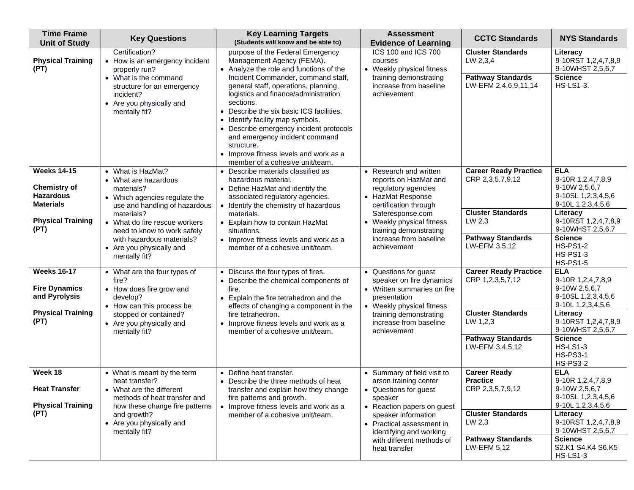| <b>Time Frame</b><br><b>Unit of Study</b>                                                                             | <b>Key Questions</b>                                                                                                                                                                                                                                                              | <b>Key Learning Targets</b><br>(Students will know and be able to)                                                                                                                                                                                                                                                                                                                                                                                                                                  | <b>Assessment</b><br><b>Evidence of Learning</b>                                                                                                                                                                                                    | <b>CCTC Standards</b>                                                                                                                       | <b>NYS Standards</b>                                                                                                                                                                                                                             |
|-----------------------------------------------------------------------------------------------------------------------|-----------------------------------------------------------------------------------------------------------------------------------------------------------------------------------------------------------------------------------------------------------------------------------|-----------------------------------------------------------------------------------------------------------------------------------------------------------------------------------------------------------------------------------------------------------------------------------------------------------------------------------------------------------------------------------------------------------------------------------------------------------------------------------------------------|-----------------------------------------------------------------------------------------------------------------------------------------------------------------------------------------------------------------------------------------------------|---------------------------------------------------------------------------------------------------------------------------------------------|--------------------------------------------------------------------------------------------------------------------------------------------------------------------------------------------------------------------------------------------------|
| <b>Physical Training</b><br>(PT)                                                                                      | Certification?<br>• How is an emergency incident<br>properly run?<br>• What is the command<br>structure for an emergency<br>incident?<br>• Are you physically and<br>mentally fit?                                                                                                | purpose of the Federal Emergency<br>Management Agency (FEMA).<br>• Analyze the role and functions of the<br>Incident Commander, command staff,<br>general staff, operations, planning,<br>logistics and finance/administration<br>sections.<br>• Describe the six basic ICS facilities.<br>• Identify facility map symbols.<br>• Describe emergency incident protocols<br>and emergency incident command<br>structure.<br>• Improve fitness levels and work as a<br>member of a cohesive unit/team. | ICS 100 and ICS 700<br>courses<br>• Weekly physical fitness<br>training demonstrating<br>increase from baseline<br>achievement                                                                                                                      | <b>Cluster Standards</b><br>LW 2,3,4<br><b>Pathway Standards</b><br>LW-EFM 2,4,6,9,11,14                                                    | Literacy<br>9-10RST 1,2,4,7,8,9<br>9-10WHST 2,5,6,7<br><b>Science</b><br><b>HS-LS1-3.</b>                                                                                                                                                        |
| <b>Weeks 14-15</b><br><b>Chemistry of</b><br><b>Hazardous</b><br><b>Materials</b><br><b>Physical Training</b><br>(PT) | • What is HazMat?<br>• What are hazardous<br>materials?<br>• Which agencies regulate the<br>use and handling of hazardous<br>materials?<br>• What do fire rescue workers<br>need to know to work safely<br>with hazardous materials?<br>• Are you physically and<br>mentally fit? | • Describe materials classified as<br>hazardous material.<br>• Define HazMat and identify the<br>associated regulatory agencies.<br>• Identify the chemistry of hazardous<br>materials.<br>• Explain how to contain HazMat<br>situations.<br>• Improve fitness levels and work as a<br>member of a cohesive unit/team.                                                                                                                                                                              | • Research and written<br>reports on HazMat and<br>regulatory agencies<br>• HazMat Response<br>certification through<br>Saferesponse.com<br>• Weekly physical fitness<br>training demonstrating<br>increase from baseline<br>achievement            | <b>Career Ready Practice</b><br>CRP 2,3,5,7,9,12<br><b>Cluster Standards</b><br>LW 2,3<br><b>Pathway Standards</b><br>LW-EFM 3,5,12         | <b>ELA</b><br>9-10R 1,2,4,7,8,9<br>9-10W 2,5,6,7<br>9-10SL 1,2,3,4,5,6<br>9-10L 1,2,3,4,5,6<br>Literacy<br>9-10RST 1,2,4,7,8,9<br>9-10WHST 2,5,6,7<br><b>Science</b><br><b>HS-PS1-2</b><br><b>HS-PS1-3</b>                                       |
| <b>Weeks 16-17</b><br><b>Fire Dynamics</b><br>and Pyrolysis<br><b>Physical Training</b><br>(PT)                       | • What are the four types of<br>fire?<br>• How does fire grow and<br>develop?<br>• How can this process be<br>stopped or contained?<br>• Are you physically and<br>mentally fit?                                                                                                  | • Discuss the four types of fires.<br>• Describe the chemical components of<br>fire.<br>• Explain the fire tetrahedron and the<br>effects of changing a component in the<br>fire tetrahedron.<br>• Improve fitness levels and work as a<br>member of a cohesive unit/team.                                                                                                                                                                                                                          | • Questions for guest<br>speaker on fire dynamics<br>• Written summaries on fire<br>presentation<br>• Weekly physical fitness<br>training demonstrating<br>increase from baseline<br>achievement                                                    | <b>Career Ready Practice</b><br>CRP 1,2,3,5,7,12<br><b>Cluster Standards</b><br>LW 1,2,3<br><b>Pathway Standards</b><br>LW-EFM 3,4,5,12     | <b>HS-PS1-5</b><br><b>ELA</b><br>9-10R 1,2,4,7,8,9<br>9-10W 2,5,6,7<br>9-10SL 1,2,3,4,5,6<br>9-10L 1,2,3,4,5,6<br>Literacy<br>9-10RST 1,2,4,7,8,9<br>9-10WHST 2,5,6,7<br><b>Science</b><br><b>HS-LS1-3</b><br><b>HS-PS3-1</b><br><b>HS-PS3-2</b> |
| Week 18<br>Heat Transfer<br><b>Physical Training</b><br>(PT)                                                          | • What is meant by the term<br>heat transfer?<br>• What are the different<br>methods of heat transfer and<br>how these change fire patterns<br>and growth?<br>• Are you physically and<br>mentally fit?                                                                           | • Define heat transfer.<br>• Describe the three methods of heat<br>transfer and explain how they change<br>fire patterns and growth.<br>• Improve fitness levels and work as a<br>member of a cohesive unit/team.                                                                                                                                                                                                                                                                                   | • Summary of field visit to<br>arson training center<br>• Questions for guest<br>speaker<br>• Reaction papers on guest<br>speaker information<br>• Practical assessment in<br>identifying and working<br>with different methods of<br>heat transfer | <b>Career Ready</b><br><b>Practice</b><br>CRP 2,3,5,7,9,12<br><b>Cluster Standards</b><br>LW 2,3<br><b>Pathway Standards</b><br>LW-EFM 5,12 | <b>ELA</b><br>9-10R 1,2,4,7,8,9<br>$9-10W 2,5,6,7$<br>9-10SL 1,2,3,4,5,6<br>9-10L 1,2,3,4,5,6<br>Literacy<br>9-10RST 1,2,4,7,8,9<br>9-10WHST 2,5,6,7<br><b>Science</b><br>S2.K1 S4.K4 S6.K5<br><b>HS-LS1-3</b>                                   |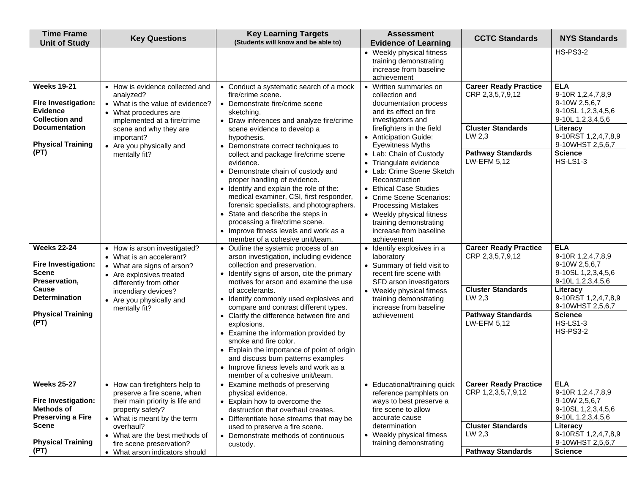| <b>Time Frame</b><br><b>Unit of Study</b>                                                                     | <b>Key Questions</b>                                                                                                                         | <b>Key Learning Targets</b><br>(Students will know and be able to)                                                                                                                                                                                                                                                                                                                                            | <b>Assessment</b><br><b>Evidence of Learning</b>                                                                                                                                                                                                          | <b>CCTC Standards</b>                                                        | <b>NYS Standards</b>                                                                                         |
|---------------------------------------------------------------------------------------------------------------|----------------------------------------------------------------------------------------------------------------------------------------------|---------------------------------------------------------------------------------------------------------------------------------------------------------------------------------------------------------------------------------------------------------------------------------------------------------------------------------------------------------------------------------------------------------------|-----------------------------------------------------------------------------------------------------------------------------------------------------------------------------------------------------------------------------------------------------------|------------------------------------------------------------------------------|--------------------------------------------------------------------------------------------------------------|
|                                                                                                               |                                                                                                                                              |                                                                                                                                                                                                                                                                                                                                                                                                               | • Weekly physical fitness<br>training demonstrating<br>increase from baseline<br>achievement                                                                                                                                                              |                                                                              | <b>HS-PS3-2</b>                                                                                              |
| <b>Weeks 19-21</b><br>Fire Investigation:<br><b>Evidence</b><br><b>Collection and</b><br><b>Documentation</b> | • How is evidence collected and<br>analyzed?<br>• What is the value of evidence?<br>• What procedures are<br>implemented at a fire/crime     | • Conduct a systematic search of a mock<br>fire/crime scene.<br>• Demonstrate fire/crime scene<br>sketching.<br>• Draw inferences and analyze fire/crime                                                                                                                                                                                                                                                      | • Written summaries on<br>collection and<br>documentation process<br>and its effect on fire<br>investigators and<br>firefighters in the field                                                                                                             | <b>Career Ready Practice</b><br>CRP 2,3,5,7,9,12<br><b>Cluster Standards</b> | <b>ELA</b><br>9-10R 1,2,4,7,8,9<br>9-10W 2,5,6,7<br>9-10SL 1,2,3,4,5,6<br>9-10L 1, 2, 3, 4, 5, 6<br>Literacy |
| <b>Physical Training</b><br>(PT)                                                                              | scene and why they are<br>important?<br>• Are you physically and<br>mentally fit?                                                            | scene evidence to develop a<br>hypothesis.<br>• Demonstrate correct techniques to                                                                                                                                                                                                                                                                                                                             | • Anticipation Guide:<br><b>Eyewitness Myths</b><br>• Lab: Chain of Custody                                                                                                                                                                               | LW 2,3<br><b>Pathway Standards</b>                                           | 9-10RST 1,2,4,7,8,9<br>9-10WHST 2,5,6,7<br><b>Science</b>                                                    |
|                                                                                                               |                                                                                                                                              | collect and package fire/crime scene<br>evidence.<br>• Demonstrate chain of custody and<br>proper handling of evidence.<br>• Identify and explain the role of the:<br>medical examiner, CSI, first responder,<br>forensic specialists, and photographers.<br>• State and describe the steps in<br>processing a fire/crime scene.<br>• Improve fitness levels and work as a<br>member of a cohesive unit/team. | • Triangulate evidence<br>• Lab: Crime Scene Sketch<br>Reconstruction<br>• Ethical Case Studies<br>• Crime Scene Scenarios:<br><b>Processing Mistakes</b><br>• Weekly physical fitness<br>training demonstrating<br>increase from baseline<br>achievement | LW-EFM 5,12                                                                  | <b>HS-LS1-3</b>                                                                                              |
| <b>Weeks 22-24</b><br>Fire Investigation:<br><b>Scene</b><br>Preservation,                                    | • How is arson investigated?<br>• What is an accelerant?<br>• What are signs of arson?<br>• Are explosives treated<br>differently from other | • Outline the systemic process of an<br>arson investigation, including evidence<br>collection and preservation.<br>• Identify signs of arson, cite the primary<br>motives for arson and examine the use                                                                                                                                                                                                       | · Identify explosives in a<br>laboratory<br>• Summary of field visit to<br>recent fire scene with<br>SFD arson investigators                                                                                                                              | <b>Career Ready Practice</b><br>CRP 2,3,5,7,9,12                             | <b>ELA</b><br>9-10R 1,2,4,7,8,9<br>9-10W 2,5,6,7<br>9-10SL 1,2,3,4,5,6<br>9-10L 1,2,3,4,5,6                  |
| Cause<br><b>Determination</b>                                                                                 | incendiary devices?<br>• Are you physically and<br>mentally fit?                                                                             | of accelerants.<br>• Identify commonly used explosives and<br>compare and contrast different types.                                                                                                                                                                                                                                                                                                           | • Weekly physical fitness<br>training demonstrating<br>increase from baseline                                                                                                                                                                             | <b>Cluster Standards</b><br>LW 2,3                                           | Literacy<br>9-10RST 1,2,4,7,8,9<br>9-10WHST 2,5,6,7                                                          |
| <b>Physical Training</b><br>(PT)                                                                              |                                                                                                                                              | • Clarify the difference between fire and<br>explosions.<br>• Examine the information provided by<br>smoke and fire color.<br>• Explain the importance of point of origin<br>and discuss burn patterns examples<br>• Improve fitness levels and work as a<br>member of a cohesive unit/team.                                                                                                                  | achievement                                                                                                                                                                                                                                               | <b>Pathway Standards</b><br>LW-EFM 5,12                                      | <b>Science</b><br><b>HS-LS1-3</b><br><b>HS-PS3-2</b>                                                         |
| <b>Weeks 25-27</b>                                                                                            | • How can firefighters help to<br>preserve a fire scene, when                                                                                | • Examine methods of preserving<br>physical evidence.                                                                                                                                                                                                                                                                                                                                                         | • Educational/training quick<br>reference pamphlets on                                                                                                                                                                                                    | <b>Career Ready Practice</b><br>CRP 1,2,3,5,7,9,12                           | <b>ELA</b><br>9-10R 1,2,4,7,8,9                                                                              |
| Fire Investigation:<br><b>Methods of</b><br><b>Preserving a Fire</b>                                          | their main priority is life and<br>property safety?<br>• What is meant by the term                                                           | • Explain how to overcome the<br>destruction that overhaul creates.<br>• Differentiate hose streams that may be                                                                                                                                                                                                                                                                                               | ways to best preserve a<br>fire scene to allow<br>accurate cause                                                                                                                                                                                          |                                                                              | 9-10W 2,5,6,7<br>9-10SL 1,2,3,4,5,6<br>9-10L 1, 2, 3, 4, 5, 6                                                |
| <b>Scene</b><br><b>Physical Training</b><br>(PT)                                                              | overhaul?<br>• What are the best methods of<br>fire scene preservation?<br>• What arson indicators should                                    | used to preserve a fire scene.<br>• Demonstrate methods of continuous<br>custody.                                                                                                                                                                                                                                                                                                                             | determination<br>• Weekly physical fitness<br>training demonstrating                                                                                                                                                                                      | <b>Cluster Standards</b><br>LW 2,3<br><b>Pathway Standards</b>               | Literacy<br>9-10RST 1,2,4,7,8,9<br>9-10WHST 2,5,6,7<br><b>Science</b>                                        |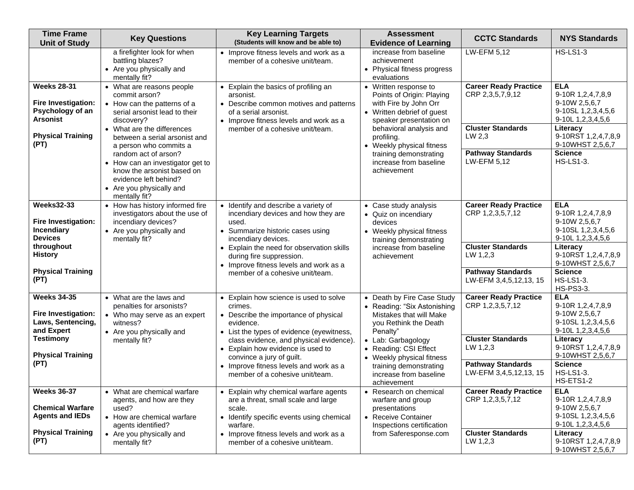| <b>Time Frame</b><br><b>Unit of Study</b>                                        | <b>Key Questions</b>                                                                                                                                         | <b>Key Learning Targets</b><br>(Students will know and be able to)                                                                                             | <b>Assessment</b><br><b>Evidence of Learning</b>                                                                                     | <b>CCTC Standards</b>                              | <b>NYS Standards</b>                                                                             |
|----------------------------------------------------------------------------------|--------------------------------------------------------------------------------------------------------------------------------------------------------------|----------------------------------------------------------------------------------------------------------------------------------------------------------------|--------------------------------------------------------------------------------------------------------------------------------------|----------------------------------------------------|--------------------------------------------------------------------------------------------------|
|                                                                                  | a firefighter look for when<br>battling blazes?<br>• Are you physically and<br>mentally fit?                                                                 | • Improve fitness levels and work as a<br>member of a cohesive unit/team.                                                                                      | increase from baseline<br>achievement<br>• Physical fitness progress<br>evaluations                                                  | LW-EFM 5,12                                        | <b>HS-LS1-3</b>                                                                                  |
| <b>Weeks 28-31</b><br>Fire Investigation:<br>Psychology of an<br><b>Arsonist</b> | • What are reasons people<br>commit arson?<br>• How can the patterns of a<br>serial arsonist lead to their<br>discovery?                                     | • Explain the basics of profiling an<br>arsonist.<br>• Describe common motives and patterns<br>of a serial arsonist.<br>• Improve fitness levels and work as a | • Written response to<br>Points of Origin: Playing<br>with Fire by John Orr<br>• Written debrief of guest<br>speaker presentation on | <b>Career Ready Practice</b><br>CRP 2,3,5,7,9,12   | <b>ELA</b><br>9-10R 1,2,4,7,8,9<br>9-10W 2,5,6,7<br>9-10SL 1,2,3,4,5,6<br>9-10L 1,2,3,4,5,6      |
| <b>Physical Training</b><br>(PT)                                                 | • What are the differences<br>between a serial arsonist and<br>a person who commits a                                                                        | member of a cohesive unit/team.                                                                                                                                | behavioral analysis and<br>profiling.<br>• Weekly physical fitness                                                                   | <b>Cluster Standards</b><br>LW 2,3                 | Literacy<br>9-10RST 1,2,4,7,8,9<br>9-10WHST 2,5,6,7                                              |
|                                                                                  | random act of arson?<br>• How can an investigator get to<br>know the arsonist based on<br>evidence left behind?<br>• Are you physically and<br>mentally fit? |                                                                                                                                                                | training demonstrating<br>increase from baseline<br>achievement                                                                      | <b>Pathway Standards</b><br>LW-EFM 5,12            | <b>Science</b><br><b>HS-LS1-3.</b>                                                               |
| <b>Weeks32-33</b><br>Fire Investigation:<br><b>Incendiary</b><br><b>Devices</b>  | • How has history informed fire<br>investigators about the use of<br>incendiary devices?<br>• Are you physically and<br>mentally fit?                        | • Identify and describe a variety of<br>incendiary devices and how they are<br>used.<br>• Summarize historic cases using<br>incendiary devices.                | • Case study analysis<br>• Quiz on incendiary<br>devices<br>• Weekly physical fitness<br>training demonstrating                      | <b>Career Ready Practice</b><br>CRP 1,2,3,5,7,12   | <b>ELA</b><br>9-10R 1,2,4,7,8,9<br>9-10W 2,5,6,7<br>9-10SL 1,2,3,4,5,6<br>9-10L 1,2,3,4,5,6      |
| throughout<br><b>History</b>                                                     |                                                                                                                                                              | • Explain the need for observation skills<br>during fire suppression.<br>• Improve fitness levels and work as a                                                | increase from baseline<br>achievement                                                                                                | <b>Cluster Standards</b><br>LW 1,2,3               | Literacy<br>9-10RST 1,2,4,7,8,9<br>9-10WHST 2,5,6,7                                              |
| <b>Physical Training</b><br>(PT)                                                 |                                                                                                                                                              | member of a cohesive unit/team.                                                                                                                                |                                                                                                                                      | <b>Pathway Standards</b><br>LW-EFM 3,4,5,12,13, 15 | <b>Science</b><br><b>HS-LS1-3.</b><br>HS-PS3-3.                                                  |
| <b>Weeks 34-35</b><br>Fire Investigation:<br>Laws, Sentencing,<br>and Expert     | • What are the laws and<br>penalties for arsonists?<br>• Who may serve as an expert<br>witness?<br>• Are you physically and                                  | • Explain how science is used to solve<br>crimes.<br>• Describe the importance of physical<br>evidence.<br>• List the types of evidence (eyewitness,           | • Death by Fire Case Study<br>• Reading: "Six Astonishing<br>Mistakes that will Make<br>you Rethink the Death<br>Penalty"            | <b>Career Ready Practice</b><br>CRP 1,2,3,5,7,12   | <b>ELA</b><br>9-10R 1,2,4,7,8,9<br>9-10W 2,5,6,7<br>9-10SL 1,2,3,4,5,6<br>9-10L 1, 2, 3, 4, 5, 6 |
| <b>Testimony</b><br><b>Physical Training</b>                                     | mentally fit?                                                                                                                                                | class evidence, and physical evidence).<br>• Explain how evidence is used to<br>convince a jury of guilt.                                                      | • Lab: Garbagology<br>• Reading: CSI Effect<br>• Weekly physical fitness                                                             | <b>Cluster Standards</b><br>LW 1,2,3               | Literacy<br>9-10RST 1,2,4,7,8,9<br>9-10WHST 2,5,6,7                                              |
| (PT)                                                                             |                                                                                                                                                              | • Improve fitness levels and work as a<br>member of a cohesive unit/team.                                                                                      | training demonstrating<br>increase from baseline<br>achievement                                                                      | <b>Pathway Standards</b><br>LW-EFM 3,4,5,12,13, 15 | <b>Science</b><br><b>HS-LS1-3.</b><br>HS-ETS1-2                                                  |
| <b>Weeks 36-37</b><br><b>Chemical Warfare</b><br><b>Agents and IEDs</b>          | • What are chemical warfare<br>agents, and how are they<br>used?<br>• How are chemical warfare<br>agents identified?                                         | • Explain why chemical warfare agents<br>are a threat, small scale and large<br>scale.<br>• Identify specific events using chemical<br>warfare.                | • Research on chemical<br>warfare and group<br>presentations<br>• Receive Container<br>Inspections certification                     | <b>Career Ready Practice</b><br>CRP 1,2,3,5,7,12   | <b>ELA</b><br>9-10R 1,2,4,7,8,9<br>9-10W 2,5,6,7<br>9-10SL 1,2,3,4,5,6<br>$9-10L$ 1,2,3,4,5,6    |
| <b>Physical Training</b><br>(PT)                                                 | • Are you physically and<br>mentally fit?                                                                                                                    | • Improve fitness levels and work as a<br>member of a cohesive unit/team.                                                                                      | from Saferesponse.com                                                                                                                | <b>Cluster Standards</b><br>LW 1,2,3               | Literacy<br>9-10RST 1,2,4,7,8,9<br>9-10WHST 2,5,6,7                                              |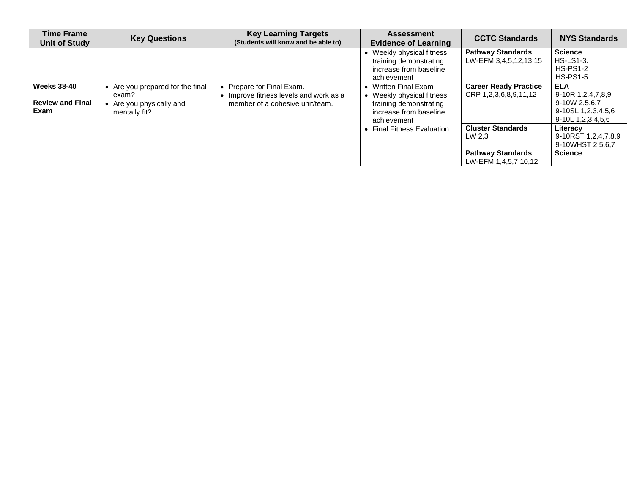| <b>Time Frame</b><br>Unit of Study                    | <b>Key Questions</b>                                                                 | <b>Key Learning Targets</b><br>(Students will know and be able to)                                     | <b>Assessment</b><br><b>Evidence of Learning</b>                                                                 | <b>CCTC Standards</b>                                                                  | <b>NYS Standards</b>                                                                             |
|-------------------------------------------------------|--------------------------------------------------------------------------------------|--------------------------------------------------------------------------------------------------------|------------------------------------------------------------------------------------------------------------------|----------------------------------------------------------------------------------------|--------------------------------------------------------------------------------------------------|
|                                                       |                                                                                      |                                                                                                        | Weekly physical fitness<br>training demonstrating<br>increase from baseline<br>achievement                       | <b>Pathway Standards</b><br>LW-EFM 3,4,5,12,13,15                                      | <b>Science</b><br><b>HS-LS1-3.</b><br><b>HS-PS1-2</b><br><b>HS-PS1-5</b>                         |
| <b>Weeks 38-40</b><br><b>Review and Final</b><br>Exam | • Are you prepared for the final<br>exam?<br>Are you physically and<br>mentally fit? | • Prepare for Final Exam.<br>• Improve fitness levels and work as a<br>member of a cohesive unit/team. | Written Final Exam<br>Weekly physical fitness<br>training demonstrating<br>increase from baseline<br>achievement | <b>Career Ready Practice</b><br>CRP 1,2,3,6,8,9,11,12                                  | <b>ELA</b><br>9-10R 1,2,4,7,8,9<br>9-10W 2,5,6,7<br>9-10SL 1,2,3,4,5,6<br>9-10L 1, 2, 3, 4, 5, 6 |
|                                                       |                                                                                      |                                                                                                        | <b>Final Fitness Evaluation</b>                                                                                  | <b>Cluster Standards</b><br>LW 2.3<br><b>Pathway Standards</b><br>LW-EFM 1,4,5,7,10,12 | Literacy<br>9-10RST 1,2,4,7,8,9<br>9-10WHST 2,5,6,7<br><b>Science</b>                            |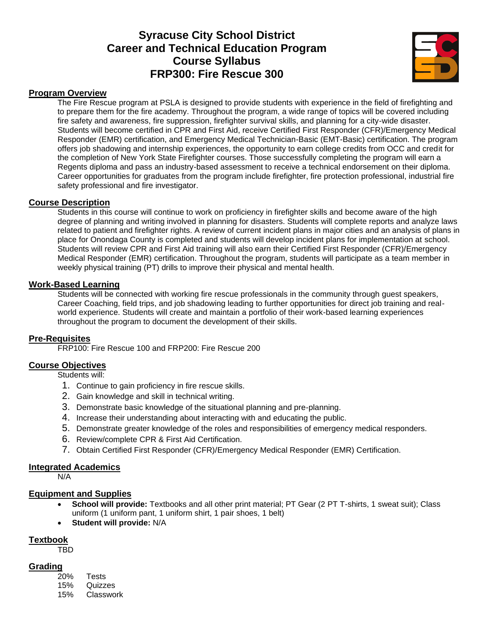# **Syracuse City School District Career and Technical Education Program Course Syllabus FRP300: Fire Rescue 300**



#### **Program Overview**

The Fire Rescue program at PSLA is designed to provide students with experience in the field of firefighting and to prepare them for the fire academy. Throughout the program, a wide range of topics will be covered including fire safety and awareness, fire suppression, firefighter survival skills, and planning for a city-wide disaster. Students will become certified in CPR and First Aid, receive Certified First Responder (CFR)/Emergency Medical Responder (EMR) certification, and Emergency Medical Technician-Basic (EMT-Basic) certification. The program offers job shadowing and internship experiences, the opportunity to earn college credits from OCC and credit for the completion of New York State Firefighter courses. Those successfully completing the program will earn a Regents diploma and pass an industry-based assessment to receive a technical endorsement on their diploma. Career opportunities for graduates from the program include firefighter, fire protection professional, industrial fire safety professional and fire investigator.

#### **Course Description**

Students in this course will continue to work on proficiency in firefighter skills and become aware of the high degree of planning and writing involved in planning for disasters. Students will complete reports and analyze laws related to patient and firefighter rights. A review of current incident plans in major cities and an analysis of plans in place for Onondaga County is completed and students will develop incident plans for implementation at school. Students will review CPR and First Aid training will also earn their Certified First Responder (CFR)/Emergency Medical Responder (EMR) certification. Throughout the program, students will participate as a team member in weekly physical training (PT) drills to improve their physical and mental health.

#### **Work-Based Learning**

Students will be connected with working fire rescue professionals in the community through guest speakers, Career Coaching, field trips, and job shadowing leading to further opportunities for direct job training and realworld experience. Students will create and maintain a portfolio of their work-based learning experiences throughout the program to document the development of their skills.

## **Pre-Requisites**

FRP100: Fire Rescue 100 and FRP200: Fire Rescue 200

## **Course Objectives**

Students will:

- 1. Continue to gain proficiency in fire rescue skills.
- 2. Gain knowledge and skill in technical writing.
- 3. Demonstrate basic knowledge of the situational planning and pre-planning.
- 4. Increase their understanding about interacting with and educating the public.
- 5. Demonstrate greater knowledge of the roles and responsibilities of emergency medical responders.
- 6. Review/complete CPR & First Aid Certification.
- 7. Obtain Certified First Responder (CFR)/Emergency Medical Responder (EMR) Certification.

#### **Integrated Academics**

N/A

#### **Equipment and Supplies**

- **School will provide:** Textbooks and all other print material; PT Gear (2 PT T-shirts, 1 sweat suit); Class uniform (1 uniform pant, 1 uniform shirt, 1 pair shoes, 1 belt)
- **Student will provide:** N/A

#### **Textbook**

TBD

# **Grading**

20% Tests 15% Quizzes 15% Classwork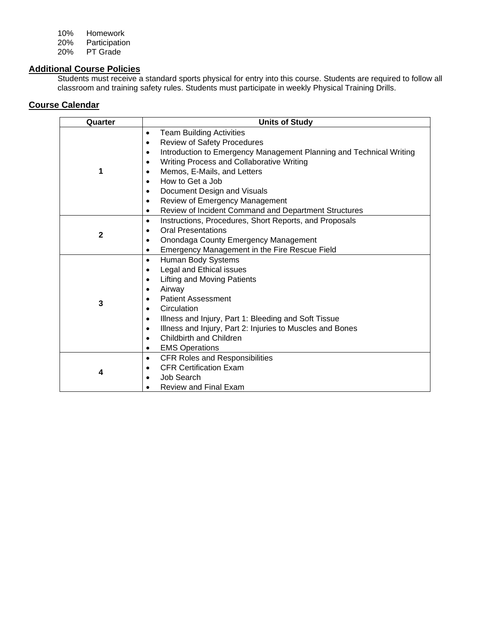10% Homework 20% Participation<br>20% PT Grade PT Grade

# **Additional Course Policies**

Students must receive a standard sports physical for entry into this course. Students are required to follow all classroom and training safety rules. Students must participate in weekly Physical Training Drills.

| Quarter     | <b>Units of Study</b>                                                            |
|-------------|----------------------------------------------------------------------------------|
|             | <b>Team Building Activities</b><br>$\bullet$                                     |
|             | <b>Review of Safety Procedures</b><br>$\bullet$                                  |
|             | Introduction to Emergency Management Planning and Technical Writing<br>$\bullet$ |
|             | Writing Process and Collaborative Writing<br>$\bullet$                           |
| 1           | Memos, E-Mails, and Letters<br>$\bullet$                                         |
|             | How to Get a Job<br>$\bullet$                                                    |
|             | Document Design and Visuals<br>$\bullet$                                         |
|             | Review of Emergency Management<br>$\bullet$                                      |
|             | Review of Incident Command and Department Structures<br>$\bullet$                |
|             | Instructions, Procedures, Short Reports, and Proposals<br>$\bullet$              |
| $\mathbf 2$ | <b>Oral Presentations</b><br>٠                                                   |
|             | Onondaga County Emergency Management<br>$\bullet$                                |
|             | <b>Emergency Management in the Fire Rescue Field</b><br>٠                        |
|             | Human Body Systems<br>$\bullet$                                                  |
|             | Legal and Ethical issues<br>$\bullet$                                            |
|             | <b>Lifting and Moving Patients</b><br>$\bullet$                                  |
|             | Airway<br>$\bullet$                                                              |
| 3           | <b>Patient Assessment</b><br>$\bullet$                                           |
|             | Circulation<br>$\bullet$                                                         |
|             | Illness and Injury, Part 1: Bleeding and Soft Tissue<br>$\bullet$                |
|             | Illness and Injury, Part 2: Injuries to Muscles and Bones<br>$\bullet$           |
|             | Childbirth and Children<br>$\bullet$                                             |
|             | <b>EMS Operations</b><br>٠                                                       |
|             | <b>CFR Roles and Responsibilities</b><br>$\bullet$                               |
| 4           | <b>CFR Certification Exam</b>                                                    |
|             | Job Search                                                                       |
|             | Review and Final Exam                                                            |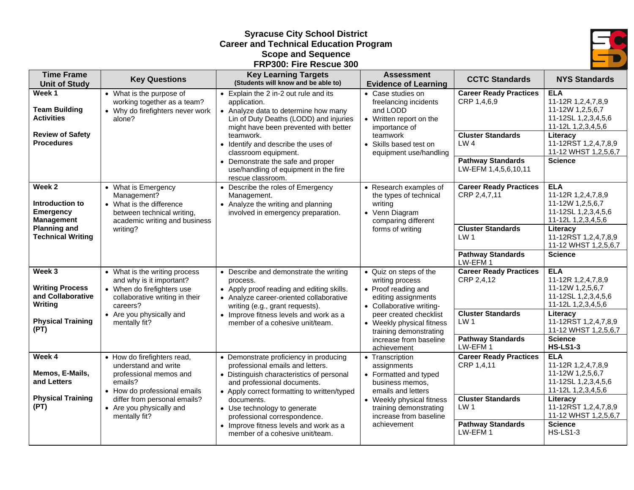# **Syracuse City School District Career and Technical Education Program Scope and Sequence FRP300: Fire Rescue 300**



| <b>Time Frame</b><br><b>Unit of Study</b>                                                 | <b>Key Questions</b>                                                                                                                      | <b>Key Learning Targets</b><br>(Students will know and be able to)                                                                                                                                    | <b>Assessment</b><br><b>Evidence of Learning</b>                                                                         | <b>CCTC Standards</b>                                                                           | <b>NYS Standards</b>                                                                                          |
|-------------------------------------------------------------------------------------------|-------------------------------------------------------------------------------------------------------------------------------------------|-------------------------------------------------------------------------------------------------------------------------------------------------------------------------------------------------------|--------------------------------------------------------------------------------------------------------------------------|-------------------------------------------------------------------------------------------------|---------------------------------------------------------------------------------------------------------------|
| Week 1<br><b>Team Building</b><br><b>Activities</b>                                       | • What is the purpose of<br>working together as a team?<br>• Why do firefighters never work<br>alone?                                     | • Explain the 2 in-2 out rule and its<br>application.<br>• Analyze data to determine how many<br>Lin of Duty Deaths (LODD) and injuries<br>might have been prevented with better                      | • Case studies on<br>freelancing incidents<br>and LODD<br>• Written report on the<br>importance of                       | <b>Career Ready Practices</b><br>CRP 1,4,6,9                                                    | <b>ELA</b><br>11-12R 1,2,4,7,8,9<br>11-12W 1,2,5,6,7<br>11-12SL 1,2,3,4,5,6<br>11-12L 1,2,3,4,5,6             |
| <b>Review of Safety</b><br><b>Procedures</b>                                              |                                                                                                                                           | teamwork.<br>• Identify and describe the uses of<br>classroom equipment.<br>• Demonstrate the safe and proper<br>use/handling of equipment in the fire                                                | teamwork<br>• Skills based test on<br>equipment use/handling                                                             | <b>Cluster Standards</b><br>LW <sub>4</sub><br><b>Pathway Standards</b><br>LW-EFM 1,4,5,6,10,11 | Literacy<br>11-12RST 1,2,4,7,8,9<br>11-12 WHST 1,2,5,6,7<br><b>Science</b>                                    |
| Week 2<br>Introduction to<br><b>Emergency</b><br><b>Management</b><br><b>Planning and</b> | • What is Emergency<br>Management?<br>• What is the difference<br>between technical writing,<br>academic writing and business<br>writing? | rescue classroom.<br>• Describe the roles of Emergency<br>Management.<br>• Analyze the writing and planning<br>involved in emergency preparation.                                                     | • Research examples of<br>the types of technical<br>writing<br>• Venn Diagram<br>comparing different<br>forms of writing | <b>Career Ready Practices</b><br>CRP 2,4,7,11<br><b>Cluster Standards</b>                       | <b>ELA</b><br>11-12R 1,2,4,7,8,9<br>11-12W 1,2,5,6,7<br>11-12SL 1,2,3,4,5,6<br>11-12L 1,2,3,4,5,6<br>Literacy |
| <b>Technical Writing</b>                                                                  |                                                                                                                                           |                                                                                                                                                                                                       |                                                                                                                          | LW <sub>1</sub><br><b>Pathway Standards</b><br>LW-EFM 1                                         | 11-12RST 1,2,4,7,8,9<br>11-12 WHST 1,2,5,6,7<br><b>Science</b>                                                |
| Week 3<br><b>Writing Process</b><br>and Collaborative<br>Writing                          | • What is the writing process<br>and why is it important?<br>• When do firefighters use<br>collaborative writing in their<br>careers?     | • Describe and demonstrate the writing<br>process.<br>• Apply proof reading and editing skills.<br>• Analyze career-oriented collaborative<br>writing (e.g., grant requests).                         | • Quiz on steps of the<br>writing process<br>• Proof reading and<br>editing assignments<br>• Collaborative writing-      | <b>Career Ready Practices</b><br>CRP 2,4,12                                                     | <b>ELA</b><br>11-12R 1,2,4,7,8,9<br>11-12W 1,2,5,6,7<br>11-12SL 1,2,3,4,5,6<br>11-12L 1,2,3,4,5,6             |
| <b>Physical Training</b><br>(PT)                                                          | • Are you physically and<br>• Improve fitness levels and work as a<br>mentally fit?<br>member of a cohesive unit/team.                    | peer created checklist<br>• Weekly physical fitness<br>training demonstrating                                                                                                                         | <b>Cluster Standards</b><br>LW <sub>1</sub><br><b>Pathway Standards</b>                                                  | Literacy<br>11-12RST 1,2,4,7,8,9<br>11-12 WHST 1,2,5,6,7<br><b>Science</b>                      |                                                                                                               |
| Week 4                                                                                    |                                                                                                                                           |                                                                                                                                                                                                       | increase from baseline<br>achievement                                                                                    | LW-EFM1<br><b>Career Ready Practices</b>                                                        | <b>HS-LS1-3</b><br><b>ELA</b>                                                                                 |
| Memos, E-Mails,<br>and Letters                                                            | • How do firefighters read,<br>understand and write<br>professional memos and<br>emails?<br>• How do professional emails                  | • Demonstrate proficiency in producing<br>professional emails and letters.<br>• Distinguish characteristics of personal<br>and professional documents.<br>• Apply correct formatting to written/typed | • Transcription<br>assignments<br>• Formatted and typed<br>business memos.<br>emails and letters                         | CRP 1,4,11                                                                                      | 11-12R 1,2,4,7,8,9<br>11-12W 1,2,5,6,7<br>11-12SL 1,2,3,4,5,6<br>11-12L 1,2,3,4,5,6                           |
| <b>Physical Training</b><br>(PT)                                                          | differ from personal emails?<br>• Are you physically and<br>mentally fit?                                                                 | documents.<br>• Use technology to generate<br>professional correspondence.<br>• Improve fitness levels and work as a                                                                                  | • Weekly physical fitness<br>training demonstrating<br>increase from baseline<br>achievement                             | <b>Cluster Standards</b><br>LW1<br><b>Pathway Standards</b>                                     | Literacy<br>11-12RST 1,2,4,7,8,9<br>11-12 WHST 1,2,5,6,7<br><b>Science</b>                                    |
|                                                                                           |                                                                                                                                           | member of a cohesive unit/team.                                                                                                                                                                       |                                                                                                                          | LW-EFM 1                                                                                        | $HS$ -LS1-3                                                                                                   |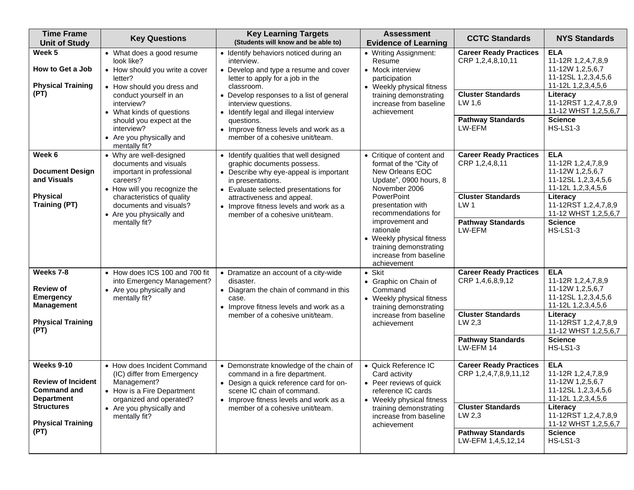| <b>Time Frame</b><br><b>Unit of Study</b>                                                                                                   | <b>Key Questions</b>                                                                                                                                                                                                                                                           | <b>Key Learning Targets</b><br>(Students will know and be able to)                                                                                                                                                                                                                                                                                       | <b>Assessment</b><br><b>Evidence of Learning</b>                                                                                                                                                                                                                                                            | <b>CCTC Standards</b>                                                                                                                          | <b>NYS Standards</b>                                                                                                                                                                               |
|---------------------------------------------------------------------------------------------------------------------------------------------|--------------------------------------------------------------------------------------------------------------------------------------------------------------------------------------------------------------------------------------------------------------------------------|----------------------------------------------------------------------------------------------------------------------------------------------------------------------------------------------------------------------------------------------------------------------------------------------------------------------------------------------------------|-------------------------------------------------------------------------------------------------------------------------------------------------------------------------------------------------------------------------------------------------------------------------------------------------------------|------------------------------------------------------------------------------------------------------------------------------------------------|----------------------------------------------------------------------------------------------------------------------------------------------------------------------------------------------------|
| Week 5<br>How to Get a Job<br><b>Physical Training</b><br>(PT)                                                                              | • What does a good resume<br>look like?<br>• How should you write a cover<br>letter?<br>• How should you dress and<br>conduct yourself in an<br>interview?<br>• What kinds of questions<br>should you expect at the<br>interview?<br>• Are you physically and<br>mentally fit? | • Identify behaviors noticed during an<br>interview.<br>• Develop and type a resume and cover<br>letter to apply for a job in the<br>classroom.<br>• Develop responses to a list of general<br>interview questions.<br>• Identify legal and illegal interview<br>questions.<br>• Improve fitness levels and work as a<br>member of a cohesive unit/team. | • Writing Assignment:<br>Resume<br>• Mock interview<br>participation<br>• Weekly physical fitness<br>training demonstrating<br>increase from baseline<br>achievement                                                                                                                                        | <b>Career Ready Practices</b><br>CRP 1,2,4,8,10,11<br><b>Cluster Standards</b><br>LW 1,6<br><b>Pathway Standards</b><br>LW-EFM                 | <b>ELA</b><br>11-12R 1,2,4,7,8,9<br>11-12W 1,2,5,6,7<br>11-12SL 1,2,3,4,5,6<br>11-12L 1,2,3,4,5,6<br>Literacy<br>11-12RST 1,2,4,7,8,9<br>11-12 WHST 1,2,5,6,7<br><b>Science</b><br><b>HS-LS1-3</b> |
| Week 6<br><b>Document Design</b><br>and Visuals<br><b>Physical</b><br><b>Training (PT)</b>                                                  | • Why are well-designed<br>documents and visuals<br>important in professional<br>careers?<br>• How will you recognize the<br>characteristics of quality<br>documents and visuals?<br>• Are you physically and<br>mentally fit?                                                 | • Identify qualities that well designed<br>graphic documents possess.<br>• Describe why eye-appeal is important<br>in presentations.<br>• Evaluate selected presentations for<br>attractiveness and appeal.<br>• Improve fitness levels and work as a<br>member of a cohesive unit/team.                                                                 | • Critique of content and<br>format of the "City of<br>New Orleans EOC<br>Update", 0900 hours, 8<br>November 2006<br>PowerPoint<br>presentation with<br>recommendations for<br>improvement and<br>rationale<br>• Weekly physical fitness<br>training demonstrating<br>increase from baseline<br>achievement | <b>Career Ready Practices</b><br>CRP 1,2,4,8,11<br><b>Cluster Standards</b><br>LW <sub>1</sub><br><b>Pathway Standards</b><br>LW-EFM           | <b>ELA</b><br>11-12R 1,2,4,7,8,9<br>11-12W 1,2,5,6,7<br>11-12SL 1,2,3,4,5,6<br>11-12L 1,2,3,4,5,6<br>Literacy<br>11-12RST 1,2,4,7,8,9<br>11-12 WHST 1,2,5,6,7<br><b>Science</b><br><b>HS-LS1-3</b> |
| Weeks 7-8<br><b>Review of</b><br><b>Emergency</b><br><b>Management</b><br><b>Physical Training</b><br>(PT)                                  | • How does ICS 100 and 700 fit<br>into Emergency Management?<br>• Are you physically and<br>mentally fit?                                                                                                                                                                      | • Dramatize an account of a city-wide<br>disaster.<br>• Diagram the chain of command in this<br>case.<br>• Improve fitness levels and work as a<br>member of a cohesive unit/team.                                                                                                                                                                       | $\bullet$ Skit<br>• Graphic on Chain of<br>Command<br>• Weekly physical fitness<br>training demonstrating<br>increase from baseline<br>achievement                                                                                                                                                          | <b>Career Ready Practices</b><br>CRP 1,4,6,8,9,12<br><b>Cluster Standards</b><br>LW 2,3<br><b>Pathway Standards</b><br>LW-EFM 14               | <b>ELA</b><br>11-12R 1,2,4,7,8,9<br>11-12W 1,2,5,6,7<br>11-12SL 1,2,3,4,5,6<br>11-12L 1,2,3,4,5,6<br>Literacy<br>11-12RST 1,2,4,7,8,9<br>11-12 WHST 1,2,5,6,7<br><b>Science</b><br><b>HS-LS1-3</b> |
| Weeks 9-10<br><b>Review of Incident</b><br><b>Command and</b><br><b>Department</b><br><b>Structures</b><br><b>Physical Training</b><br>(PT) | • How does Incident Command<br>(IC) differ from Emergency<br>Management?<br>• How is a Fire Department<br>organized and operated?<br>• Are you physically and<br>mentally fit?                                                                                                 | • Demonstrate knowledge of the chain of<br>command in a fire department.<br>• Design a quick reference card for on-<br>scene IC chain of command.<br>• Improve fitness levels and work as a<br>member of a cohesive unit/team.                                                                                                                           | • Quick Reference IC<br>Card activity<br>• Peer reviews of quick<br>reference IC cards<br>• Weekly physical fitness<br>training demonstrating<br>increase from baseline<br>achievement                                                                                                                      | <b>Career Ready Practices</b><br>CRP 1,2,4,7,8,9,11,12<br><b>Cluster Standards</b><br>LW 2,3<br><b>Pathway Standards</b><br>LW-EFM 1,4,5,12,14 | <b>ELA</b><br>11-12R 1,2,4,7,8,9<br>11-12W 1,2,5,6,7<br>11-12SL 1,2,3,4,5,6<br>11-12L 1,2,3,4,5,6<br>Literacy<br>11-12RST 1,2,4,7,8,9<br>11-12 WHST 1,2,5,6,7<br><b>Science</b><br><b>HS-LS1-3</b> |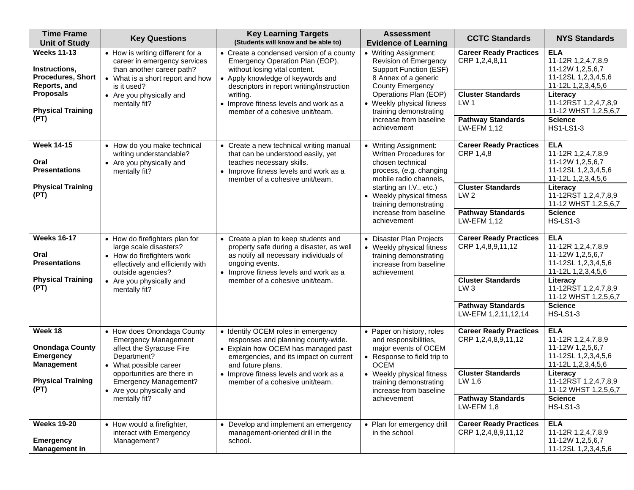| <b>Time Frame</b><br><b>Unit of Study</b>                                                                                               | <b>Key Questions</b>                                                                                                                                                                                                                      | <b>Key Learning Targets</b><br>(Students will know and be able to)                                                                                                                                                                                                                      | <b>Assessment</b><br><b>Evidence of Learning</b>                                                                                                                                                                                                            | <b>CCTC Standards</b>                                                                                                                            | <b>NYS Standards</b>                                                                                                                                                                                |
|-----------------------------------------------------------------------------------------------------------------------------------------|-------------------------------------------------------------------------------------------------------------------------------------------------------------------------------------------------------------------------------------------|-----------------------------------------------------------------------------------------------------------------------------------------------------------------------------------------------------------------------------------------------------------------------------------------|-------------------------------------------------------------------------------------------------------------------------------------------------------------------------------------------------------------------------------------------------------------|--------------------------------------------------------------------------------------------------------------------------------------------------|-----------------------------------------------------------------------------------------------------------------------------------------------------------------------------------------------------|
| <b>Weeks 11-13</b><br>Instructions,<br><b>Procedures, Short</b><br>Reports, and<br><b>Proposals</b><br><b>Physical Training</b><br>(PT) | • How is writing different for a<br>career in emergency services<br>than another career path?<br>• What is a short report and how<br>is it used?<br>• Are you physically and<br>mentally fit?                                             | • Create a condensed version of a county<br>Emergency Operation Plan (EOP),<br>without losing vital content.<br>• Apply knowledge of keywords and<br>descriptors in report writing/instruction<br>writing.<br>• Improve fitness levels and work as a<br>member of a cohesive unit/team. | • Writing Assignment:<br>Revision of Emergency<br><b>Support Function (ESF)</b><br>8 Annex of a generic<br><b>County Emergency</b><br>Operations Plan (EOP)<br>• Weekly physical fitness<br>training demonstrating<br>increase from baseline<br>achievement | <b>Career Ready Practices</b><br>CRP 1,2,4,8,11<br><b>Cluster Standards</b><br>LW <sub>1</sub><br><b>Pathway Standards</b><br><b>LW-EFM 1,12</b> | <b>ELA</b><br>11-12R 1,2,4,7,8,9<br>11-12W 1,2,5,6,7<br>11-12SL 1,2,3,4,5,6<br>11-12L 1,2,3,4,5,6<br>Literacy<br>11-12RST 1,2,4,7,8,9<br>11-12 WHST 1,2,5,6,7<br><b>Science</b><br><b>HS1-LS1-3</b> |
| <b>Week 14-15</b><br>Oral<br><b>Presentations</b><br><b>Physical Training</b><br>(PT)                                                   | • How do you make technical<br>writing understandable?<br>• Are you physically and<br>mentally fit?                                                                                                                                       | • Create a new technical writing manual<br>that can be understood easily, yet<br>teaches necessary skills.<br>• Improve fitness levels and work as a<br>member of a cohesive unit/team.                                                                                                 | • Writing Assignment:<br>Written Procedures for<br>chosen technical<br>process, (e.g. changing<br>mobile radio channels,<br>starting an I.V., etc.)<br>• Weekly physical fitness<br>training demonstrating<br>increase from baseline<br>achievement         | <b>Career Ready Practices</b><br>CRP 1,4,8<br><b>Cluster Standards</b><br>LW <sub>2</sub><br><b>Pathway Standards</b><br>LW-EFM 1.12             | <b>ELA</b><br>11-12R 1,2,4,7,8,9<br>11-12W 1,2,5,6,7<br>11-12SL 1,2,3,4,5,6<br>11-12L 1,2,3,4,5,6<br>Literacy<br>11-12RST 1,2,4,7,8,9<br>11-12 WHST 1,2,5,6,7<br><b>Science</b><br><b>HS-LS1-3</b>  |
| <b>Weeks 16-17</b><br>Oral<br><b>Presentations</b><br><b>Physical Training</b><br>(PT)                                                  | • How do firefighters plan for<br>large scale disasters?<br>• How do firefighters work<br>effectively and efficiently with<br>outside agencies?<br>• Are you physically and<br>mentally fit?                                              | • Create a plan to keep students and<br>property safe during a disaster, as well<br>as notify all necessary individuals of<br>ongoing events.<br>• Improve fitness levels and work as a<br>member of a cohesive unit/team.                                                              | • Disaster Plan Projects<br>• Weekly physical fitness<br>training demonstrating<br>increase from baseline<br>achievement                                                                                                                                    | <b>Career Ready Practices</b><br>CRP 1,4,8,9,11,12<br><b>Cluster Standards</b><br>LW3<br><b>Pathway Standards</b><br>LW-EFM 1,2,11,12,14         | <b>ELA</b><br>11-12R 1,2,4,7,8,9<br>11-12W 1,2,5,6,7<br>11-12SL 1,2,3,4,5,6<br>11-12L 1,2,3,4,5,6<br>Literacy<br>11-12RST 1,2,4,7,8,9<br>11-12 WHST 1,2,5,6,7<br><b>Science</b><br><b>HS-LS1-3</b>  |
| Week 18<br><b>Onondaga County</b><br><b>Emergency</b><br><b>Management</b><br><b>Physical Training</b><br>(PT)                          | • How does Onondaga County<br><b>Emergency Management</b><br>affect the Syracuse Fire<br>Department?<br>• What possible career<br>opportunities are there in<br><b>Emergency Management?</b><br>• Are you physically and<br>mentally fit? | • Identify OCEM roles in emergency<br>responses and planning county-wide.<br>• Explain how OCEM has managed past<br>emergencies, and its impact on current<br>and future plans.<br>• Improve fitness levels and work as a<br>member of a cohesive unit/team.                            | • Paper on history, roles<br>and responsibilities,<br>major events of OCEM<br>• Response to field trip to<br><b>OCEM</b><br>• Weekly physical fitness<br>training demonstrating<br>increase from baseline<br>achievement                                    | <b>Career Ready Practices</b><br>CRP 1,2,4,8,9,11,12<br><b>Cluster Standards</b><br>LW 1,6<br><b>Pathway Standards</b><br>$LW$ -EFM 1,8          | <b>ELA</b><br>11-12R 1,2,4,7,8,9<br>11-12W 1,2,5,6,7<br>11-12SL 1,2,3,4,5,6<br>11-12L 1,2,3,4,5,6<br>Literacy<br>11-12RST 1,2,4,7,8,9<br>11-12 WHST 1,2,5,6,7<br><b>Science</b><br><b>HS-LS1-3</b>  |
| <b>Weeks 19-20</b><br><b>Emergency</b><br><b>Management in</b>                                                                          | • How would a firefighter,<br>interact with Emergency<br>Management?                                                                                                                                                                      | • Develop and implement an emergency<br>management-oriented drill in the<br>school.                                                                                                                                                                                                     | • Plan for emergency drill<br>in the school                                                                                                                                                                                                                 | <b>Career Ready Practices</b><br>CRP 1,2,4,8,9,11,12                                                                                             | <b>ELA</b><br>11-12R 1,2,4,7,8,9<br>11-12W 1,2,5,6,7<br>11-12SL 1,2,3,4,5,6                                                                                                                         |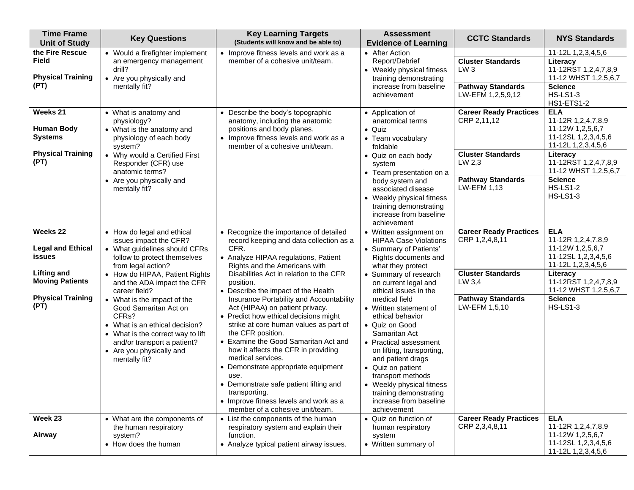| <b>Time Frame</b><br><b>Unit of Study</b>                                                                                          | <b>Key Questions</b>                                                                                                                                                                                                                                                                                                                                                                                                                                          | <b>Key Learning Targets</b><br>(Students will know and be able to)                                                                                                                                                                                                                                                                                                                                                                                                                                                                                                                                                                                                                                                                                  | <b>Assessment</b><br><b>Evidence of Learning</b>                                                                                                                                                                                                                                                                                                                                                                                                                                                                                 | <b>CCTC Standards</b>                                                                                                              | <b>NYS Standards</b>                                                                                                                                                                                                  |
|------------------------------------------------------------------------------------------------------------------------------------|---------------------------------------------------------------------------------------------------------------------------------------------------------------------------------------------------------------------------------------------------------------------------------------------------------------------------------------------------------------------------------------------------------------------------------------------------------------|-----------------------------------------------------------------------------------------------------------------------------------------------------------------------------------------------------------------------------------------------------------------------------------------------------------------------------------------------------------------------------------------------------------------------------------------------------------------------------------------------------------------------------------------------------------------------------------------------------------------------------------------------------------------------------------------------------------------------------------------------------|----------------------------------------------------------------------------------------------------------------------------------------------------------------------------------------------------------------------------------------------------------------------------------------------------------------------------------------------------------------------------------------------------------------------------------------------------------------------------------------------------------------------------------|------------------------------------------------------------------------------------------------------------------------------------|-----------------------------------------------------------------------------------------------------------------------------------------------------------------------------------------------------------------------|
| the Fire Rescue<br><b>Field</b><br><b>Physical Training</b><br>(PT)                                                                | • Would a firefighter implement<br>an emergency management<br>drill?<br>• Are you physically and<br>mentally fit?                                                                                                                                                                                                                                                                                                                                             | • Improve fitness levels and work as a<br>member of a cohesive unit/team.                                                                                                                                                                                                                                                                                                                                                                                                                                                                                                                                                                                                                                                                           | • After Action<br>Report/Debrief<br>• Weekly physical fitness<br>training demonstrating<br>increase from baseline<br>achievement                                                                                                                                                                                                                                                                                                                                                                                                 | <b>Cluster Standards</b><br>LW <sub>3</sub><br><b>Pathway Standards</b><br>LW-EFM 1,2,5,9,12                                       | 11-12L 1,2,3,4,5,6<br>Literacy<br>11-12RST 1,2,4,7,8,9<br>11-12 WHST 1,2,5,6,7<br><b>Science</b><br><b>HS-LS1-3</b><br><b>HS1-ETS1-2</b>                                                                              |
| Weeks 21<br><b>Human Body</b><br><b>Systems</b><br><b>Physical Training</b><br>(PT)                                                | • What is anatomy and<br>physiology?<br>• What is the anatomy and<br>physiology of each body<br>system?<br>• Why would a Certified First<br>Responder (CFR) use<br>anatomic terms?<br>• Are you physically and<br>mentally fit?                                                                                                                                                                                                                               | • Describe the body's topographic<br>anatomy, including the anatomic<br>positions and body planes.<br>• Improve fitness levels and work as a<br>member of a cohesive unit/team.                                                                                                                                                                                                                                                                                                                                                                                                                                                                                                                                                                     | • Application of<br>anatomical terms<br>$\bullet$ Quiz<br>• Team vocabulary<br>foldable<br>• Quiz on each body<br>system<br>• Team presentation on a<br>body system and<br>associated disease<br>• Weekly physical fitness<br>training demonstrating<br>increase from baseline<br>achievement                                                                                                                                                                                                                                    | <b>Career Ready Practices</b><br>CRP 2,11,12<br><b>Cluster Standards</b><br>LW 2,3<br><b>Pathway Standards</b><br>LW-EFM 1,13      | <b>ELA</b><br>11-12R 1,2,4,7,8,9<br>11-12W 1,2,5,6,7<br>11-12SL 1,2,3,4,5,6<br>11-12L 1,2,3,4,5,6<br>Literacy<br>11-12RST 1,2,4,7,8,9<br>11-12 WHST 1,2,5,6,7<br><b>Science</b><br><b>HS-LS1-2</b><br><b>HS-LS1-3</b> |
| Weeks 22<br><b>Legal and Ethical</b><br>issues<br><b>Lifting and</b><br><b>Moving Patients</b><br><b>Physical Training</b><br>(PT) | • How do legal and ethical<br>issues impact the CFR?<br>• What guidelines should CFRs<br>follow to protect themselves<br>from legal action?<br>• How do HIPAA, Patient Rights<br>and the ADA impact the CFR<br>career field?<br>• What is the impact of the<br>Good Samaritan Act on<br>CFR <sub>s</sub> ?<br>• What is an ethical decision?<br>• What is the correct way to lift<br>and/or transport a patient?<br>• Are you physically and<br>mentally fit? | • Recognize the importance of detailed<br>record keeping and data collection as a<br>CFR.<br>• Analyze HIPAA regulations, Patient<br>Rights and the Americans with<br>Disabilities Act in relation to the CFR<br>position.<br>• Describe the impact of the Health<br>Insurance Portability and Accountability<br>Act (HIPAA) on patient privacy.<br>• Predict how ethical decisions might<br>strike at core human values as part of<br>the CFR position.<br>• Examine the Good Samaritan Act and<br>how it affects the CFR in providing<br>medical services.<br>• Demonstrate appropriate equipment<br>use.<br>• Demonstrate safe patient lifting and<br>transporting.<br>• Improve fitness levels and work as a<br>member of a cohesive unit/team. | • Written assignment on<br><b>HIPAA Case Violations</b><br>• Summary of Patients'<br>Rights documents and<br>what they protect<br>• Summary of research<br>on current legal and<br>ethical issues in the<br>medical field<br>• Written statement of<br>ethical behavior<br>• Quiz on Good<br>Samaritan Act<br>• Practical assessment<br>on lifting, transporting,<br>and patient drags<br>• Quiz on patient<br>transport methods<br>• Weekly physical fitness<br>training demonstrating<br>increase from baseline<br>achievement | <b>Career Ready Practices</b><br>CRP 1,2,4,8,11<br><b>Cluster Standards</b><br>LW 3,4<br><b>Pathway Standards</b><br>LW-EFM 1,5,10 | <b>ELA</b><br>11-12R 1,2,4,7,8,9<br>11-12W 1,2,5,6,7<br>11-12SL 1,2,3,4,5,6<br>11-12L 1,2,3,4,5,6<br>Literacy<br>11-12RST 1,2,4,7,8,9<br>11-12 WHST 1,2,5,6,7<br><b>Science</b><br><b>HS-LS1-3</b>                    |
| Week 23<br>Airway                                                                                                                  | • What are the components of<br>the human respiratory<br>system?<br>• How does the human                                                                                                                                                                                                                                                                                                                                                                      | • List the components of the human<br>respiratory system and explain their<br>function.<br>• Analyze typical patient airway issues.                                                                                                                                                                                                                                                                                                                                                                                                                                                                                                                                                                                                                 | • Quiz on function of<br>human respiratory<br>system<br>• Written summary of                                                                                                                                                                                                                                                                                                                                                                                                                                                     | <b>Career Ready Practices</b><br>CRP 2,3,4,8,11                                                                                    | <b>ELA</b><br>11-12R 1,2,4,7,8,9<br>11-12W 1,2,5,6,7<br>11-12SL 1,2,3,4,5,6<br>11-12L 1,2,3,4,5,6                                                                                                                     |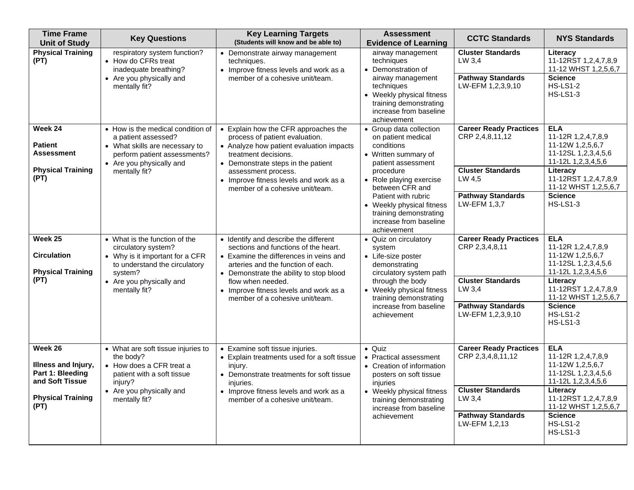| <b>Time Frame</b><br><b>Unit of Study</b>                                          | <b>Key Questions</b>                                                                                                                                                    | <b>Key Learning Targets</b><br>(Students will know and be able to)                                                                                                                                                                                                                   | <b>Assessment</b><br><b>Evidence of Learning</b>                                                                                                                                         | <b>CCTC Standards</b>                                                                  | <b>NYS Standards</b>                                                                                                                                          |
|------------------------------------------------------------------------------------|-------------------------------------------------------------------------------------------------------------------------------------------------------------------------|--------------------------------------------------------------------------------------------------------------------------------------------------------------------------------------------------------------------------------------------------------------------------------------|------------------------------------------------------------------------------------------------------------------------------------------------------------------------------------------|----------------------------------------------------------------------------------------|---------------------------------------------------------------------------------------------------------------------------------------------------------------|
| <b>Physical Training</b><br>(PT)                                                   | respiratory system function?<br>• How do CFRs treat<br>inadequate breathing?<br>• Are you physically and<br>mentally fit?                                               | • Demonstrate airway management<br>techniques.<br>• Improve fitness levels and work as a<br>member of a cohesive unit/team.                                                                                                                                                          | airway management<br>techniques<br>• Demonstration of<br>airway management<br>techniques<br>• Weekly physical fitness<br>training demonstrating<br>increase from baseline<br>achievement | <b>Cluster Standards</b><br>LW 3,4<br><b>Pathway Standards</b><br>LW-EFM 1,2,3,9,10    | Literacy<br>11-12RST 1,2,4,7,8,9<br>11-12 WHST 1,2,5,6,7<br><b>Science</b><br><b>HS-LS1-2</b><br><b>HS-LS1-3</b>                                              |
| Week 24<br><b>Patient</b><br><b>Assessment</b><br><b>Physical Training</b><br>(PT) | • How is the medical condition of<br>a patient assessed?<br>• What skills are necessary to<br>perform patient assessments?<br>• Are you physically and<br>mentally fit? | • Explain how the CFR approaches the<br>process of patient evaluation.<br>• Analyze how patient evaluation impacts<br>treatment decisions.<br>• Demonstrate steps in the patient<br>assessment process.<br>• Improve fitness levels and work as a<br>member of a cohesive unit/team. | • Group data collection<br>on patient medical<br>conditions<br>• Written summary of<br>patient assessment<br>procedure<br>• Role playing exercise<br>between CFR and                     | <b>Career Ready Practices</b><br>CRP 2,4,8,11,12<br><b>Cluster Standards</b><br>LW 4,5 | <b>ELA</b><br>11-12R 1,2,4,7,8,9<br>11-12W 1,2,5,6,7<br>11-12SL 1,2,3,4,5,6<br>11-12L 1,2,3,4,5,6<br>Literacy<br>11-12RST 1,2,4,7,8,9<br>11-12 WHST 1,2,5,6,7 |
|                                                                                    |                                                                                                                                                                         |                                                                                                                                                                                                                                                                                      | Patient with rubric<br>• Weekly physical fitness<br>training demonstrating<br>increase from baseline<br>achievement                                                                      | <b>Pathway Standards</b><br>LW-EFM 1.3.7                                               | <b>Science</b><br><b>HS-LS1-3</b>                                                                                                                             |
| Week 25<br><b>Circulation</b><br><b>Physical Training</b><br>(PT)                  | • What is the function of the<br>circulatory system?<br>• Why is it important for a CFR<br>to understand the circulatory<br>system?                                     | • Identify and describe the different<br>sections and functions of the heart.<br>• Examine the differences in veins and<br>arteries and the function of each.<br>• Demonstrate the ability to stop blood                                                                             | • Quiz on circulatory<br>system<br>• Life-size poster<br>demonstrating<br>circulatory system path<br>through the body                                                                    | <b>Career Ready Practices</b><br>CRP 2,3,4,8,11<br><b>Cluster Standards</b>            | <b>ELA</b><br>11-12R 1,2,4,7,8,9<br>11-12W 1,2,5,6,7<br>11-12SL 1,2,3,4,5,6<br>11-12L 1,2,3,4,5,6<br>Literacy                                                 |
|                                                                                    | • Are you physically and<br>mentally fit?                                                                                                                               | flow when needed.<br>• Improve fitness levels and work as a<br>member of a cohesive unit/team.                                                                                                                                                                                       | • Weekly physical fitness<br>training demonstrating<br>increase from baseline<br>achievement                                                                                             | LW 3,4<br><b>Pathway Standards</b><br>LW-EFM 1,2,3,9,10                                | 11-12RST 1,2,4,7,8,9<br>11-12 WHST 1,2,5,6,7<br><b>Science</b><br><b>HS-LS1-2</b><br><b>HS-LS1-3</b>                                                          |
| Week 26<br>Illness and Injury,<br>Part 1: Bleeding<br>and Soft Tissue              | • What are soft tissue injuries to<br>the body?<br>• How does a CFR treat a<br>patient with a soft tissue<br>injury?<br>• Are you physically and                        | • Examine soft tissue injuries.<br>• Explain treatments used for a soft tissue<br>injury.<br>• Demonstrate treatments for soft tissue<br>injuries.<br>• Improve fitness levels and work as a                                                                                         | · Quiz<br><b>Practical assessment</b><br>$\bullet$<br>• Creation of information<br>posters on soft tissue<br>injuries<br>• Weekly physical fitness                                       | <b>Career Ready Practices</b><br>CRP 2,3,4,8,11,12<br><b>Cluster Standards</b>         | <b>ELA</b><br>11-12R 1,2,4,7,8,9<br>11-12W 1,2,5,6,7<br>11-12SL 1,2,3,4,5,6<br>11-12L 1,2,3,4,5,6<br>Literacy                                                 |
| <b>Physical Training</b><br>(PT)                                                   | mentally fit?                                                                                                                                                           | member of a cohesive unit/team.                                                                                                                                                                                                                                                      | training demonstrating<br>increase from baseline<br>achievement                                                                                                                          | LW 3,4<br><b>Pathway Standards</b><br>LW-EFM 1,2,13                                    | 11-12RST 1,2,4,7,8,9<br>11-12 WHST 1,2,5,6,7<br><b>Science</b><br><b>HS-LS1-2</b><br><b>HS-LS1-3</b>                                                          |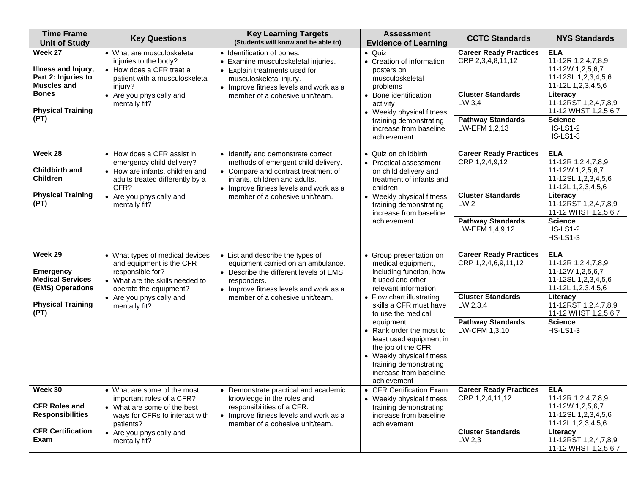| <b>Time Frame</b><br><b>Unit of Study</b>                                                                                       | <b>Key Questions</b>                                                                                                                                                                      | <b>Key Learning Targets</b><br>(Students will know and be able to)                                                                                                                                                             | <b>Assessment</b><br><b>Evidence of Learning</b>                                                                                                                                                                                                                                                                                                                                             | <b>CCTC Standards</b>                                                                                                                         | <b>NYS Standards</b>                                                                                                                                                                                                  |
|---------------------------------------------------------------------------------------------------------------------------------|-------------------------------------------------------------------------------------------------------------------------------------------------------------------------------------------|--------------------------------------------------------------------------------------------------------------------------------------------------------------------------------------------------------------------------------|----------------------------------------------------------------------------------------------------------------------------------------------------------------------------------------------------------------------------------------------------------------------------------------------------------------------------------------------------------------------------------------------|-----------------------------------------------------------------------------------------------------------------------------------------------|-----------------------------------------------------------------------------------------------------------------------------------------------------------------------------------------------------------------------|
| Week 27<br>Illness and Injury,<br>Part 2: Injuries to<br><b>Muscles and</b><br><b>Bones</b><br><b>Physical Training</b><br>(PT) | • What are musculoskeletal<br>injuries to the body?<br>• How does a CFR treat a<br>patient with a musculoskeletal<br>injury?<br>• Are you physically and<br>mentally fit?                 | • Identification of bones.<br>• Examine musculoskeletal injuries.<br>• Explain treatments used for<br>musculoskeletal injury.<br>• Improve fitness levels and work as a<br>member of a cohesive unit/team.                     | $\bullet$ Quiz<br>• Creation of information<br>posters on<br>musculoskeletal<br>problems<br>• Bone identification<br>activity<br>• Weekly physical fitness<br>training demonstrating<br>increase from baseline<br>achievement                                                                                                                                                                | <b>Career Ready Practices</b><br>CRP 2,3,4,8,11,12<br><b>Cluster Standards</b><br>LW 3,4<br><b>Pathway Standards</b><br>LW-EFM 1,2,13         | <b>ELA</b><br>11-12R 1,2,4,7,8,9<br>11-12W 1,2,5,6,7<br>11-12SL 1,2,3,4,5,6<br>11-12L 1,2,3,4,5,6<br>Literacy<br>11-12RST 1,2,4,7,8,9<br>11-12 WHST 1,2,5,6,7<br><b>Science</b><br><b>HS-LS1-2</b><br><b>HS-LS1-3</b> |
| Week 28<br><b>Childbirth and</b><br><b>Children</b><br><b>Physical Training</b><br>(PT)                                         | • How does a CFR assist in<br>emergency child delivery?<br>• How are infants, children and<br>adults treated differently by a<br>CFR?<br>• Are you physically and<br>mentally fit?        | • Identify and demonstrate correct<br>methods of emergent child delivery.<br>• Compare and contrast treatment of<br>infants, children and adults.<br>• Improve fitness levels and work as a<br>member of a cohesive unit/team. | • Quiz on childbirth<br>• Practical assessment<br>on child delivery and<br>treatment of infants and<br>children<br>• Weekly physical fitness<br>training demonstrating<br>increase from baseline<br>achievement                                                                                                                                                                              | <b>Career Ready Practices</b><br>CRP 1,2,4,9,12<br><b>Cluster Standards</b><br>LW <sub>2</sub><br><b>Pathway Standards</b><br>LW-EFM 1,4,9,12 | <b>ELA</b><br>11-12R 1,2,4,7,8,9<br>11-12W 1,2,5,6,7<br>11-12SL 1,2,3,4,5,6<br>11-12L 1,2,3,4,5,6<br>Literacy<br>11-12RST 1,2,4,7,8,9<br>11-12 WHST 1,2,5,6,7<br><b>Science</b><br><b>HS-LS1-2</b><br><b>HS-LS1-3</b> |
| Week 29<br><b>Emergency</b><br><b>Medical Services</b><br>(EMS) Operations<br><b>Physical Training</b><br>(PT)                  | • What types of medical devices<br>and equipment is the CFR<br>responsible for?<br>• What are the skills needed to<br>operate the equipment?<br>• Are you physically and<br>mentally fit? | • List and describe the types of<br>equipment carried on an ambulance.<br>• Describe the different levels of EMS<br>responders.<br>• Improve fitness levels and work as a<br>member of a cohesive unit/team.                   | • Group presentation on<br>medical equipment,<br>including function, how<br>it used and other<br>relevant information<br>• Flow chart illustrating<br>skills a CFR must have<br>to use the medical<br>equipment<br>• Rank order the most to<br>least used equipment in<br>the job of the CFR<br>• Weekly physical fitness<br>training demonstrating<br>increase from baseline<br>achievement | <b>Career Ready Practices</b><br>CRP 1,2,4,6,9,11,12<br><b>Cluster Standards</b><br>LW 2, 3, 4<br><b>Pathway Standards</b><br>LW-CFM 1,3,10   | <b>ELA</b><br>11-12R 1,2,4,7,8,9<br>11-12W 1,2,5,6,7<br>11-12SL 1,2,3,4,5,6<br>11-12L 1,2,3,4,5,6<br>Literacy<br>11-12RST 1,2,4,7,8,9<br>11-12 WHST 1,2,5,6,7<br><b>Science</b><br><b>HS-LS1-3</b>                    |
| Week 30<br><b>CFR Roles and</b><br><b>Responsibilities</b><br><b>CFR Certification</b><br>Exam                                  | • What are some of the most<br>important roles of a CFR?<br>• What are some of the best<br>ways for CFRs to interact with<br>patients?<br>• Are you physically and<br>mentally fit?       | • Demonstrate practical and academic<br>knowledge in the roles and<br>responsibilities of a CFR.<br>• Improve fitness levels and work as a<br>member of a cohesive unit/team.                                                  | • CFR Certification Exam<br>• Weekly physical fitness<br>training demonstrating<br>increase from baseline<br>achievement                                                                                                                                                                                                                                                                     | <b>Career Ready Practices</b><br>CRP 1,2,4,11,12<br><b>Cluster Standards</b><br>LW 2,3                                                        | <b>ELA</b><br>11-12R 1,2,4,7,8,9<br>11-12W 1,2,5,6,7<br>11-12SL 1,2,3,4,5,6<br>11-12L 1,2,3,4,5,6<br>Literacy<br>11-12RST 1,2,4,7,8,9<br>11-12 WHST 1,2,5,6,7                                                         |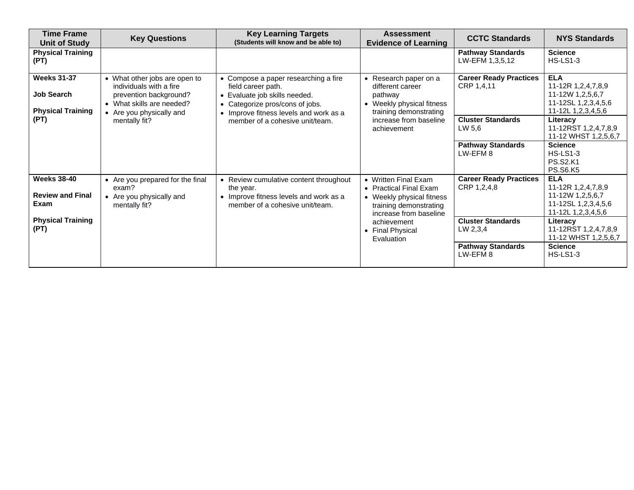| <b>Time Frame</b><br>Unit of Study                                  | <b>Key Questions</b>                                                                                                                        | <b>Key Learning Targets</b><br>(Students will know and be able to)                                                                                                   | <b>Assessment</b><br><b>Evidence of Learning</b>                                                                                | <b>CCTC Standards</b>                        | <b>NYS Standards</b>                                                                              |
|---------------------------------------------------------------------|---------------------------------------------------------------------------------------------------------------------------------------------|----------------------------------------------------------------------------------------------------------------------------------------------------------------------|---------------------------------------------------------------------------------------------------------------------------------|----------------------------------------------|---------------------------------------------------------------------------------------------------|
| <b>Physical Training</b><br>(PT)                                    |                                                                                                                                             |                                                                                                                                                                      |                                                                                                                                 | <b>Pathway Standards</b><br>LW-EFM 1,3,5,12  | <b>Science</b><br><b>HS-LS1-3</b>                                                                 |
| <b>Weeks 31-37</b><br><b>Job Search</b><br><b>Physical Training</b> | • What other jobs are open to<br>individuals with a fire<br>prevention background?<br>• What skills are needed?<br>• Are you physically and | • Compose a paper researching a fire<br>field career path.<br>Evaluate job skills needed.<br>Categorize pros/cons of jobs.<br>• Improve fitness levels and work as a | • Research paper on a<br>different career<br>pathway<br>• Weekly physical fitness<br>training demonstrating                     | <b>Career Ready Practices</b><br>CRP 1,4,11  | <b>ELA</b><br>11-12R 1,2,4,7,8,9<br>11-12W 1,2,5,6,7<br>11-12SL 1,2,3,4,5,6<br>11-12L 1,2,3,4,5,6 |
| (PT)                                                                | mentally fit?                                                                                                                               | member of a cohesive unit/team.                                                                                                                                      | increase from baseline<br>achievement                                                                                           | <b>Cluster Standards</b><br>LW 5,6           | Literacy<br>11-12RST 1,2,4,7,8,9<br>11-12 WHST 1,2,5,6,7                                          |
|                                                                     |                                                                                                                                             |                                                                                                                                                                      |                                                                                                                                 | <b>Pathway Standards</b><br>LW-EFM 8         | <b>Science</b><br><b>HS-LS1-3</b><br><b>PS.S2.K1</b><br><b>PS.S6.K5</b>                           |
| <b>Weeks 38-40</b><br><b>Review and Final</b><br>Exam               | • Are you prepared for the final<br>exam?<br>• Are you physically and<br>mentally fit?                                                      | • Review cumulative content throughout<br>the year.<br>• Improve fitness levels and work as a<br>member of a cohesive unit/team.                                     | • Written Final Exam<br>• Practical Final Exam<br>• Weekly physical fitness<br>training demonstrating<br>increase from baseline | <b>Career Ready Practices</b><br>CRP 1,2,4,8 | <b>ELA</b><br>11-12R 1,2,4,7,8,9<br>11-12W 1,2,5,6,7<br>11-12SL 1,2,3,4,5,6<br>11-12L 1,2,3,4,5,6 |
| <b>Physical Training</b><br>(PT)                                    |                                                                                                                                             |                                                                                                                                                                      | achievement<br>• Final Physical<br>Evaluation                                                                                   | <b>Cluster Standards</b><br>LW 2,3,4         | Literacy<br>11-12RST 1,2,4,7,8,9<br>11-12 WHST 1,2,5,6,7                                          |
|                                                                     |                                                                                                                                             |                                                                                                                                                                      |                                                                                                                                 | <b>Pathway Standards</b><br>LW-EFM 8         | <b>Science</b><br><b>HS-LS1-3</b>                                                                 |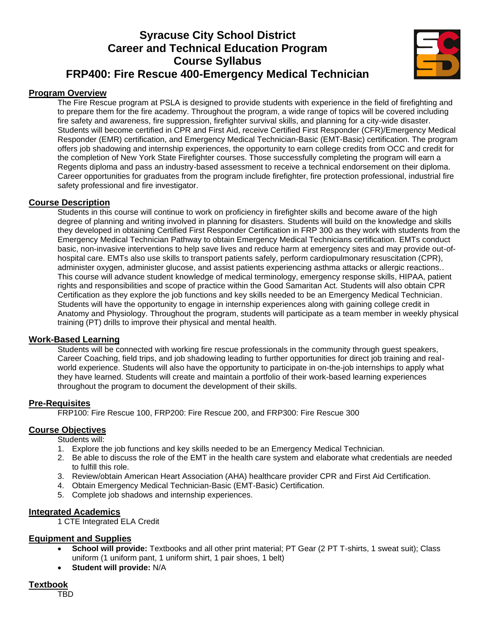# **Syracuse City School District Career and Technical Education Program Course Syllabus FRP400: Fire Rescue 400-Emergency Medical Technician**



## **Program Overview**

The Fire Rescue program at PSLA is designed to provide students with experience in the field of firefighting and to prepare them for the fire academy. Throughout the program, a wide range of topics will be covered including fire safety and awareness, fire suppression, firefighter survival skills, and planning for a city-wide disaster. Students will become certified in CPR and First Aid, receive Certified First Responder (CFR)/Emergency Medical Responder (EMR) certification, and Emergency Medical Technician-Basic (EMT-Basic) certification. The program offers job shadowing and internship experiences, the opportunity to earn college credits from OCC and credit for the completion of New York State Firefighter courses. Those successfully completing the program will earn a Regents diploma and pass an industry-based assessment to receive a technical endorsement on their diploma. Career opportunities for graduates from the program include firefighter, fire protection professional, industrial fire safety professional and fire investigator.

#### **Course Description**

Students in this course will continue to work on proficiency in firefighter skills and become aware of the high degree of planning and writing involved in planning for disasters. Students will build on the knowledge and skills they developed in obtaining Certified First Responder Certification in FRP 300 as they work with students from the Emergency Medical Technician Pathway to obtain Emergency Medical Technicians certification. EMTs conduct basic, non-invasive interventions to help save lives and reduce harm at emergency sites and may provide out-ofhospital care. EMTs also use skills to transport patients safely, perform cardiopulmonary resuscitation (CPR), administer oxygen, administer glucose, and assist patients experiencing asthma attacks or allergic reactions.. This course will advance student knowledge of medical terminology, emergency response skills, HIPAA, patient rights and responsibilities and scope of practice within the Good Samaritan Act. Students will also obtain CPR Certification as they explore the job functions and key skills needed to be an Emergency Medical Technician. Students will have the opportunity to engage in internship experiences along with gaining college credit in Anatomy and Physiology. Throughout the program, students will participate as a team member in weekly physical training (PT) drills to improve their physical and mental health.

#### **Work-Based Learning**

Students will be connected with working fire rescue professionals in the community through guest speakers, Career Coaching, field trips, and job shadowing leading to further opportunities for direct job training and realworld experience. Students will also have the opportunity to participate in on-the-job internships to apply what they have learned. Students will create and maintain a portfolio of their work-based learning experiences throughout the program to document the development of their skills.

#### **Pre-Requisites**

FRP100: Fire Rescue 100, FRP200: Fire Rescue 200, and FRP300: Fire Rescue 300

#### **Course Objectives**

Students will:

- 1. Explore the job functions and key skills needed to be an Emergency Medical Technician.
- 2. Be able to discuss the role of the EMT in the health care system and elaborate what credentials are needed to fulfill this role.
- 3. Review/obtain American Heart Association (AHA) healthcare provider CPR and First Aid Certification.
- 4. Obtain Emergency Medical Technician-Basic (EMT-Basic) Certification.
- 5. Complete job shadows and internship experiences.

#### **Integrated Academics**

1 CTE Integrated ELA Credit

#### **Equipment and Supplies**

- **School will provide:** Textbooks and all other print material; PT Gear (2 PT T-shirts, 1 sweat suit); Class uniform (1 uniform pant, 1 uniform shirt, 1 pair shoes, 1 belt)
- **Student will provide:** N/A

## **Textbook**

TBD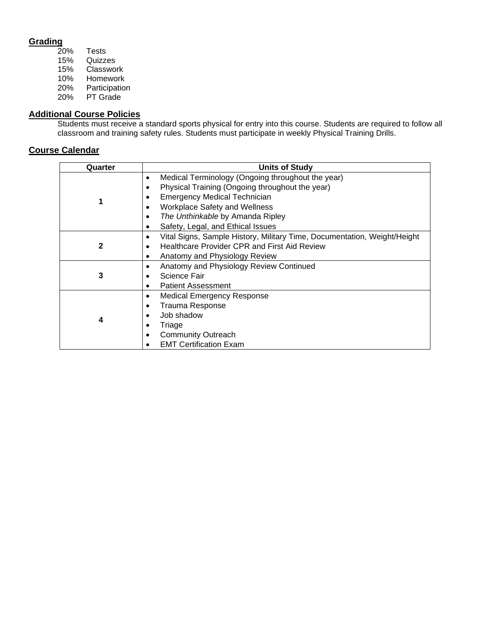# **Grading**

| 20%        | Tests         |
|------------|---------------|
| 15%        | Quizzes       |
| 15%        | Classwork     |
| 10%        | Homework      |
| <b>20%</b> | Participation |
| <b>20%</b> | PT Grade      |

#### **Additional Course Policies**

Students must receive a standard sports physical for entry into this course. Students are required to follow all classroom and training safety rules. Students must participate in weekly Physical Training Drills.

| Quarter | <b>Units of Study</b>                                                                 |
|---------|---------------------------------------------------------------------------------------|
|         | Medical Terminology (Ongoing throughout the year)<br>$\bullet$                        |
|         | Physical Training (Ongoing throughout the year)<br>٠                                  |
|         | <b>Emergency Medical Technician</b><br>٠                                              |
|         | <b>Workplace Safety and Wellness</b><br>$\bullet$                                     |
|         | The Unthinkable by Amanda Ripley<br>٠                                                 |
|         | Safety, Legal, and Ethical Issues<br>٠                                                |
|         | Vital Signs, Sample History, Military Time, Documentation, Weight/Height<br>$\bullet$ |
| 2       | <b>Healthcare Provider CPR and First Aid Review</b><br>٠                              |
|         | Anatomy and Physiology Review<br>$\bullet$                                            |
|         | Anatomy and Physiology Review Continued<br>$\bullet$                                  |
| 3       | Science Fair<br>٠                                                                     |
|         | <b>Patient Assessment</b><br>$\bullet$                                                |
|         | <b>Medical Emergency Response</b><br>$\bullet$                                        |
|         | <b>Trauma Response</b><br>٠                                                           |
|         | Job shadow                                                                            |
| 4       | Triage<br>٠                                                                           |
|         | <b>Community Outreach</b><br>٠                                                        |
|         | <b>EMT Certification Exam</b>                                                         |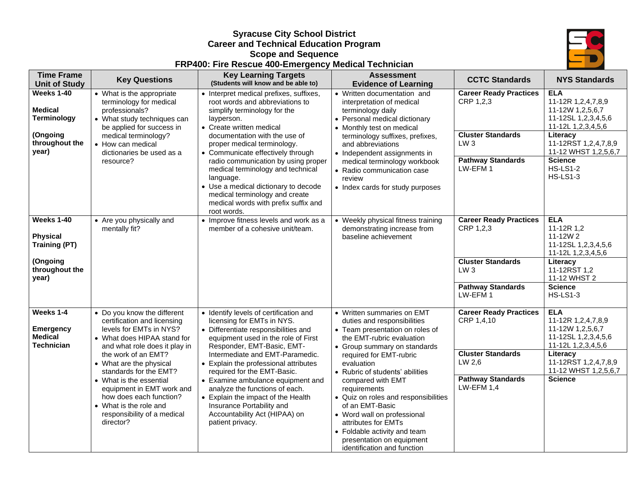#### **Syracuse City School District Career and Technical Education Program Scope and Sequence FRP400: Fire Rescue 400-Emergency Medical Technician**



| <b>Time Frame</b><br><b>Unit of Study</b>                                                        | <b>Key Questions</b>                                                                                                                                                                                                                                                                                                                                                                       | <b>Key Learning Targets</b><br>(Students will know and be able to)                                                                                                                                                                                                                                                                                                                                                                                                                          | <b>Assessment</b><br><b>Evidence of Learning</b>                                                                                                                                                                                                                                                                                                                                                                                                                                        | <b>CCTC Standards</b>                                                                                                              | <b>NYS Standards</b>                                                                                                                                                                                                  |
|--------------------------------------------------------------------------------------------------|--------------------------------------------------------------------------------------------------------------------------------------------------------------------------------------------------------------------------------------------------------------------------------------------------------------------------------------------------------------------------------------------|---------------------------------------------------------------------------------------------------------------------------------------------------------------------------------------------------------------------------------------------------------------------------------------------------------------------------------------------------------------------------------------------------------------------------------------------------------------------------------------------|-----------------------------------------------------------------------------------------------------------------------------------------------------------------------------------------------------------------------------------------------------------------------------------------------------------------------------------------------------------------------------------------------------------------------------------------------------------------------------------------|------------------------------------------------------------------------------------------------------------------------------------|-----------------------------------------------------------------------------------------------------------------------------------------------------------------------------------------------------------------------|
| <b>Weeks 1-40</b><br><b>Medical</b><br><b>Terminology</b><br>(Ongoing<br>throughout the<br>year) | • What is the appropriate<br>terminology for medical<br>professionals?<br>• What study techniques can<br>be applied for success in<br>medical terminology?<br>• How can medical<br>dictionaries be used as a<br>resource?                                                                                                                                                                  | • Interpret medical prefixes, suffixes,<br>root words and abbreviations to<br>simplify terminology for the<br>layperson.<br>• Create written medical<br>documentation with the use of<br>proper medical terminology.<br>• Communicate effectively through<br>radio communication by using proper<br>medical terminology and technical<br>language.<br>• Use a medical dictionary to decode<br>medical terminology and create<br>medical words with prefix suffix and                        | • Written documentation and<br>interpretation of medical<br>terminology daily<br>• Personal medical dictionary<br>• Monthly test on medical<br>terminology suffixes, prefixes,<br>and abbreviations<br>• Independent assignments in<br>medical terminology workbook<br>• Radio communication case<br>review<br>• Index cards for study purposes                                                                                                                                         | <b>Career Ready Practices</b><br>CRP 1,2,3<br><b>Cluster Standards</b><br>LW <sub>3</sub><br><b>Pathway Standards</b><br>LW-EFM1   | <b>ELA</b><br>11-12R 1,2,4,7,8,9<br>11-12W 1,2,5,6,7<br>11-12SL 1,2,3,4,5,6<br>11-12L 1,2,3,4,5,6<br>Literacy<br>11-12RST 1,2,4,7,8,9<br>11-12 WHST 1,2,5,6,7<br><b>Science</b><br><b>HS-LS1-2</b><br><b>HS-LS1-3</b> |
| Weeks 1-40<br><b>Physical</b><br><b>Training (PT)</b><br>(Ongoing<br>throughout the<br>year)     | • Are you physically and<br>mentally fit?                                                                                                                                                                                                                                                                                                                                                  | root words.<br>• Improve fitness levels and work as a<br>member of a cohesive unit/team.                                                                                                                                                                                                                                                                                                                                                                                                    | • Weekly physical fitness training<br>demonstrating increase from<br>baseline achievement                                                                                                                                                                                                                                                                                                                                                                                               | <b>Career Ready Practices</b><br>CRP 1,2,3<br><b>Cluster Standards</b><br>LW <sub>3</sub><br><b>Pathway Standards</b><br>LW-EFM1   | <b>ELA</b><br>11-12R 1,2<br>11-12W 2<br>11-12SL 1,2,3,4,5,6<br>11-12L 1,2,3,4,5,6<br>Literacy<br>11-12RST 1,2<br>11-12 WHST 2<br><b>Science</b><br><b>HS-LS1-3</b>                                                    |
| Weeks 1-4<br><b>Emergency</b><br><b>Medical</b><br><b>Technician</b>                             | • Do you know the different<br>certification and licensing<br>levels for EMTs in NYS?<br>• What does HIPAA stand for<br>and what role does it play in<br>the work of an EMT?<br>• What are the physical<br>standards for the EMT?<br>• What is the essential<br>equipment in EMT work and<br>how does each function?<br>• What is the role and<br>responsibility of a medical<br>director? | · Identify levels of certification and<br>licensing for EMTs in NYS.<br>• Differentiate responsibilities and<br>equipment used in the role of First<br>Responder, EMT-Basic, EMT-<br>Intermediate and EMT-Paramedic.<br>• Explain the professional attributes<br>required for the EMT-Basic.<br>• Examine ambulance equipment and<br>analyze the functions of each.<br>• Explain the impact of the Health<br>Insurance Portability and<br>Accountability Act (HIPAA) on<br>patient privacy. | • Written summaries on EMT<br>duties and responsibilities<br>• Team presentation on roles of<br>the EMT-rubric evaluation<br>• Group summary on standards<br>required for EMT-rubric<br>evaluation<br>• Rubric of students' abilities<br>compared with EMT<br>requirements<br>• Quiz on roles and responsibilities<br>of an EMT-Basic<br>• Word wall on professional<br>attributes for EMTs<br>• Foldable activity and team<br>presentation on equipment<br>identification and function | <b>Career Ready Practices</b><br>CRP 1,4,10<br><b>Cluster Standards</b><br>LW 2,6<br><b>Pathway Standards</b><br><b>LW-EFM 1.4</b> | <b>ELA</b><br>11-12R 1,2,4,7,8,9<br>11-12W 1,2,5,6,7<br>11-12SL 1,2,3,4,5,6<br>11-12L 1,2,3,4,5,6<br>Literacy<br>11-12RST 1,2,4,7,8,9<br>11-12 WHST 1,2,5,6,7<br><b>Science</b>                                       |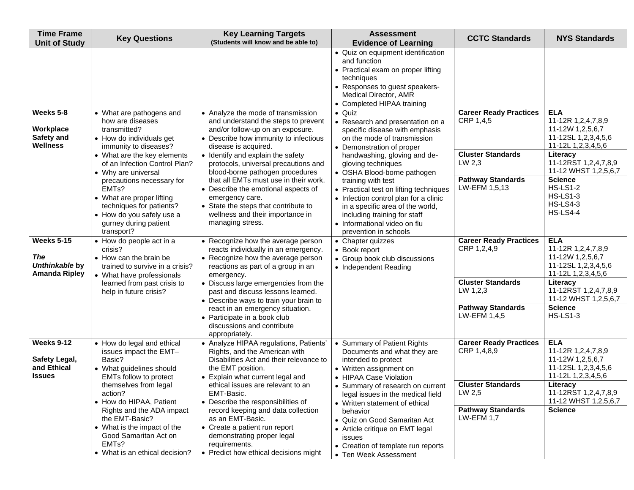| <b>Time Frame</b><br><b>Unit of Study</b>                          | <b>Key Questions</b>                                                                                                                                                                                                       | <b>Key Learning Targets</b><br>(Students will know and be able to)                                                                                                                                                                                                       | <b>Assessment</b><br><b>Evidence of Learning</b>                                                                                                                                                                                                                  | <b>CCTC Standards</b>                                                            | <b>NYS Standards</b>                                                                                                                  |
|--------------------------------------------------------------------|----------------------------------------------------------------------------------------------------------------------------------------------------------------------------------------------------------------------------|--------------------------------------------------------------------------------------------------------------------------------------------------------------------------------------------------------------------------------------------------------------------------|-------------------------------------------------------------------------------------------------------------------------------------------------------------------------------------------------------------------------------------------------------------------|----------------------------------------------------------------------------------|---------------------------------------------------------------------------------------------------------------------------------------|
|                                                                    |                                                                                                                                                                                                                            |                                                                                                                                                                                                                                                                          | • Quiz on equipment identification<br>and function<br>• Practical exam on proper lifting<br>techniques<br>• Responses to guest speakers-<br>Medical Director, AMR<br>• Completed HIPAA training                                                                   |                                                                                  |                                                                                                                                       |
| Weeks 5-8<br>Workplace<br>Safety and<br><b>Wellness</b>            | • What are pathogens and<br>how are diseases<br>transmitted?<br>• How do individuals get<br>immunity to diseases?<br>• What are the key elements<br>of an Infection Control Plan?                                          | • Analyze the mode of transmission<br>and understand the steps to prevent<br>and/or follow-up on an exposure.<br>• Describe how immunity to infectious<br>disease is acquired.<br>• Identify and explain the safety<br>protocols, universal precautions and              | $\bullet$ Quiz<br>• Research and presentation on a<br>specific disease with emphasis<br>on the mode of transmission<br>• Demonstration of proper<br>handwashing, gloving and de-<br>gloving techniques                                                            | <b>Career Ready Practices</b><br>CRP 1,4,5<br><b>Cluster Standards</b><br>LW 2,3 | <b>ELA</b><br>11-12R 1,2,4,7,8,9<br>11-12W 1,2,5,6,7<br>11-12SL 1,2,3,4,5,6<br>11-12L 1,2,3,4,5,6<br>Literacy<br>11-12RST 1,2,4,7,8,9 |
|                                                                    | • Why are universal<br>precautions necessary for<br>EMT <sub>s</sub> ?<br>• What are proper lifting<br>techniques for patients?<br>• How do you safely use a<br>gurney during patient<br>transport?                        | blood-borne pathogen procedures<br>that all EMTs must use in their work.<br>• Describe the emotional aspects of<br>emergency care.<br>• State the steps that contribute to<br>wellness and their importance in<br>managing stress.                                       | • OSHA Blood-borne pathogen<br>training with test<br>• Practical test on lifting techniques<br>• Infection control plan for a clinic<br>in a specific area of the world,<br>including training for staff<br>• Informational video on flu<br>prevention in schools | <b>Pathway Standards</b><br>LW-EFM 1,5,13                                        | 11-12 WHST 1,2,5,6,7<br><b>Science</b><br><b>HS-LS1-2</b><br><b>HS-LS1-3</b><br><b>HS-LS4-3</b><br><b>HS-LS4-4</b>                    |
| <b>Weeks 5-15</b><br>The<br>Unthinkable by<br><b>Amanda Ripley</b> | • How do people act in a<br>crisis?<br>• How can the brain be<br>trained to survive in a crisis?<br>• What have professionals<br>learned from past crisis to                                                               | • Recognize how the average person<br>reacts individually in an emergency.<br>• Recognize how the average person<br>reactions as part of a group in an<br>emergency.<br>• Discuss large emergencies from the                                                             | • Chapter quizzes<br>• Book report<br>• Group book club discussions<br>• Independent Reading                                                                                                                                                                      | <b>Career Ready Practices</b><br>CRP 1,2,4,9<br><b>Cluster Standards</b>         | <b>ELA</b><br>11-12R 1,2,4,7,8,9<br>11-12W 1,2,5,6,7<br>11-12SL 1,2,3,4,5,6<br>11-12L 1,2,3,4,5,6<br>Literacy                         |
|                                                                    | help in future crisis?                                                                                                                                                                                                     | past and discuss lessons learned.<br>• Describe ways to train your brain to<br>react in an emergency situation.<br>• Participate in a book club<br>discussions and contribute<br>appropriately.                                                                          |                                                                                                                                                                                                                                                                   | LW 1,2,3<br><b>Pathway Standards</b><br>LW-EFM 1,4,5                             | 11-12RST 1,2,4,7,8,9<br>11-12 WHST 1,2,5,6,7<br><b>Science</b><br><b>HS-LS1-3</b>                                                     |
| <b>Weeks 9-12</b><br>Safety Legal,<br>and Ethical<br><b>Issues</b> | • How do legal and ethical<br>issues impact the EMT-<br>Basic?<br>• What guidelines should<br><b>EMTs follow to protect</b>                                                                                                | • Analyze HIPAA regulations, Patients'<br>Rights, and the American with<br>Disabilities Act and their relevance to<br>the EMT position.<br>• Explain what current legal and                                                                                              | • Summary of Patient Rights<br>Documents and what they are<br>intended to protect<br>• Written assignment on<br>• HIPAA Case Violation                                                                                                                            | <b>Career Ready Practices</b><br>CRP 1,4,8,9                                     | <b>ELA</b><br>11-12R 1,2,4,7,8,9<br>11-12W 1,2,5,6,7<br>11-12SL 1,2,3,4,5,6<br>11-12L 1,2,3,4,5,6                                     |
|                                                                    | themselves from legal<br>action?<br>• How do HIPAA, Patient<br>Rights and the ADA impact<br>the EMT-Basic?<br>• What is the impact of the<br>Good Samaritan Act on<br>EMT <sub>s</sub> ?<br>• What is an ethical decision? | ethical issues are relevant to an<br>EMT-Basic.<br>• Describe the responsibilities of<br>record keeping and data collection<br>as an EMT-Basic.<br>• Create a patient run report<br>demonstrating proper legal<br>requirements.<br>• Predict how ethical decisions might | • Summary of research on current<br>legal issues in the medical field<br>• Written statement of ethical<br>behavior<br>• Quiz on Good Samaritan Act<br>• Article critique on EMT legal<br>issues<br>• Creation of template run reports<br>• Ten Week Assessment   | <b>Cluster Standards</b><br>LW 2,5<br><b>Pathway Standards</b><br>$LW$ -EFM 1.7  | Literacy<br>11-12RST 1,2,4,7,8,9<br>11-12 WHST 1,2,5,6,7<br><b>Science</b>                                                            |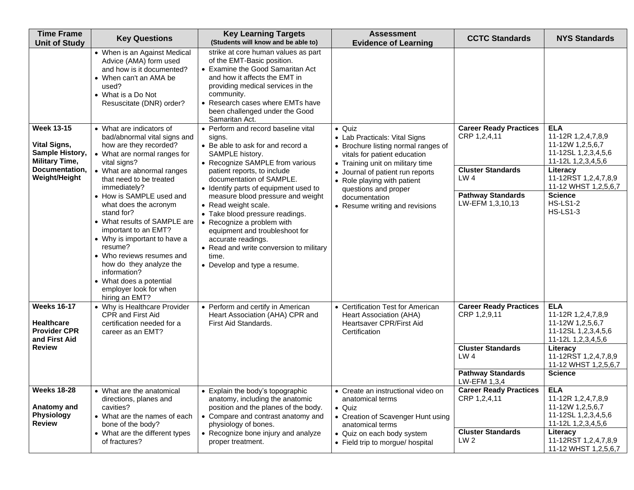| <b>Time Frame</b><br><b>Unit of Study</b>                                       | <b>Key Questions</b>                                                                                                                                                                                                                                                                                              | <b>Key Learning Targets</b><br>(Students will know and be able to)                                                                                                                                                                                                                | <b>Assessment</b><br><b>Evidence of Learning</b>                                                                                   | <b>CCTC Standards</b>                         | <b>NYS Standards</b>                                                                              |
|---------------------------------------------------------------------------------|-------------------------------------------------------------------------------------------------------------------------------------------------------------------------------------------------------------------------------------------------------------------------------------------------------------------|-----------------------------------------------------------------------------------------------------------------------------------------------------------------------------------------------------------------------------------------------------------------------------------|------------------------------------------------------------------------------------------------------------------------------------|-----------------------------------------------|---------------------------------------------------------------------------------------------------|
|                                                                                 | • When is an Against Medical<br>Advice (AMA) form used<br>and how is it documented?<br>• When can't an AMA be<br>used?<br>• What is a Do Not<br>Resuscitate (DNR) order?                                                                                                                                          | strike at core human values as part<br>of the EMT-Basic position.<br>• Examine the Good Samaritan Act<br>and how it affects the EMT in<br>providing medical services in the<br>community.<br>• Research cases where EMTs have<br>been challenged under the Good<br>Samaritan Act. |                                                                                                                                    |                                               |                                                                                                   |
| <b>Week 13-15</b>                                                               | • What are indicators of<br>bad/abnormal vital signs and                                                                                                                                                                                                                                                          | • Perform and record baseline vital<br>signs.                                                                                                                                                                                                                                     | • Quiz<br>• Lab Practicals: Vital Signs                                                                                            | <b>Career Ready Practices</b><br>CRP 1,2,4,11 | <b>ELA</b><br>11-12R 1,2,4,7,8,9                                                                  |
| <b>Vital Signs,</b><br><b>Sample History,</b><br><b>Military Time,</b>          | how are they recorded?<br>• What are normal ranges for<br>vital signs?                                                                                                                                                                                                                                            | • Be able to ask for and record a<br>SAMPLE history.<br>• Recognize SAMPLE from various                                                                                                                                                                                           | • Brochure listing normal ranges of<br>vitals for patient education<br>• Training unit on military time                            |                                               | 11-12W 1,2,5,6,7<br>11-12SL 1,2,3,4,5,6<br>11-12L 1,2,3,4,5,6                                     |
| Documentation,<br>Weight/Height                                                 | • What are abnormal ranges<br>that need to be treated<br>immediately?                                                                                                                                                                                                                                             | patient reports, to include<br>documentation of SAMPLE.<br>• Identify parts of equipment used to                                                                                                                                                                                  | • Journal of patient run reports<br>• Role playing with patient<br>questions and proper                                            | <b>Cluster Standards</b><br>LW 4              | Literacy<br>11-12RST 1,2,4,7,8,9<br>11-12 WHST 1,2,5,6,7                                          |
|                                                                                 | • How is SAMPLE used and<br>what does the acronym<br>stand for?<br>• What results of SAMPLE are<br>important to an EMT?<br>• Why is important to have a<br>resume?<br>• Who reviews resumes and<br>how do they analyze the<br>information?<br>• What does a potential<br>employer look for when<br>hiring an EMT? | measure blood pressure and weight<br>• Read weight scale.<br>• Take blood pressure readings.<br>• Recognize a problem with<br>equipment and troubleshoot for<br>accurate readings.<br>• Read and write conversion to military<br>time.<br>• Develop and type a resume.            | documentation<br>• Resume writing and revisions                                                                                    | <b>Pathway Standards</b><br>LW-EFM 1,3,10,13  | <b>Science</b><br><b>HS-LS1-2</b><br><b>HS-LS1-3</b>                                              |
| <b>Weeks 16-17</b><br><b>Healthcare</b><br><b>Provider CPR</b><br>and First Aid | • Why is Healthcare Provider<br><b>CPR and First Aid</b><br>certification needed for a<br>career as an EMT?                                                                                                                                                                                                       | • Perform and certify in American<br>Heart Association (AHA) CPR and<br>First Aid Standards.                                                                                                                                                                                      | • Certification Test for American<br>Heart Association (AHA)<br>Heartsaver CPR/First Aid<br>Certification                          | <b>Career Ready Practices</b><br>CRP 1,2,9,11 | <b>ELA</b><br>11-12R 1,2,4,7,8,9<br>11-12W 1,2,5,6,7<br>11-12SL 1,2,3,4,5,6<br>11-12L 1,2,3,4,5,6 |
| <b>Review</b>                                                                   |                                                                                                                                                                                                                                                                                                                   |                                                                                                                                                                                                                                                                                   |                                                                                                                                    | <b>Cluster Standards</b><br>LW <sub>4</sub>   | Literacy<br>11-12RST 1,2,4,7,8,9<br>11-12 WHST 1,2,5,6,7                                          |
|                                                                                 |                                                                                                                                                                                                                                                                                                                   |                                                                                                                                                                                                                                                                                   |                                                                                                                                    | <b>Pathway Standards</b><br>LW-EFM 1,3,4      | <b>Science</b>                                                                                    |
| <b>Weeks 18-28</b><br>Anatomy and<br><b>Physiology</b><br><b>Review</b>         | • What are the anatomical<br>directions, planes and<br>cavities?<br>• What are the names of each<br>bone of the body?                                                                                                                                                                                             | • Explain the body's topographic<br>anatomy, including the anatomic<br>position and the planes of the body.<br>• Compare and contrast anatomy and<br>physiology of bones.                                                                                                         | • Create an instructional video on<br>anatomical terms<br>$\bullet$ Quiz<br>• Creation of Scavenger Hunt using<br>anatomical terms | <b>Career Ready Practices</b><br>CRP 1,2,4,11 | ELA<br>11-12R 1,2,4,7,8,9<br>11-12W 1,2,5,6,7<br>11-12SL 1,2,3,4,5,6<br>11-12L 1,2,3,4,5,6        |
|                                                                                 | • What are the different types<br>of fractures?                                                                                                                                                                                                                                                                   | • Recognize bone injury and analyze<br>proper treatment.                                                                                                                                                                                                                          | • Quiz on each body system<br>• Field trip to morgue/ hospital                                                                     | <b>Cluster Standards</b><br>LW <sub>2</sub>   | Literacy<br>11-12RST 1,2,4,7,8,9<br>11-12 WHST 1,2,5,6,7                                          |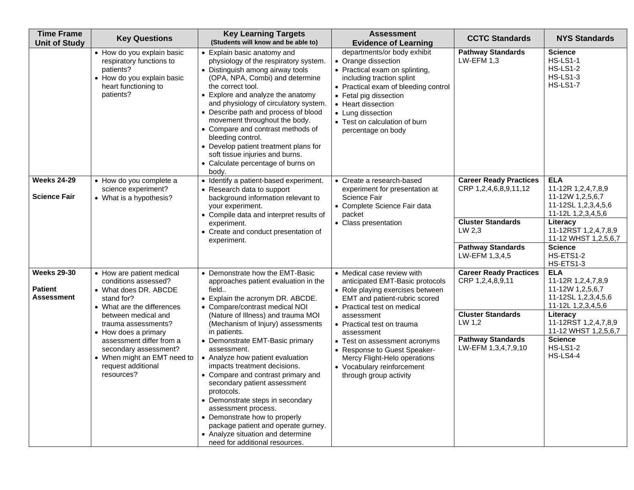| <b>Time Frame</b><br><b>Unit of Study</b>          | <b>Key Questions</b>                                                                                                                                                                                                                                                                                                 | <b>Key Learning Targets</b><br>(Students will know and be able to)                                                                                                                                                                                                                                                                                                                                                                                                                                                                                                                                                                                                    | <b>Assessment</b><br><b>Evidence of Learning</b>                                                                                                                                                                                                                                                                                                                                     | <b>CCTC Standards</b>                                                                                                                                        | <b>NYS Standards</b>                                                                                                                                                                                                                     |
|----------------------------------------------------|----------------------------------------------------------------------------------------------------------------------------------------------------------------------------------------------------------------------------------------------------------------------------------------------------------------------|-----------------------------------------------------------------------------------------------------------------------------------------------------------------------------------------------------------------------------------------------------------------------------------------------------------------------------------------------------------------------------------------------------------------------------------------------------------------------------------------------------------------------------------------------------------------------------------------------------------------------------------------------------------------------|--------------------------------------------------------------------------------------------------------------------------------------------------------------------------------------------------------------------------------------------------------------------------------------------------------------------------------------------------------------------------------------|--------------------------------------------------------------------------------------------------------------------------------------------------------------|------------------------------------------------------------------------------------------------------------------------------------------------------------------------------------------------------------------------------------------|
|                                                    | • How do you explain basic<br>respiratory functions to<br>patients?<br>• How do you explain basic<br>heart functioning to<br>patients?                                                                                                                                                                               | • Explain basic anatomy and<br>physiology of the respiratory system.<br>• Distinguish among airway tools<br>(OPA, NPA, Combi) and determine<br>the correct tool.<br>• Explore and analyze the anatomy<br>and physiology of circulatory system.<br>• Describe path and process of blood<br>movement throughout the body.<br>• Compare and contrast methods of<br>bleeding control.<br>• Develop patient treatment plans for<br>soft tissue injuries and burns.<br>• Calculate percentage of burns on<br>body.                                                                                                                                                          | departments/or body exhibit<br>• Orange dissection<br>• Practical exam on splinting,<br>including traction splint<br>• Practical exam of bleeding control<br>• Fetal pig dissection<br>• Heart dissection<br>• Lung dissection<br>• Test on calculation of burn<br>percentage on body                                                                                                | <b>Pathway Standards</b><br>$LW$ -EFM 1,3                                                                                                                    | <b>Science</b><br><b>HS-LS1-1</b><br><b>HS-LS1-2</b><br><b>HS-LS1-3</b><br><b>HS-LS1-7</b>                                                                                                                                               |
| <b>Weeks 24-29</b><br><b>Science Fair</b>          | • How do you complete a<br>science experiment?<br>• What is a hypothesis?                                                                                                                                                                                                                                            | • Identify a patient-based experiment.<br>• Research data to support<br>background information relevant to<br>your experiment.<br>• Compile data and interpret results of<br>experiment.<br>• Create and conduct presentation of<br>experiment.                                                                                                                                                                                                                                                                                                                                                                                                                       | • Create a research-based<br>experiment for presentation at<br>Science Fair<br>• Complete Science Fair data<br>packet<br>• Class presentation                                                                                                                                                                                                                                        | <b>Career Ready Practices</b><br>CRP 1,2,4,6,8,9,11,12<br><b>Cluster Standards</b><br>LW 2.3<br><b>Pathway Standards</b>                                     | <b>ELA</b><br>11-12R 1,2,4,7,8,9<br>11-12W 1,2,5,6,7<br>11-12SL 1,2,3,4,5,6<br>11-12L 1,2,3,4,5,6<br>Literacy<br>11-12RST 1,2,4,7,8,9<br>11-12 WHST 1,2,5,6,7<br><b>Science</b>                                                          |
| <b>Weeks 29-30</b><br><b>Patient</b><br>Assessment | • How are patient medical<br>conditions assessed?<br>• What does DR. ABCDE<br>stand for?<br>• What are the differences<br>between medical and<br>trauma assessments?<br>• How does a primary<br>assessment differ from a<br>secondary assessment?<br>• When might an EMT need to<br>request additional<br>resources? | • Demonstrate how the EMT-Basic<br>approaches patient evaluation in the<br>field<br>• Explain the acronym DR. ABCDE.<br>• Compare/contrast medical NOI<br>(Nature of Illness) and trauma MOI<br>(Mechanism of Injury) assessments<br>in patients.<br>• Demonstrate EMT-Basic primary<br>assessment.<br>• Analyze how patient evaluation<br>impacts treatment decisions.<br>• Compare and contrast primary and<br>secondary patient assessment<br>protocols.<br>• Demonstrate steps in secondary<br>assessment process.<br>• Demonstrate how to properly<br>package patient and operate gurney.<br>• Analyze situation and determine<br>need for additional resources. | • Medical case review with<br>anticipated EMT-Basic protocols<br>• Role playing exercises between<br>EMT and patient-rubric scored<br>• Practical test on medical<br>assessment<br>• Practical test on trauma<br>assessment<br>• Test on assessment acronyms<br>• Response to Guest Speaker-<br>Mercy Flight-Helo operations<br>• Vocabulary reinforcement<br>through group activity | LW-EFM 1,3,4,5<br><b>Career Ready Practices</b><br>CRP 1,2,4,8,9,11<br><b>Cluster Standards</b><br>LW 1,2<br><b>Pathway Standards</b><br>LW-EFM 1,3,4,7,9,10 | HS-ETS1-2<br>HS-ETS1-3<br><b>ELA</b><br>11-12R 1,2,4,7,8,9<br>11-12W 1,2,5,6,7<br>11-12SL 1,2,3,4,5,6<br>11-12L 1,2,3,4,5,6<br>Literacy<br>11-12RST 1,2,4,7,8,9<br>11-12 WHST 1,2,5,6,7<br><b>Science</b><br><b>HS-LS1-2</b><br>HS-LS4-4 |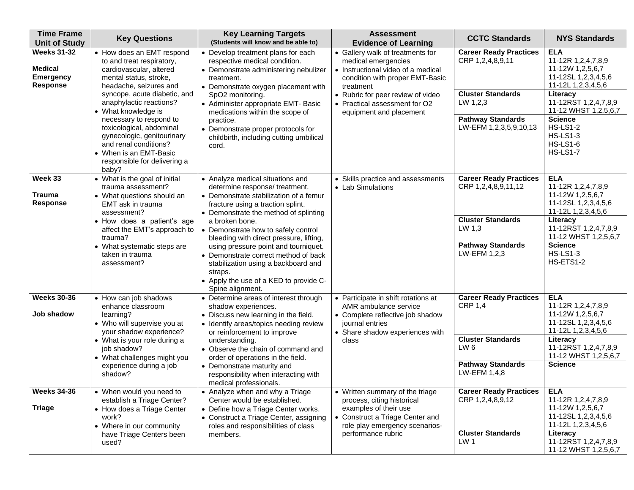| <b>Time Frame</b><br><b>Unit of Study</b>                                   | <b>Key Questions</b>                                                                                                                                                                                                                                                                                                                                                                                     | <b>Key Learning Targets</b><br>(Students will know and be able to)                                                                                                                                                                                                                                                                                                                                                                                                                             | <b>Assessment</b><br><b>Evidence of Learning</b>                                                                                                                                                                                               | <b>CCTC Standards</b>                                                                                                                           | <b>NYS Standards</b>                                                                                                                                                                                                                                        |
|-----------------------------------------------------------------------------|----------------------------------------------------------------------------------------------------------------------------------------------------------------------------------------------------------------------------------------------------------------------------------------------------------------------------------------------------------------------------------------------------------|------------------------------------------------------------------------------------------------------------------------------------------------------------------------------------------------------------------------------------------------------------------------------------------------------------------------------------------------------------------------------------------------------------------------------------------------------------------------------------------------|------------------------------------------------------------------------------------------------------------------------------------------------------------------------------------------------------------------------------------------------|-------------------------------------------------------------------------------------------------------------------------------------------------|-------------------------------------------------------------------------------------------------------------------------------------------------------------------------------------------------------------------------------------------------------------|
| <b>Weeks 31-32</b><br><b>Medical</b><br><b>Emergency</b><br><b>Response</b> | • How does an EMT respond<br>to and treat respiratory,<br>cardiovascular, altered<br>mental status, stroke,<br>headache, seizures and<br>syncope, acute diabetic, and<br>anaphylactic reactions?<br>• What knowledge is<br>necessary to respond to<br>toxicological, abdominal<br>gynecologic, genitourinary<br>and renal conditions?<br>• When is an EMT-Basic<br>responsible for delivering a<br>baby? | • Develop treatment plans for each<br>respective medical condition.<br>• Demonstrate administering nebulizer<br>treatment.<br>• Demonstrate oxygen placement with<br>SpO2 monitoring.<br>• Administer appropriate EMT- Basic<br>medications within the scope of<br>practice.<br>• Demonstrate proper protocols for<br>childbirth, including cutting umbilical<br>cord.                                                                                                                         | • Gallery walk of treatments for<br>medical emergencies<br>• Instructional video of a medical<br>condition with proper EMT-Basic<br>treatment<br>• Rubric for peer review of video<br>• Practical assessment for O2<br>equipment and placement | <b>Career Ready Practices</b><br>CRP 1,2,4,8,9,11<br><b>Cluster Standards</b><br>LW 1,2,3<br><b>Pathway Standards</b><br>LW-EFM 1,2,3,5,9,10,13 | <b>ELA</b><br>11-12R 1,2,4,7,8,9<br>11-12W 1,2,5,6,7<br>11-12SL 1,2,3,4,5,6<br>11-12L 1,2,3,4,5,6<br>Literacy<br>11-12RST 1,2,4,7,8,9<br>11-12 WHST 1,2,5,6,7<br><b>Science</b><br><b>HS-LS1-2</b><br><b>HS-LS1-3</b><br><b>HS-LS1-6</b><br><b>HS-LS1-7</b> |
| Week 33<br><b>Trauma</b><br><b>Response</b>                                 | • What is the goal of initial<br>trauma assessment?<br>• What questions should an<br>EMT ask in trauma<br>assessment?<br>• How does a patient's age<br>affect the EMT's approach to<br>trauma?<br>• What systematic steps are<br>taken in trauma<br>assessment?                                                                                                                                          | • Analyze medical situations and<br>determine response/ treatment.<br>• Demonstrate stabilization of a femur<br>fracture using a traction splint.<br>• Demonstrate the method of splinting<br>a broken bone.<br>• Demonstrate how to safely control<br>bleeding with direct pressure, lifting,<br>using pressure point and tourniquet.<br>• Demonstrate correct method of back<br>stabilization using a backboard and<br>straps.<br>• Apply the use of a KED to provide C-<br>Spine alignment. | • Skills practice and assessments<br>• Lab Simulations                                                                                                                                                                                         | <b>Career Ready Practices</b><br>CRP 1,2,4,8,9,11,12<br><b>Cluster Standards</b><br>LW 1,3<br><b>Pathway Standards</b><br>LW-EFM 1,2,3          | <b>ELA</b><br>11-12R 1,2,4,7,8,9<br>11-12W 1,2,5,6,7<br>11-12SL 1,2,3,4,5,6<br>11-12L 1,2,3,4,5,6<br>Literacy<br>11-12RST 1,2,4,7,8,9<br>11-12 WHST 1,2,5,6,7<br><b>Science</b><br><b>HS-LS1-3</b><br>HS-ETS1-2                                             |
| <b>Weeks 30-36</b><br>Job shadow                                            | • How can job shadows<br>enhance classroom<br>learning?<br>• Who will supervise you at<br>your shadow experience?<br>• What is your role during a<br>job shadow?<br>• What challenges might you<br>experience during a job<br>shadow?                                                                                                                                                                    | • Determine areas of interest through<br>shadow experiences.<br>• Discuss new learning in the field.<br>• Identify areas/topics needing review<br>or reinforcement to improve<br>understanding.<br>• Observe the chain of command and<br>order of operations in the field.<br>• Demonstrate maturity and<br>responsibility when interacting with<br>medical professionals.                                                                                                                     | • Participate in shift rotations at<br>AMR ambulance service<br>• Complete reflective job shadow<br>journal entries<br>• Share shadow experiences with<br>class                                                                                | <b>Career Ready Practices</b><br><b>CRP 1,4</b><br><b>Cluster Standards</b><br>LW <sub>6</sub><br><b>Pathway Standards</b><br>LW-EFM 1,4,8      | <b>ELA</b><br>11-12R 1,2,4,7,8,9<br>11-12W 1,2,5,6,7<br>11-12SL 1,2,3,4,5,6<br>11-12L 1,2,3,4,5,6<br>Literacy<br>11-12RST 1,2,4,7,8,9<br>11-12 WHST 1,2,5,6,7<br><b>Science</b>                                                                             |
| <b>Weeks 34-36</b><br><b>Triage</b>                                         | • When would you need to<br>establish a Triage Center?<br>• How does a Triage Center<br>work?<br>• Where in our community<br>have Triage Centers been<br>used?                                                                                                                                                                                                                                           | • Analyze when and why a Triage<br>Center would be established.<br>• Define how a Triage Center works.<br>• Construct a Triage Center, assigning<br>roles and responsibilities of class<br>members.                                                                                                                                                                                                                                                                                            | • Written summary of the triage<br>process, citing historical<br>examples of their use<br>• Construct a Triage Center and<br>role play emergency scenarios-<br>performance rubric                                                              | <b>Career Ready Practices</b><br>CRP 1,2,4,8,9,12<br><b>Cluster Standards</b><br>LW <sub>1</sub>                                                | <b>ELA</b><br>11-12R 1,2,4,7,8,9<br>11-12W 1,2,5,6,7<br>11-12SL 1,2,3,4,5,6<br>11-12L 1,2,3,4,5,6<br>Literacy<br>11-12RST 1,2,4,7,8,9<br>11-12 WHST 1,2,5,6,7                                                                                               |